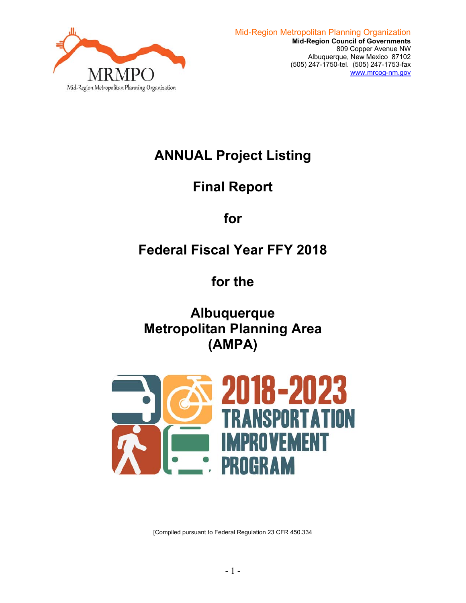

# **ANNUAL Project Listing**

# **Final Report**

**for** 

# **Federal Fiscal Year FFY 2018**

**for the** 

**Albuquerque Metropolitan Planning Area (AMPA)** 



[Compiled pursuant to Federal Regulation 23 CFR 450.334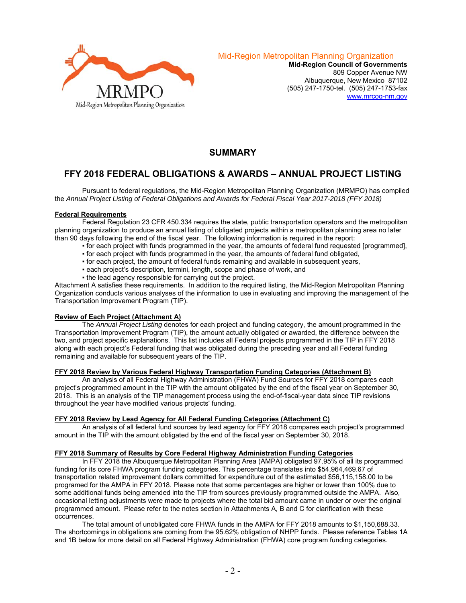

**Mid-Region Council of Governments**  809 Copper Avenue NW Albuquerque, New Mexico 87102 (505) 247-1750-tel. (505) 247-1753-fax www.mrcog-nm.gov

# **SUMMARY**

# **FFY 2018 FEDERAL OBLIGATIONS & AWARDS – ANNUAL PROJECT LISTING**

 Pursuant to federal regulations, the Mid-Region Metropolitan Planning Organization (MRMPO) has compiled the *Annual Project Listing of Federal Obligations and Awards for Federal Fiscal Year 2017-2018 (FFY 2018)* 

#### **Federal Requirements**

 Federal Regulation 23 CFR 450.334 requires the state, public transportation operators and the metropolitan planning organization to produce an annual listing of obligated projects within a metropolitan planning area no later than 90 days following the end of the fiscal year. The following information is required in the report:

- for each project with funds programmed in the year, the amounts of federal fund requested [programmed],
- for each project with funds programmed in the year, the amounts of federal fund obligated,
- for each project, the amount of federal funds remaining and available in subsequent years,
- each project's description, termini, length, scope and phase of work, and
- . the lead agency responsible for carrying out the project.

Attachment A satisfies these requirements. In addition to the required listing, the Mid-Region Metropolitan Planning Organization conducts various analyses of the information to use in evaluating and improving the management of the Transportation Improvement Program (TIP).

#### **Review of Each Project (Attachment A)**

 The *Annual Project Listing* denotes for each project and funding category, the amount programmed in the Transportation Improvement Program (TIP), the amount actually obligated or awarded, the difference between the two, and project specific explanations. This list includes all Federal projects programmed in the TIP in FFY 2018 along with each project's Federal funding that was obligated during the preceding year and all Federal funding remaining and available for subsequent years of the TIP.

### **FFY 2018 Review by Various Federal Highway Transportation Funding Categories (Attachment B)**

 An analysis of all Federal Highway Administration (FHWA) Fund Sources for FFY 2018 compares each project's programmed amount in the TIP with the amount obligated by the end of the fiscal year on September 30, 2018. This is an analysis of the TIP management process using the end-of-fiscal-year data since TIP revisions throughout the year have modified various projects' funding.

### **FFY 2018 Review by Lead Agency for All Federal Funding Categories (Attachment C)**

 An analysis of all federal fund sources by lead agency for FFY 2018 compares each project's programmed amount in the TIP with the amount obligated by the end of the fiscal year on September 30, 2018.

#### **FFY 2018 Summary of Results by Core Federal Highway Administration Funding Categories**

 In FFY 2018 the Albuquerque Metropolitan Planning Area (AMPA) obligated 97.95% of all its programmed funding for its core FHWA program funding categories. This percentage translates into \$54,964,469.67 of transportation related improvement dollars committed for expenditure out of the estimated \$56,115,158.00 to be programed for the AMPA in FFY 2018. Please note that some percentages are higher or lower than 100% due to some additional funds being amended into the TIP from sources previously programmed outside the AMPA. Also, occasional letting adjustments were made to projects where the total bid amount came in under or over the original programmed amount. Please refer to the notes section in Attachments A, B and C for clarification with these occurrences.

The total amount of unobligated core FHWA funds in the AMPA for FFY 2018 amounts to \$1,150,688.33. The shortcomings in obligations are coming from the 95.62% obligation of NHPP funds. Please reference Tables 1A and 1B below for more detail on all Federal Highway Administration (FHWA) core program funding categories.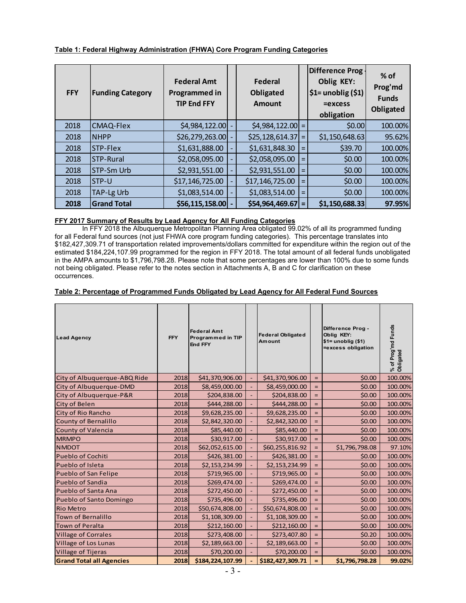#### **Table 1: Federal Highway Administration (FHWA) Core Program Funding Categories**

| <b>FFY</b> | <b>Funding Category</b> | <b>Federal Amt</b><br>Programmed in<br><b>TIP End FFY</b> | <b>Federal</b><br>Obligated<br><b>Amount</b> |          | Difference Prog.<br>Oblig KEY:<br>$\left  \right. \sin \left( \sin \left( \frac{\pi}{2} \right) \right) \right $<br>$=$ excess<br>obligation | $%$ of<br>Prog'md<br><b>Funds</b><br><b>Obligated</b> |
|------------|-------------------------|-----------------------------------------------------------|----------------------------------------------|----------|----------------------------------------------------------------------------------------------------------------------------------------------|-------------------------------------------------------|
| 2018       | <b>CMAQ-Flex</b>        | \$4,984,122.00                                            | $$4,984,122.00$ =                            |          | \$0.00                                                                                                                                       | 100.00%                                               |
| 2018       | <b>NHPP</b>             | \$26,279,263.00                                           | \$25, 128, 614.37                            | $=$      | \$1,150,648.63                                                                                                                               | 95.62%                                                |
| 2018       | STP-Flex                | \$1,631,888.00                                            | \$1,631,848.30                               | $\equiv$ | \$39.70                                                                                                                                      | 100.00%                                               |
| 2018       | <b>STP-Rural</b>        | \$2,058,095.00                                            | \$2,058,095.00                               | $=$      | \$0.00                                                                                                                                       | 100.00%                                               |
| 2018       | <b>STP-Sm Urb</b>       | \$2,931,551.00                                            | \$2,931,551.00                               | $=$      | \$0.00                                                                                                                                       | 100.00%                                               |
| 2018       | STP-U                   | \$17,146,725.00                                           | \$17,146,725.00                              | $=$      | \$0.00                                                                                                                                       | 100.00%                                               |
| 2018       | <b>TAP-Lg Urb</b>       | \$1,083,514.00                                            | \$1,083,514.00                               | $\equiv$ | \$0.00                                                                                                                                       | 100.00%                                               |
| 2018       | <b>Grand Total</b>      | \$56,115,158.00                                           | $$54,964,469.67$ =                           |          | \$1,150,688.33                                                                                                                               | 97.95%                                                |

#### **FFY 2017 Summary of Results by Lead Agency for All Funding Categories**

 In FFY 2018 the Albuquerque Metropolitan Planning Area obligated 99.02% of all its programmed funding for all Federal fund sources (not just FHWA core program funding categories). This percentage translates into \$182,427,309.71 of transportation related improvements/dollars committed for expenditure within the region out of the estimated \$184,224,107.99 programmed for the region in FFY 2018. The total amount of all federal funds unobligated in the AMPA amounts to \$1,796,798.28. Please note that some percentages are lower than 100% due to some funds not being obligated. Please refer to the notes section in Attachments A, B and C for clarification on these occurrences.

## **Table 2: Percentage of Programmed Funds Obligated by Lead Agency for All Federal Fund Sources**

| <b>Lead Agency</b>              | <b>FFY</b> | <b>Federal Amt</b><br>Programmed in TIP<br><b>End FFY</b> | <b>Federal Obligated</b><br>Amount |                   | Difference Prog -<br>Oblig KEY:<br>$$1=$ unoblig $($1)$<br>=excess obligation | % of Prog'md Funds<br>Obligated |
|---------------------------------|------------|-----------------------------------------------------------|------------------------------------|-------------------|-------------------------------------------------------------------------------|---------------------------------|
| City of Albuquerque-ABQ Ride    | 2018       | \$41,370,906.00                                           | \$41,370,906.00                    | $\qquad \qquad =$ | \$0.00                                                                        | 100.00%                         |
| City of Albuquerque-DMD         | 2018       | \$8,459,000.00                                            | \$8,459,000.00                     | $=$               | \$0.00                                                                        | 100.00%                         |
| City of Albuquerque-P&R         | 2018       | \$204,838.00                                              | \$204,838.00                       | $=$               | \$0.00                                                                        | 100.00%                         |
| <b>City of Belen</b>            | 2018       | \$444,288.00                                              | \$444,288.00                       | $=$               | \$0.00                                                                        | 100.00%                         |
| City of Rio Rancho              | 2018       | \$9,628,235.00                                            | \$9,628,235.00                     | $=$               | \$0.00                                                                        | 100.00%                         |
| <b>County of Bernalillo</b>     | 2018       | \$2,842,320.00                                            | \$2,842,320.00                     | $=$               | \$0.00                                                                        | 100.00%                         |
| <b>County of Valencia</b>       | 2018       | \$85,440.00                                               | \$85,440.00                        | $=$               | \$0.00                                                                        | 100.00%                         |
| <b>MRMPO</b>                    | 2018       | \$30,917.00                                               | \$30,917.00                        | $=$               | \$0.00                                                                        | 100.00%                         |
| <b>NMDOT</b>                    | 2018       | \$62,052,615.00                                           | \$60,255,816.92                    | $=$               | \$1,796,798.08                                                                | 97.10%                          |
| <b>Pueblo of Cochiti</b>        | 2018       | \$426,381.00                                              | \$426,381.00                       | $=$               | \$0.00                                                                        | 100.00%                         |
| Pueblo of Isleta                | 2018       | \$2,153,234.99                                            | \$2,153,234.99                     | $\qquad \qquad =$ | \$0.00                                                                        | 100.00%                         |
| Pueblo of San Felipe            | 2018       | \$719,965.00                                              | \$719,965.00                       | $\qquad \qquad =$ | \$0.00                                                                        | 100.00%                         |
| <b>Pueblo of Sandia</b>         | 2018       | \$269,474.00                                              | \$269,474.00                       | $=$               | \$0.00                                                                        | 100.00%                         |
| Pueblo of Santa Ana             | 2018       | \$272,450.00                                              | \$272,450.00                       | $\qquad \qquad =$ | \$0.00                                                                        | 100.00%                         |
| <b>Pueblo of Santo Domingo</b>  | 2018       | \$735,496.00                                              | \$735,496.00                       | $\qquad \qquad =$ | \$0.00                                                                        | 100.00%                         |
| <b>Rio Metro</b>                | 2018       | \$50,674,808.00                                           | \$50,674,808.00                    | $=$               | \$0.00                                                                        | 100.00%                         |
| <b>Town of Bernalillo</b>       | 2018       | \$1,108,309.00                                            | \$1,108,309.00                     | $\qquad \qquad =$ | \$0.00                                                                        | 100.00%                         |
| <b>Town of Peralta</b>          | 2018       | \$212,160.00                                              | \$212,160.00                       | $\qquad \qquad =$ | \$0.00                                                                        | 100.00%                         |
| <b>Village of Corrales</b>      | 2018       | \$273,408.00                                              | \$273,407.80                       | $=$               | \$0.20                                                                        | 100.00%                         |
| Village of Los Lunas            | 2018       | \$2,189,663.00                                            | \$2,189,663.00                     | $=$               | \$0.00                                                                        | 100.00%                         |
| Village of Tijeras              | 2018       | \$70,200.00                                               | \$70,200.00                        | $=$               | \$0.00                                                                        | 100.00%                         |
| <b>Grand Total all Agencies</b> | 2018       | \$184,224,107.99                                          | \$182,427,309.71                   | $=$               | \$1,796,798.28                                                                | 99.02%                          |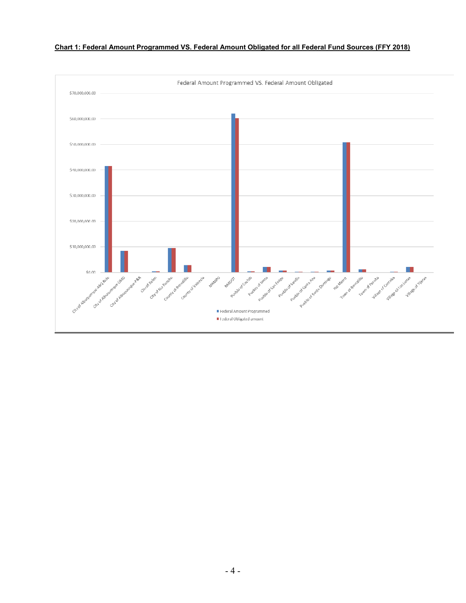

#### **Chart 1: Federal Amount Programmed VS. Federal Amount Obligated for all Federal Fund Sources (FFY 2018)**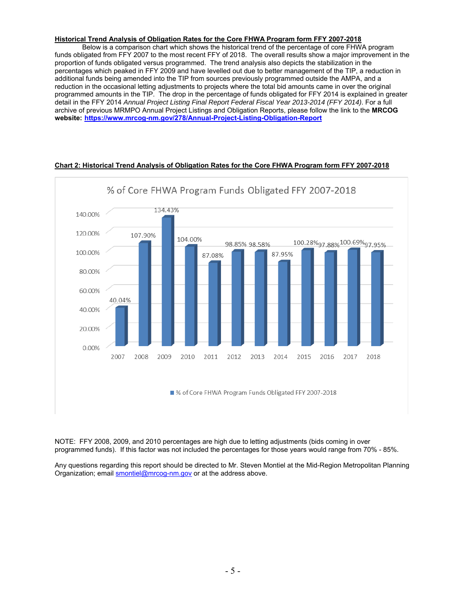## **Historical Trend Analysis of Obligation Rates for the Core FHWA Program form FFY 2007-2018**

 Below is a comparison chart which shows the historical trend of the percentage of core FHWA program funds obligated from FFY 2007 to the most recent FFY of 2018. The overall results show a major improvement in the proportion of funds obligated versus programmed. The trend analysis also depicts the stabilization in the percentages which peaked in FFY 2009 and have levelled out due to better management of the TIP, a reduction in additional funds being amended into the TIP from sources previously programmed outside the AMPA, and a reduction in the occasional letting adjustments to projects where the total bid amounts came in over the original programmed amounts in the TIP. The drop in the percentage of funds obligated for FFY 2014 is explained in greater detail in the FFY 2014 *Annual Project Listing Final Report Federal Fiscal Year 2013-2014 (FFY 2014)*. For a full archive of previous MRMPO Annual Project Listings and Obligation Reports, please follow the link to the **MRCOG website: https://www.mrcog-nm.gov/278/Annual-Project-Listing-Obligation-Report**



## **Chart 2: Historical Trend Analysis of Obligation Rates for the Core FHWA Program form FFY 2007-2018**

NOTE: FFY 2008, 2009, and 2010 percentages are high due to letting adjustments (bids coming in over programmed funds). If this factor was not included the percentages for those years would range from 70% - 85%.

Any questions regarding this report should be directed to Mr. Steven Montiel at the Mid-Region Metropolitan Planning Organization; email **smontiel@mrcog-nm.gov** or at the address above.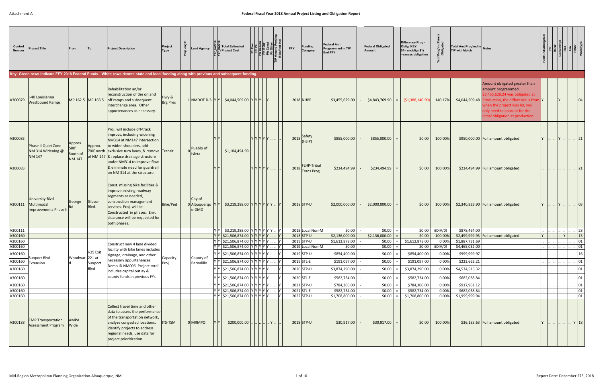#### **Federal Fiscal Year 2018 Annual Project Listing and Obligation Report**

| Control<br><b>Number</b> | Project Title                                                 | From                        |                   | <b>Project Description</b><br>Key: Green rows indicate FFY 2018 Federal Funds. White rows denote state and local funding along with previous and subsequent funding.                                                         | Project<br><b>Type</b>   | ᅕ | ead Agency                          | <b>Total Estimated</b><br><b>Project Cost</b>      |                  | <b>FFY</b> | <b>Funding</b><br>Category              | <b>Federal Amt</b><br>Programmed in TIP<br><b>End FFY</b> | <b>Federal Obligated</b><br>Amount | Difference Prog -<br>Oblig KEY:<br>$$1=$ unoblig $($1)$<br>=excess obligation | Prog'md<br>Obligated | Total Amt Prog'md in Notes<br><b>TIP with Match</b> |                                                                                                                                                                                                                                                  |  |   |                                                |  |
|--------------------------|---------------------------------------------------------------|-----------------------------|-------------------|------------------------------------------------------------------------------------------------------------------------------------------------------------------------------------------------------------------------------|--------------------------|---|-------------------------------------|----------------------------------------------------|------------------|------------|-----------------------------------------|-----------------------------------------------------------|------------------------------------|-------------------------------------------------------------------------------|----------------------|-----------------------------------------------------|--------------------------------------------------------------------------------------------------------------------------------------------------------------------------------------------------------------------------------------------------|--|---|------------------------------------------------|--|
| A300079                  | -40 Louisianna<br><b>Westbound Ramps</b>                      |                             | MP 162.5 MP 163.5 | Rehabilitation an/or<br>reconstruction of the on and<br>off ramps and subsequent<br>interchange area. Other<br>appurtenances as necessary.                                                                                   | Hwy &<br><b>Brg Pres</b> |   |                                     | 1 NMDOT D-3 $ Y Y $ \$4,044,509.00 $ Y Y Y $       |                  |            | 2018 NHPP                               | \$3,455,629.00                                            | \$4,843,769.90                     | ( \$1,388,140.90]                                                             | 140.17%              |                                                     | Amount obligated greater than<br>amount programmed<br>\$3,455,629.24 was obligated at<br>$$4,044,509.48$ Production, the difference is from<br>when the project was let, you<br>only need to account for the<br>nitial obligation at production. |  |   | 04                                             |  |
| A300083                  | Phase II Quiet Zone<br>NM 314 Widening @                      | Approx.<br>500'<br>South of | Approx.           | Proj. will include off-track<br>improvs, including widening<br>NM314 at NM147 intersection<br>to widen shoulders, add<br>700' north exclusive turn lanes, & remove Transit                                                   |                          |   | Pueblo of<br>Isleta                 | \$1,184,494.99                                     | Y  Y  Y  Y  Y  … |            | $2018$ Safety<br>(HSIP)                 | \$855,000.00                                              | \$855,000.00                       | \$0.00                                                                        | 100.00%              |                                                     | \$950,000.00 Full amount obligated                                                                                                                                                                                                               |  |   | $\vert \vert 21$                               |  |
| A300083                  | <b>NM 147</b>                                                 | <b>NM 147</b>               |                   | of NM 147 & replace drainage structure<br>under NM314 to improve flow<br>& eliminate need for guardrail<br>on NM 314 at the structure.                                                                                       |                          |   |                                     |                                                    | Y Y Y Y Y I.     | 2018       | <b>FLHP-Tribal</b><br><b>Trans Prog</b> | \$234,494.99                                              | \$234,494.99                       | \$0.00                                                                        | 100.00%              |                                                     | \$234,494.99 Full amount obligated                                                                                                                                                                                                               |  |   | 21                                             |  |
| A300111                  | <b>University Blvd</b><br>Multimodal<br>Improvements Phase II | George                      | Gibson<br>Blvd.   | Const. missing bike facilities &<br>improve existing roadway<br>segments as needed,<br>construction management<br>services. Proj. will be<br>Constructed in phases. Env.<br>clearance will be requested for<br>both phases.  | Bike/Ped                 |   | City of<br>0 Albuquerqu YY<br>e-DMD | \$3,219,288.00 $ Y Y Y Y Y Y $ $ Y $               |                  |            | $2018$ STP-U                            | \$2,000,000.00                                            | \$2,000,000.00                     | \$0.00                                                                        | 100.00%              |                                                     | \$2,340,823.90   Full amount obligated                                                                                                                                                                                                           |  |   | 03                                             |  |
| A300111                  |                                                               |                             |                   |                                                                                                                                                                                                                              |                          |   |                                     |                                                    |                  |            | 2018 Local Non-M                        | \$0.00                                                    | \$0.00                             | \$0.00                                                                        | #DIV/0!              | \$878,464.00                                        |                                                                                                                                                                                                                                                  |  |   | $\therefore$ 28                                |  |
| A300160                  |                                                               |                             |                   |                                                                                                                                                                                                                              |                          |   |                                     | $ Y Y $ \$21,506,874.00 $ Y Y Y Y $                |                  |            | 2018 STP-U                              | \$2,136,000.00                                            | \$2,136,000.00                     | \$0.00                                                                        | 100.00%              |                                                     | \$2,499,999.93 Full amount obligated                                                                                                                                                                                                             |  | Y | $\  . \  15 \ $                                |  |
| A300160                  |                                                               |                             |                   | Construct new 4 lane divided                                                                                                                                                                                                 |                          |   |                                     | $ Y Y $ \$21,506,874.00 $ Y Y Y Y .$               |                  |            | 2019 STP-U                              | \$1,612,878.00                                            | \$0.00                             | \$1,612,878.00                                                                | 0.00%                | \$1,887,731.69                                      |                                                                                                                                                                                                                                                  |  |   | $\vert \vert 01 \vert$                         |  |
| A300160                  |                                                               |                             |                   | facility with bike lanes includes                                                                                                                                                                                            |                          |   |                                     | Y Y   \$21,506,874.00  Y  Y  Y  Y  Y      Y        |                  |            | 2019 Local Non-M                        | \$0.00                                                    | \$0.00                             | \$0.00                                                                        | #DIV/0!              | \$4,465,032.00                                      |                                                                                                                                                                                                                                                  |  |   | . 01                                           |  |
| A300160                  | Sunport Blvd                                                  | Woodwar 221 at              | I-25 Exit         | signage, drainage, and other                                                                                                                                                                                                 | Capacity                 |   | County of                           | Y   \$21,506,874.00  Y  Y  Y  Y  Y                 |                  |            | 2019 STP-U                              | \$854,400.00                                              | \$0.00                             | \$854,400.00                                                                  | 0.00%                | \$999,999.97                                        |                                                                                                                                                                                                                                                  |  |   | 16                                             |  |
| A300160                  | Extension                                                     |                             | Sunport           | necessary appurtenances.                                                                                                                                                                                                     | Proj                     |   | Bernalillo                          | <sup>,</sup>  γ   \$21,506,874.00  γ  γ  γ  γ  γ   |                  |            | 2019 STL-E                              | \$191,097.00                                              | \$0.00                             | \$191,097.00                                                                  | 0.00%                | \$223,662.21                                        |                                                                                                                                                                                                                                                  |  |   | 01                                             |  |
| A300160                  |                                                               |                             | Blvd              | Demo ID NM006. Project total<br>includes capital outlay &                                                                                                                                                                    |                          |   |                                     | Y Y S21,506,874.00 Y Y Y Y Y Y                     |                  |            | 2020 STP-U                              | \$3,874,290.00                                            | \$0.00                             | \$3,874,290.00                                                                | 0.00%                | \$4,534,515.32                                      |                                                                                                                                                                                                                                                  |  |   | 01                                             |  |
| A300160                  |                                                               |                             |                   | county funds in previous FYs.                                                                                                                                                                                                |                          |   |                                     | Y  Y   \$21,506,874.00  Y  Y  Y  Y  Y              |                  |            | 2020 STL-E                              | \$582,734.00                                              | \$0.00                             | \$582,734.00                                                                  | 0.00%                | \$682,038.84                                        |                                                                                                                                                                                                                                                  |  |   | 01                                             |  |
| A300160                  |                                                               |                             |                   |                                                                                                                                                                                                                              |                          |   |                                     | $ Y Y $ \$21,506,874.00 $ Y Y Y Y  $ . Y           |                  |            | 2021 STP-U                              | \$784,306.00                                              | \$0.00                             | \$784,306.00                                                                  | 0.00%                | \$917,961.12                                        |                                                                                                                                                                                                                                                  |  |   | $\vert$ 01                                     |  |
| A300160                  |                                                               |                             |                   |                                                                                                                                                                                                                              |                          |   |                                     | $ Y Y $ \$21,506,874.00 $ Y Y Y Y  $ $ Y $         |                  |            | 2021 STL-E                              | \$582,734.00                                              | \$0.00                             | \$582,734.00                                                                  | 0.00%                | \$682,038.84                                        |                                                                                                                                                                                                                                                  |  |   | $\begin{array}{ c c }\n\hline\n\end{array}$ 01 |  |
| A300160                  |                                                               |                             |                   |                                                                                                                                                                                                                              |                          |   |                                     | $\overline{ V V }$ \$21,506,874.00 $ Y Y Y Y  $  Y |                  |            | 2022 STP-U                              | \$1,708,800.00                                            | \$0.00                             | \$1,708,800.00                                                                | 0.00%                | \$1,999,999.94                                      |                                                                                                                                                                                                                                                  |  |   | $\cdot$ 01                                     |  |
| A300188                  | <b>CMP Transportation</b><br><b>Assessment Program</b>        | <b>AMPA</b><br>Wide         |                   | Collect travel time and other<br>data to assess the performance<br>of the transportation network,<br>analyze congested locations,<br>identify projects to address<br>regional needs, use data for<br>project prioritization. | ITS-TSM                  |   | 0 MRMPO                             | \$200,000.00                                       | Y                |            | $2018$ STP-U                            | \$30,917.00                                               | \$30,917.00                        | \$0.00                                                                        | 100.00%              |                                                     | \$36,185.63 Full amount obligated                                                                                                                                                                                                                |  |   | $Y$ 18                                         |  |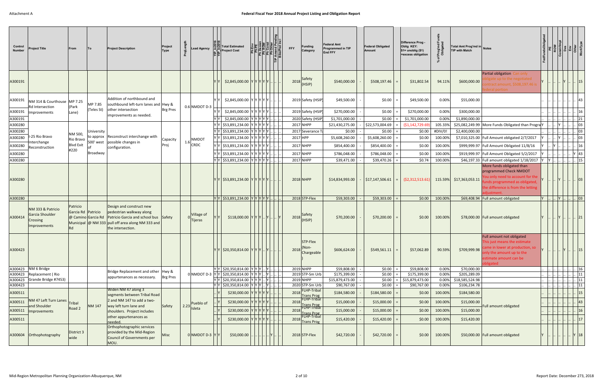| Control<br><b>Number</b>      | Project Title                                                    | From                                   |                                      | <b>Project Description</b>                                                                                                                                                       | Project<br>Type |      | ead Agency                   | <b>Total Estimated</b><br><b>Project Cost</b>                                                               |  | <b>FFY</b> | <b>Funding</b><br>Category                                   |                                         | Federal Amt<br><b>Programmed in TIP</b><br><b>End FFY</b> | <b>Federal Obligated</b><br>Amount          | Difference Prog -<br>Oblig KEY:<br>$$1=$ unoblig $($1)$<br>=excess obligation | 호호                            | Total Amt Prog'md in Notes<br><b>TIP with Match</b> |                                                                                                                                                                           |   |       |                 |                 |
|-------------------------------|------------------------------------------------------------------|----------------------------------------|--------------------------------------|----------------------------------------------------------------------------------------------------------------------------------------------------------------------------------|-----------------|------|------------------------------|-------------------------------------------------------------------------------------------------------------|--|------------|--------------------------------------------------------------|-----------------------------------------|-----------------------------------------------------------|---------------------------------------------|-------------------------------------------------------------------------------|-------------------------------|-----------------------------------------------------|---------------------------------------------------------------------------------------------------------------------------------------------------------------------------|---|-------|-----------------|-----------------|
| A300191                       |                                                                  |                                        |                                      |                                                                                                                                                                                  |                 |      |                              | $$2,845,000.00$ Y Y Y Y Y Y                                                                                 |  |            | 2018 Safety<br>(HSIP)                                        |                                         | \$540,000.00                                              | \$508,197.46                                | \$31,802.54                                                                   | 94.11%                        | \$600,000.00                                        | Partial obligation (<br>Can only l<br>ate up to the negotiated<br>ontract amount, \$508,197.46 is<br>deral portion                                                        |   |       | 15              |                 |
| A300191<br>A300191<br>A300191 | NM 314 & Courthouse MP 7.25<br>Rd Intersection<br>Improvements   | (Park<br>Lane)                         | MP 7.85<br>(Teles St)                | Addition of northbound and<br>southbound left-turn lanes and Hwy &<br>other intersection<br>improvements as needed.                                                              | <b>Brg Pres</b> |      | $0.6$ NMDOT D-3              | \$2,845,000.00 YYYYYY<br>$$2,845,000.00$ Y Y Y Y Y Y<br>\$2,845,000.00 YYYYYY.                              |  |            | 2019 Safety (HSIP<br>2019 Safety (HSIF<br>2020 Safety (HSIP) |                                         | \$49,500.00<br>\$270,000.00<br>\$1,701,000.00             | \$0.00<br>\$0.00<br>\$0.00                  | \$49,500.00<br>\$270,000.00<br>\$1,701,000.00                                 | 0.00%<br>0.00%<br>0.00%       | \$55,000.00<br>\$300,000.00<br>\$1,890,000.00       |                                                                                                                                                                           |   |       | 21              | 16              |
| A300280<br>A300280<br>A300280 | I-25 Rio Bravo<br>Interchange                                    | NM 500,<br>Rio Bravo                   | University<br>to approx<br>500' west | Reconstruct interchange with<br>possible changes in                                                                                                                              | Capacity        |      | <b>NMDOT</b><br>$1.6$ CRDC   | \$53,891,234.00  Y  Y  Y  Y  Y    <br>Y Y  \$53,891,234.00  Y Y Y Y Y .<br>\$53,891,234.00 Y Y Y Y Y Y      |  |            | 2017 NHPP<br>2017 Severance T<br>2017 HPP                    |                                         | \$21,430,275.00<br>\$0.00<br>\$5,608,260.00               | \$22,573,004.69<br>\$0.00<br>\$5,608,260.00 | (51, 142, 729.69)<br>\$0.00<br>\$0.00                                         | 105.33%<br>#DIV/0!<br>100.00% | \$2,400,000.00                                      | \$25,082,249.99 More Funds Obligated than Progra<br>\$7,010,325.00 Full Amount obligated 2/7/2017                                                                         |   |       |                 | 03<br> 03<br>03 |
| A300280<br>A300280<br>A300280 | Reconstruction                                                   | <b>Blvd Exit</b><br>#220               | Broadway                             | configuration.                                                                                                                                                                   | Proj            |      |                              | \$53,891,234.00 Y Y Y Y Y Y .<br>  \$53,891,234.00 Y Y Y Y Y Y I<br>Y Y  Y   \$53,891,234.00  Y  Y  Y  Y  Y |  |            | 2017 NHPP<br>2017 NHPP<br>2017 NHPP                          |                                         | \$854,400.00<br>\$786,048.00<br>\$39,471.00               | \$854,400.00<br>\$786,048.00<br>\$39,470.26 | \$0.00<br>\$0.00<br>\$0.74                                                    | 100.00%<br>100.00%<br>100.00% |                                                     | \$999,999.97   Full Amount Obligated 11/8/16<br>\$919,999.97 Full Amount Obligated 5/2/2017<br>\$46,197.33 Full amount obligated 1/18/2017 Y<br>More funds obligated than |   |       |                 | 16<br>43<br> 15 |
| A300280                       |                                                                  |                                        |                                      |                                                                                                                                                                                  |                 |      |                              | Y  \$53,891,234.00  Y Y Y Y Y                                                                               |  |            | 2018 NHPP                                                    |                                         | \$14,834,993.00                                           | \$17,147,506.61                             | (52,312,513.61)                                                               |                               | 115.59% \$17,363,053.11                             | programmed Check NMDOT<br>ou only need to account for the<br>nds programmed as obligated<br>he difference is from the letting<br>diustment                                |   |       | 03              |                 |
| A300280                       |                                                                  |                                        |                                      |                                                                                                                                                                                  |                 |      |                              | $ Y Y $ \$53,891,234.00 $ Y Y Y Y $ .                                                                       |  |            | 2018 STP-Flex                                                |                                         | \$59,303.00                                               | \$59,303.00                                 | \$0.00                                                                        | 100.00%                       |                                                     | \$69,408.94 Full amount obligated                                                                                                                                         | Y | . Y I | 03              |                 |
| A300414                       | NM 333 & Patricio<br>Garcia Shoulder<br>Crossing<br>Improvements | Patricio<br>Garcia Rd Patricio<br>IRd. | @ Camino Garcia Rd                   | Design and construct new<br>pedestrian walkway along<br>Patricio Garcia and school bus Safety<br>Municipal $  \omega$ NM 333 pull off area along NM 333 and<br>the intersection. |                 |      | Village of<br><b>Tijeras</b> | $$118,000.00$ $Y$ $Y$ $Y$ $\ldots$ $Y$ $\ldots$                                                             |  |            | 2018 Safety<br>(HSIP)                                        |                                         | \$70,200.00                                               | \$70,200.00                                 | \$0.00                                                                        | 100.00%                       |                                                     | \$78,000.00 Full amount obligated                                                                                                                                         |   |       | 21              |                 |
| A300423                       |                                                                  |                                        |                                      |                                                                                                                                                                                  |                 |      |                              | Y  Y   \$20,350,814.00   Y  Y  Y    Y                                                                       |  |            | STP-Flex<br>$2018$ <sup>(Non-</sup><br>Chargeable            |                                         | \$606,624.00                                              | \$549,561.11                                | \$57,062.89                                                                   | 90.59%                        | \$709,999.98                                        | Full amount not obligated<br>This just means the estimate<br>ime in lower at production, so<br>only the amount up to the<br>estimate amount can be<br>bligated            |   |       | 15              |                 |
|                               | A300423   NM 6 Bridge                                            |                                        |                                      | Bridge Replacement and other  Hwy &                                                                                                                                              |                 |      |                              | $ Y Y $ \$20,350,814.00 $ Y Y Y $ $ Y $                                                                     |  |            | 2019 NHPP                                                    |                                         | \$59,808.00                                               | \$0.00                                      | \$59,808.00                                                                   | 0.00%                         | \$70,000.00                                         |                                                                                                                                                                           |   |       |                 | 16              |
|                               | A300423 Replacement (Rio<br>A300423 Grande Bridge #7453)         |                                        |                                      | appurtenances as necessary.                                                                                                                                                      | <b>Brg Pres</b> |      |                              | 0 NMDOT D-3 $ Y Y $ \$20,350,814.00 $ Y Y Y $<br>ץ γ  \$20,350,814.00  γ γ γ  γ                             |  |            | 2019 STP-Sm Urb<br>2019 NHPP                                 |                                         | \$175,399.00<br>\$15,879,473.00                           | \$0.00<br>\$0.00                            | \$175,399.00<br>\$15,879,473.00                                               | 0.00%<br>0.00%                | \$205,289.09<br>\$18,585,524.98                     |                                                                                                                                                                           |   |       |                 | . 11<br> 11     |
| A300423                       |                                                                  |                                        |                                      |                                                                                                                                                                                  |                 |      |                              | $ Y Y $ \$20,350,814.00 $ Y Y Y  Y $                                                                        |  |            | 2020 STP-Sm Urb                                              |                                         | \$90,767.00                                               | \$0.00                                      | \$90,767.00                                                                   | 0.00%                         | \$106,234.78                                        |                                                                                                                                                                           |   |       | $\therefore$ 11 |                 |
| A300511                       |                                                                  |                                        |                                      | Widen NM 47 along 3                                                                                                                                                              |                 |      |                              | \$230,000.00 $Y Y Y Y Y$ .                                                                                  |  |            | FLHP-Tribal<br>2018                                          |                                         | \$184,580.00                                              | \$184,580.00                                | \$0.00                                                                        | 100.00%                       | \$184,580.00                                        |                                                                                                                                                                           |   |       |                 | 15              |
| A300511                       | NM 47 Left Turn Lanes                                            |                                        |                                      | segments between Tribal Road<br>2 and NM 147 to add a two-                                                                                                                       |                 |      |                              | \$230,000.00 Y Y Y Y Y Y                                                                                    |  |            | 2018                                                         | <b>Trans Prog</b><br><b>FLHP-Tribal</b> | \$15,000.00                                               | \$15,000.00                                 | \$0.00                                                                        | 100.00%                       | \$15,000.00                                         |                                                                                                                                                                           |   |       |                 | $ 43\rangle$    |
|                               | and Shoulder                                                     | Tribal<br>Road 2                       | NM 147                               | way left turn lane and                                                                                                                                                           | Safety          | 2.23 | Pueblo of<br>Isleta          |                                                                                                             |  |            |                                                              | Trans Prog<br>FLHP-Tribal               |                                                           |                                             |                                                                               |                               |                                                     | Full amount obligated                                                                                                                                                     |   |       |                 |                 |
| A300511                       | Improvements                                                     |                                        |                                      | shoulders. Project includes<br>other appurtenances as                                                                                                                            |                 |      |                              | \$230,000.00 Y Y Y Y Y Y                                                                                    |  |            | 2018                                                         | <b>Trans Prog</b><br>FLHP-Tribal        | \$15,000.00                                               | \$15,000.00                                 | \$0.00                                                                        | 100.00%                       | \$15,000.00                                         |                                                                                                                                                                           |   |       |                 | 16              |
| A300511                       |                                                                  |                                        |                                      | needed.                                                                                                                                                                          |                 |      |                              | \$230,000.00 Y Y Y Y Y Y                                                                                    |  |            | 2018 Trans Prog                                              |                                         | \$15,420.00                                               | \$15,420.00                                 | \$0.00                                                                        | 100.00%                       | \$15,420.00                                         |                                                                                                                                                                           |   |       |                 | 17              |
|                               | A300604 Orthophotography                                         | District 3<br>wide                     |                                      | Orthophotographic services<br>provided by the Mid-Region<br><b>Council of Governments per</b><br>MOU.                                                                            | Misc            |      | $0$ NMDOT D-3 $ Y Y $        | \$50,000.00                                                                                                 |  |            | $2018$ STP-Flex                                              |                                         | \$42,720.00                                               | \$42,720.00                                 | \$0.00                                                                        | 100.00%                       |                                                     | \$50,000.00 Full amount obligated                                                                                                                                         |   |       | $Y$ 18          |                 |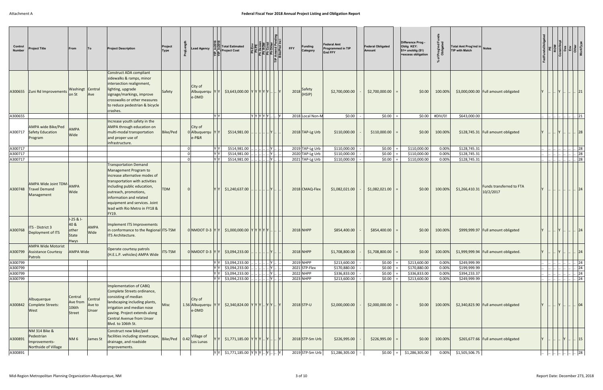| Control<br><b>Number</b> | <b>Project Title</b>                                                           | <b>From</b>                                                 | To                         | <b>Project Description</b>                                                                                                                                                                                                                             | Project<br>Type | ead Agency.                                      | <b>Total Estimated</b><br><b>Project Cost</b> | 회쿼로           |                | <b>Funding</b><br><b>FFY</b><br>Category | <b>Federal Amt</b><br>Programmed in TIP<br><b>End FFY</b> | <b>Federal Obligated</b><br>Amount | Difference Prog -<br>Oblig KEY:<br>$$1=$ unoblig $($1)$<br>=excess obligation | Prog'n<br>Oblig | Total Amt Prog'md in Notes<br><b>TIP with Match</b>     |  |              |                   |    |
|--------------------------|--------------------------------------------------------------------------------|-------------------------------------------------------------|----------------------------|--------------------------------------------------------------------------------------------------------------------------------------------------------------------------------------------------------------------------------------------------------|-----------------|--------------------------------------------------|-----------------------------------------------|---------------|----------------|------------------------------------------|-----------------------------------------------------------|------------------------------------|-------------------------------------------------------------------------------|-----------------|---------------------------------------------------------|--|--------------|-------------------|----|
|                          | A300655 Zuni Rd Improvements                                                   | Washingt Central<br>on St                                   | Ave                        | Construct ADA compliant<br>sidewalks & ramps, minor<br>intersection realignment,<br>lighting, upgrade<br>signage/markings, improve<br>crosswalks or other measures<br>to reduce pedestrian & bicycle<br>crashes.                                       | Safety          | City of<br>Albuquerqu<br>e-DMD                   | $$3,643,000.00$ Y Y Y Y Y Y                   |               |                | $2018$ Safety                            | \$2,700,000.00                                            | \$2,700,000.00                     | \$0.00                                                                        | 100.00%         | $$3,000,000.00$ Full amount obligated                   |  |              | 21                |    |
| A300655                  |                                                                                |                                                             |                            |                                                                                                                                                                                                                                                        |                 | YY                                               |                                               | Y Y Y Y Y   Y |                | 2018 Local Non-M                         | \$0.00                                                    | \$0.00                             |                                                                               | $$0.00$ #DIV/0! | \$643,000.00                                            |  |              | $\vert  \vert 21$ |    |
| A300717                  | AMPA wide Bike/Ped<br><b>Safety Education</b><br>Program                       | <b>AMPA</b><br>Wide                                         |                            | Increase youth safety in the<br>AMPA through education on<br>multi-modal transportation<br>and proper use of<br>infrastructure.                                                                                                                        | Bike/Ped        | City of<br>0 Albuquerqu<br>$e-P&R$               | \$514,981.00                                  |               | Y              | 2018 TAP-Lg Urb                          | \$110,000.00                                              | \$110,000.00                       | \$0.00                                                                        | 100.00%         | \$128,745.31 Full amount obligated                      |  |              | $\ln 28$          |    |
| A300717                  |                                                                                |                                                             |                            |                                                                                                                                                                                                                                                        |                 |                                                  | \$514,981.00                                  |               | $     $ Y $  $ | 2019 TAP-Lg Urb                          | \$110,000.00                                              | \$0.00                             | \$110,000.00                                                                  | 0.00%           | \$128,745.31                                            |  |              |                   | 28 |
| A300717                  |                                                                                |                                                             |                            |                                                                                                                                                                                                                                                        |                 |                                                  | \$514,981.00                                  |               | . IY I         | 2020 TAP-Lg Urb                          | \$110,000.00                                              | \$0.00                             | \$110,000.00                                                                  | 0.00%           | \$128,745.31                                            |  |              |                   | 28 |
| A300717                  |                                                                                |                                                             |                            | <b>Transportation Demand</b>                                                                                                                                                                                                                           |                 |                                                  | \$514,981.00                                  |               |                | 2021 TAP-Lg Urb                          | \$110,000.00                                              | \$0.00                             | \$110,000.00                                                                  | 0.00%           | \$128,745.31                                            |  |              |                   | 28 |
| A300748                  | AMPA Wide Joint TDM-<br>Travel Demand<br>Management                            | AMPA<br>Wide                                                |                            | Management Program to<br>increase alternative modes of<br>transportation with activities<br>including public education,<br>outreach, promotions,<br>information and related<br>equipment and services. Joint<br>lead with Rio Metro in FY18 &<br>FY19. | <b>TDM</b>      |                                                  | \$1,240,637.00                                |               | . IY I.        | 2018 CMAQ-Flex                           | \$1,082,021.00                                            | \$1,082,021.00                     | \$0.00                                                                        | 100.00%         | Funds transferred to FTA<br>\$1,266,410.31<br>10/2/2017 |  |              |                   | 24 |
| A300768                  | ITS - District 3<br>Deployment of ITS                                          | $I-25 & I-$<br>40 &<br>other<br><b>State</b><br><b>Hwys</b> | <b>AMPA</b><br>Wide        | Implement ITS Improvements<br>in conformance to the Regional ITS-TSM<br>ITS Architecture.                                                                                                                                                              |                 | 0 NMDOT D-3 $ Y Y $ \$1,000,000.00 $ Y Y Y Y $ . |                                               |               |                | 2018 NHPP                                | \$854,400.00                                              | \$854,400.00                       | \$0.00                                                                        | 100.00%         | \$999,999.97 Full amount obligated                      |  |              | $\ln 24$          |    |
| A300799                  | AMPA Wide Motorist<br><b>Assistance Courtesy</b><br>Patrols                    | <b>AMPA Wide</b>                                            |                            | Operate courtesy patrols<br>(H.E.L.P. vehicles) AMPA Wide                                                                                                                                                                                              | <b>ITS-TSM</b>  | $0$ NMDOT D-3 $ Y Y $                            | \$3,094,233.00                                |               |                | 2018 NHPP                                | \$1,708,800.00                                            | \$1,708,800.00                     | \$0.00                                                                        | 100.00%         | \$1,999,999.94   Full amount obligated.                 |  | .            |                   | 24 |
| A300799                  |                                                                                |                                                             |                            |                                                                                                                                                                                                                                                        |                 |                                                  | \$3,094,233.00                                |               |                | 2019 NHPP                                | \$213,600.00                                              | \$0.00                             | \$213,600.00                                                                  | 0.00%           | \$249,999.99                                            |  |              |                   | 24 |
| A300799                  |                                                                                |                                                             |                            |                                                                                                                                                                                                                                                        |                 |                                                  | \$3,094,233.00                                |               |                | $2021$ STP-Flex                          | \$170,880.00                                              | \$0.00                             | \$170,880.00                                                                  | 0.00%           | \$199,999.99                                            |  |              |                   | 24 |
| A300799                  |                                                                                |                                                             |                            |                                                                                                                                                                                                                                                        |                 |                                                  | \$3,094,233.00                                |               |                | 2022 NHPP                                | \$336,833.00                                              | \$0.00                             | \$336,833.00                                                                  | 0.00%           | \$394,233.37                                            |  |              |                   | 24 |
| A300799                  |                                                                                |                                                             |                            |                                                                                                                                                                                                                                                        |                 |                                                  | \$3,094,233.00                                |               |                | 2023 NHPP                                | \$213,600.00                                              | \$0.00                             | \$213,600.00                                                                  | 0.00%           | \$249,999.99                                            |  |              |                   | 24 |
| A300842                  | Albuquerque<br>Complete Streets:<br>West                                       | Central<br>Ave from<br>106th<br>Street                      | Central<br>Ave to<br>Unser | Implementation of CABQ<br>Complete Streets ordinance,<br>consisting of median<br>landscaping including plants,<br>irrigation and median nose<br>paving. Project extends along<br>Central Avenue from Unser<br>Blvd. to 106th St.                       | <b>Misc</b>     | City of<br>1.56 Albuquerqu<br>e-DMD              | \$2,340,824.00 Y Y Y  Y Y  Y                  |               |                | $2018$ STP-U                             | \$2,000,000.00                                            | \$2,000,000.00                     | \$0.00                                                                        | 100.00%         | \$2,340,823.90 Full amount obligated                    |  |              |                   | 04 |
| A300891                  | <b>NM 314 Bike &amp;</b><br>Pedestrian<br>mprovements-<br>Northside of Village | NM <sub>6</sub>                                             | James St                   | Construct new bike/ped<br>facilities including streetscape,<br>drainage, and roadside<br>improvements.                                                                                                                                                 | Bike/Ped 0.42   | Village of<br>Los Lunas                          | $$1,771,185.00$ $YYY.$ $Y.$                   |               |                | 2018 STP-Sm Urb                          | \$226,995.00                                              | \$226,995.00                       | \$0.00                                                                        | 100.00%         | \$265,677.66 Full amount obligated                      |  | $ Y $ . . 15 |                   |    |
| A300891                  |                                                                                |                                                             |                            |                                                                                                                                                                                                                                                        |                 |                                                  | \$1,771,185.00 YYYY                           |               |                | 2019 STP-Sm Urb                          | \$1,286,305.00                                            | \$0.00                             | \$1,286,305.00                                                                | 0.00%           | \$1,505,506.75                                          |  |              |                   |    |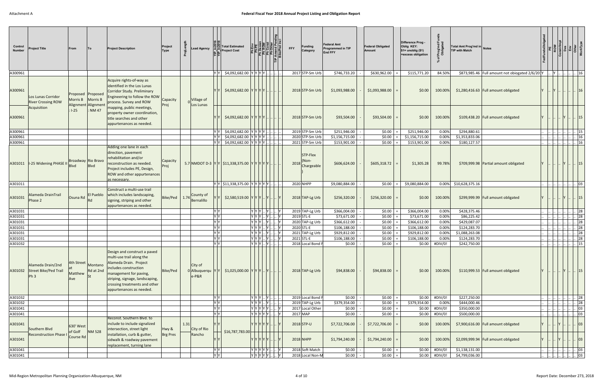| Control<br><b>Number</b> | Project Title                                                         | From                         |                                                    | <b>Project Description</b>                                                                                                                                                                                                             | Project<br><b>Type</b> |      | ead Agency                            |                           | <b>Total Estimated</b><br><b>Project Cost</b>                                 |                                  |                      | <b>FFY</b> | <b>Funding</b><br>Category                                 | Federal Amt<br>Programmed in TIP<br><b>End FFY</b> | <b>Federal Obligated</b><br>Amount | Difference Prog -<br>Oblig KEY:<br>$$1=$ unoblig $$1)$<br>=excess obligation |                                   | 호흥                 | Total Amt Prog'md in Notes<br><b>TIP with Match</b> |                                                 |  |                         |                        |
|--------------------------|-----------------------------------------------------------------------|------------------------------|----------------------------------------------------|----------------------------------------------------------------------------------------------------------------------------------------------------------------------------------------------------------------------------------------|------------------------|------|---------------------------------------|---------------------------|-------------------------------------------------------------------------------|----------------------------------|----------------------|------------|------------------------------------------------------------|----------------------------------------------------|------------------------------------|------------------------------------------------------------------------------|-----------------------------------|--------------------|-----------------------------------------------------|-------------------------------------------------|--|-------------------------|------------------------|
| A300961                  |                                                                       |                              |                                                    |                                                                                                                                                                                                                                        |                        |      |                                       | IY IY I                   | - \$4,092,682.00  Υ Υ Υ Υ                                                     |                                  |                      |            | 2017 STP-Sm Urb                                            | \$746,733.20                                       | \$630,962.00                       | \$115,771.20                                                                 |                                   | 84.50%             |                                                     | \$873,985.46 Full amount not obiogated 2/6/201Y |  | .  Y          16        |                        |
| A300961                  | Los Lunas Corridor<br><b>River Crossing ROW</b>                       | Proposed<br>Morris B         | <b>Proposed</b><br>Morris B<br>Alignment Alignment | Acquire rights-of-way as<br>identified in the Los Lunas<br>Corridor Study. Preliminary<br>Engineering to follow the ROW<br>process. Survey and ROW                                                                                     | Capacity<br>Proj       |      | Village of<br>Los Lunas               |                           | $$4,092,682.00$ YYYYY                                                         |                                  |                      |            | 2018 STP-Sm Urb                                            | \$1,093,988.00                                     | \$1,093,988.00                     | \$0.00                                                                       |                                   | 100.00%            |                                                     | $$1,280,416.63$ Full amount obligated           |  |                         |                        |
| A300961                  | Acquisition                                                           | $1-25$                       | <b>NM 47</b>                                       | mapping, public meetings,<br>property owner coordination,<br>title searches and other<br>appurtenances as needed.                                                                                                                      |                        |      |                                       |                           | \$4,092,682.00 YYYYY                                                          |                                  |                      |            | 2018 STP-Sm Urb                                            | \$93,504.00                                        | \$93,504.00                        | \$0.00                                                                       |                                   | 100.00%            |                                                     | \$109,438.20 Full amount obligated              |  |                         | $\vert \cdot \vert$ 15 |
| A300961                  |                                                                       |                              |                                                    |                                                                                                                                                                                                                                        |                        |      |                                       | IY IY                     | \$4,092,682.00                                                                | <u> Y  Y  Y  Y  </u>             |                      |            | 2019 STP-Sm Urb                                            | \$251,946.00                                       | \$0.00                             | \$251,946.00                                                                 |                                   | 0.00%              | \$294,880.61                                        |                                                 |  |                         | 15                     |
| A300961                  |                                                                       |                              |                                                    |                                                                                                                                                                                                                                        |                        |      |                                       | <b>YY</b>                 | \$4,092,682.00 YYYYY                                                          |                                  |                      |            | 2020 STP-Sm Urb                                            | \$1,156,715.00                                     | \$0.00                             | \$1,156,715.00                                                               |                                   | 0.00%              | \$1,353,833.06                                      |                                                 |  |                         | $\therefore$ 16        |
| A300961                  | A301011   I-25 Widening PHASE                                         | Broadway Rio Bravo           | Blvd                                               | Adding one lane in each<br>direction, pavement<br>rehabilitation and/or<br>reconstruction as needed.<br>Project includes PE, Design,<br>ROW and other appurtenances<br>as necessary.                                                   | Capacity<br>Proj       |      |                                       | YY                        | \$4,092,682.00 YYYYY<br>5.7 NMDOT D-3 $ Y Y $ \$11,338,375.00 $ Y Y Y Y Y $ . |                                  |                      |            | 2021 STP-Sm Urb<br>STP-Flex<br>(Non-<br>2018<br>Chargeable | \$153,901.00<br>\$606,624.00                       | \$0.00<br>\$605,318.72             | \$153,901.00<br>\$1,305.28                                                   |                                   | 0.00%<br>99.78%    | \$180,127.57                                        | \$709,999.98 Partial amount obligated           |  |                         | 16<br> 15              |
| A301011                  |                                                                       |                              |                                                    |                                                                                                                                                                                                                                        |                        |      |                                       |                           | $ Y Y $ \$11,338,375.00 $ Y Y Y Y Y $                                         |                                  |                      |            | 2020 NHPP                                                  | \$9,080,884.00                                     | \$0.00                             | \$9,080,884.00                                                               |                                   |                    | 0.00% \$10,628,375.16                               |                                                 |  |                         | 03                     |
| A301031                  | Alameda DrainTrail<br>Phase 2                                         | Osuna Rd                     | El Pueblo<br>Rd                                    | Construct a multi-use trail<br>which includes landscaping,<br>signing, striping and other<br>appurtenances as needed.                                                                                                                  | Bike/Ped   $1.74$      |      | County of<br>Bernalillo               |                           | $$2,580,519.00$ $YYY.$                                                        |                                  |                      |            | 2018 TAP-Lg Urb                                            | \$256,320.00                                       | \$256,320.00                       | \$0.00                                                                       |                                   | 100.00%            |                                                     | \$299,999.99 Full amount obligated              |  |                         | $\lfloor . \rfloor$ 15 |
| A301031                  |                                                                       |                              |                                                    |                                                                                                                                                                                                                                        |                        |      |                                       | IY IY                     |                                                                               | y  y  y    y      y              |                      |            | 2019 TAP-Lg Urb                                            | \$366,004.00                                       | \$0.00                             | \$366,004.00                                                                 |                                   | 0.00%              | \$428,375.46                                        |                                                 |  |                         | 28                     |
| A301031                  |                                                                       |                              |                                                    |                                                                                                                                                                                                                                        |                        |      |                                       | Y                         |                                                                               | $\overline{ Y Y Y }$ $ Y $ $ Y $ |                      |            | 2019 STL-E                                                 | \$73,671.00                                        | \$0.00                             | \$73,671.00                                                                  |                                   | 0.00%              | \$86,225.42                                         |                                                 |  |                         | 28                     |
| A301031                  |                                                                       |                              |                                                    |                                                                                                                                                                                                                                        |                        |      |                                       | YY                        |                                                                               | Y  Y  Y    Y      Y              |                      |            | 2020 TAP-Lg Urb                                            | \$366,612.00                                       | \$0.00                             | \$366,612.00                                                                 |                                   | 0.00%              | \$429,087.07                                        |                                                 |  |                         | 28                     |
| A301031                  |                                                                       |                              |                                                    |                                                                                                                                                                                                                                        |                        |      |                                       | <b>YY</b><br>Y            |                                                                               | Y[Y Y  Y ]                       |                      |            | 2020 STL-E                                                 | \$106,188.00                                       | \$0.00                             | \$106,188.00                                                                 |                                   | 0.00%              | \$124,283.70                                        |                                                 |  |                         | 28                     |
| A301031<br>A301031       |                                                                       |                              |                                                    |                                                                                                                                                                                                                                        |                        |      |                                       | YY                        |                                                                               | Y  Y  Y    Y    <br>Y Y Y  Y     |                      |            | 2021 TAP-Lg Urb<br>2021 STL-E                              | \$929,812.00<br>\$106,188.00                       | \$0.00<br>\$0.00                   | \$929,812.00<br>\$106,188.00                                                 |                                   | 0.00%<br>0.00%     | \$1,088,263.08<br>\$124,283.70                      |                                                 |  |                         | 28<br>28               |
| A301032                  |                                                                       |                              |                                                    |                                                                                                                                                                                                                                        |                        |      |                                       | Y Y                       |                                                                               | Y[Y Y  Y                         |                      |            | 2018 Local Bond F                                          | \$0.00                                             | \$0.00                             | \$0.00                                                                       |                                   | #DIV/0!            | \$242,750.00                                        |                                                 |  |                         | 15                     |
|                          | Alameda Drain/2nd<br>A301032 Street Bike/Ped Trail<br>Ph <sub>3</sub> | 4th Street<br>Matthew<br>Ave | Montano<br>Rd at 2nd<br><b>St</b>                  | Design and construct a paved<br>multi-use trail along the<br>Alameda Drain. Project<br>includes construction<br>management for paving,<br>striping, signage, landscaping,<br>crossing treatments and other<br>appurtenances as needed. | Bike/Ped               |      | City of<br>0 Albuquerqu YY<br>$e-P&R$ |                           | $$1,025,000.00$ $Y$ $Y$ $Y$ $$ $Y$ $$                                         |                                  |                      |            | 2018 TAP-Lg Urb                                            | \$94,838.00                                        | \$94,838.00                        | \$0.00                                                                       |                                   | 100.00%            |                                                     | \$110,999.53 Full amount obligated              |  |                         | $\lfloor . \rfloor$ 15 |
| A301032                  |                                                                       |                              |                                                    |                                                                                                                                                                                                                                        |                        |      |                                       | $\frac{Y}{Y} \frac{Y}{Y}$ |                                                                               | Y Y Y  Y   .                     |                      |            | 2019 Local Bond F                                          | \$0.00                                             | \$0.00                             | \$0.00                                                                       |                                   | #DIV/0!            | \$227,250.00                                        |                                                 |  |                         | $\therefore$ 28        |
| A301032                  |                                                                       |                              |                                                    |                                                                                                                                                                                                                                        |                        |      |                                       |                           |                                                                               | Y Y Y  Y                         |                      |            | 2019 TAP-Lg Urb                                            | \$379,354.00                                       | \$0.00                             | \$379,354.00                                                                 |                                   | 0.00%              | \$444,000.46                                        |                                                 |  |                         | $\cdot$ 28             |
| A301041<br>A301041       |                                                                       |                              |                                                    |                                                                                                                                                                                                                                        |                        |      |                                       | YY<br>Y                   |                                                                               | $ Y Y Y Y Y  $ $ Y $             | $ Y Y Y Y Y  $ $ Y $ |            | 2017 Local Other<br>2017 MAP                               | \$0.00<br>\$0.00                                   | \$0.00<br>\$0.00                   | \$0.00                                                                       | \$0.00                            | #DIV/0!<br>#DIV/0! | \$350,000.00<br>\$500,000.00                        |                                                 |  |                         | . 03<br>03             |
| A301041                  | Southern Blvd<br><b>Reconstruction Phase</b>                          | 630' West<br>of Golf         | <b>NM 528</b>                                      | Reconst. Southern Blvd. to<br>include to include signalized<br>intersection, street light<br>installation, curb & gutter,                                                                                                              | Hwy &<br>Brg Pres      | 1.31 | City of Rio<br>Rancho                 |                           | \$16,787,783.00                                                               | $Y Y Y Y Y $ .                   |                      |            | $2018$ STP-U                                               | \$7,722,706.00                                     | \$7,722,706.00                     | \$0.00                                                                       |                                   | 100.00%            |                                                     | \$7,900,616.00 Full amount obligated            |  |                         | 03                     |
| A301041                  |                                                                       | Course Rd                    |                                                    | sidwalk & roadway pavement<br>replacement, turning lane                                                                                                                                                                                |                        |      |                                       |                           |                                                                               | Y Y Y Y Y Y                      |                      |            | 2018 NHPP                                                  | \$1,794,240.00                                     | \$1,794,240.00                     | \$0.00                                                                       |                                   | 100.00%            |                                                     | \$2,099,999.94   Full amount obligated          |  |                         | 03                     |
| A301041<br>A301041       |                                                                       |                              |                                                    |                                                                                                                                                                                                                                        |                        |      |                                       | YY<br>$Y$ $Y$             |                                                                               | $ Y Y Y Y Y  $ $ Y $             | $ Y Y Y Y Y  $ $ Y $ |            | 2018 Soft Match<br>2018 Local Non-M                        | \$0.00<br>\$0.00                                   | \$0.00<br>\$0.00                   |                                                                              | $$0.00$ #DIV/0!<br>\$0.00 #DIV/0! |                    | \$1,138,131.00<br>\$4,799,036.00                    |                                                 |  | $\  .\  .\  .\  .\ $ 03 | . 03                   |
|                          |                                                                       |                              |                                                    |                                                                                                                                                                                                                                        |                        |      |                                       |                           |                                                                               |                                  |                      |            |                                                            |                                                    |                                    |                                                                              |                                   |                    |                                                     |                                                 |  |                         |                        |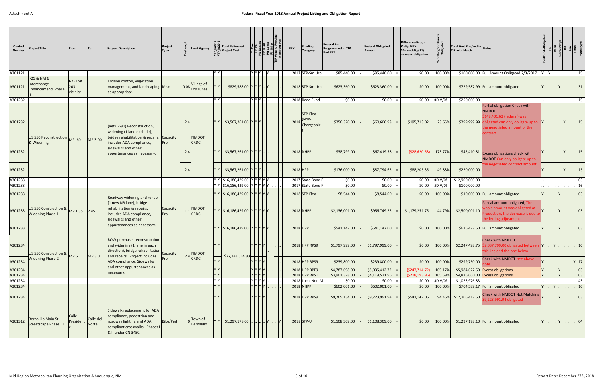| Control<br><b>Number</b> | <b>Project Title</b>                                    | From                         |                    | <b>Project Description</b>                                                                                                                      | Project<br>Type  |      | ead Agency.                |                                                                                            | Total Estimated<br><b>Project Cost</b>                                  |          |                               | <b>Funding</b><br><b>FFY</b><br>Category | Federal Amt<br>Programmed in TIP<br><b>End FFY</b> | <b>Federal Obligated</b><br>Amount | Difference Prog -<br>Oblig KEY:<br>$$1=$ unoblig $($1)$<br>=excess obligation | Prog'<br>Oblig<br>్ల | Total Amt Prog'md in Notes<br><b>TIP with Match</b> |                                                                                                                                                               |     |       |                     |                 |  |
|--------------------------|---------------------------------------------------------|------------------------------|--------------------|-------------------------------------------------------------------------------------------------------------------------------------------------|------------------|------|----------------------------|--------------------------------------------------------------------------------------------|-------------------------------------------------------------------------|----------|-------------------------------|------------------------------------------|----------------------------------------------------|------------------------------------|-------------------------------------------------------------------------------|----------------------|-----------------------------------------------------|---------------------------------------------------------------------------------------------------------------------------------------------------------------|-----|-------|---------------------|-----------------|--|
| A301121                  |                                                         |                              |                    |                                                                                                                                                 |                  |      |                            | YY                                                                                         |                                                                         | Y Y Y  Y |                               | 2017 STP-Sm Urb                          | \$85,440.00                                        | \$85,440.00                        | \$0.00                                                                        | 100.00%              |                                                     | \$100,000.00 Full Amount Obligated 2/3/2017                                                                                                                   |     | $Y$ . |                     | 15              |  |
| A301121                  | I-25 & NM 6<br>Interchange<br><b>Enhancements Phase</b> | I-25 Exit<br>203<br>vicinity |                    | Erosion control, vegetation<br>management, and landscaping Misc<br>as appropriate.                                                              |                  | 0.08 | Village of<br>Los Lunas    |                                                                                            | $$829,588.00$ $YYY.$ $Y.$                                               |          |                               | 2018 STP-Sm Urb                          | \$623,360.00                                       | \$623,360.00                       | \$0.00                                                                        | 100.00%              |                                                     | \$729,587.99 Full amount obligated                                                                                                                            |     |       |                     | 31              |  |
| A301232                  |                                                         |                              |                    |                                                                                                                                                 |                  |      |                            | YY                                                                                         |                                                                         |          | Y Y Y                         | 2018 Road Fund                           | \$0.00                                             | \$0.00                             | \$0.00                                                                        | #DIV/0!              | \$250,000.00                                        |                                                                                                                                                               |     |       |                     | 15              |  |
| A301232                  | US 550 Reconstruction                                   | MP .60                       | MP 3.00            | (Ref CP-91) Reconstruction,<br>widening (1 lane each dir),<br>bridge rehabilitation & repairs, Capacity                                         |                  | 2.4  | <b>NMDOT</b>               |                                                                                            | \$3,567,261.00 YYY                                                      |          |                               | STP-Flex<br>(Non-<br>2018<br>Chargeable  | \$256,320.00                                       | \$60,606.98                        | \$195,713.02                                                                  | 23.65%               | \$299,999.99                                        | Partial obligation Check with<br><b>NMDOT</b><br>\$148,401.63 (federal) was<br>obligated can only obligate up to<br>the negotiated amount of the<br>contract. |     |       |                     | 15              |  |
| A301232                  | & Widening                                              |                              |                    | includes ADA compliance,<br>sidewalks and other<br>appurtenances as necessary.                                                                  | Proj             | 2.4  | <b>CRDC</b>                |                                                                                            | $$3,567,261.00$  Y  Y  Y  .                                             |          |                               | 2018 NHPP                                | \$38,799.00                                        | \$67,419.58                        | ( \$28,620.58]                                                                | 173.77%              |                                                     | \$45,410.81 Excess obligations check with<br>NMDOT Can only obligate up to                                                                                    |     |       |                     | 15              |  |
| A301232                  |                                                         |                              |                    |                                                                                                                                                 |                  | 2.4  |                            |                                                                                            | $$3,567,261.00$ YYY                                                     |          |                               | 2018 HPP                                 | \$176,000.00                                       | \$87,794.65                        | \$88,205.35                                                                   | 49.88%               | \$220,000.00                                        | he negotiated contract amount                                                                                                                                 |     |       |                     | 15              |  |
| A301233                  |                                                         |                              |                    |                                                                                                                                                 |                  |      |                            |                                                                                            | $ Y Y $ \$16,186,429.00 $ Y Y Y Y Y $                                   |          |                               | 2017 State Bond F                        | \$0.00                                             | \$0.00                             | \$0.00                                                                        | #DIV/0!              | \$12,900,000.00                                     |                                                                                                                                                               |     |       |                     | 03              |  |
| A301233<br>A301233       |                                                         |                              |                    | Roadway widening and rehab.                                                                                                                     |                  |      |                            |                                                                                            | $ Y Y $ \$16,186,429.00 $ Y Y Y Y Y$<br>Y   \$16,186,429.00 Y Y Y Y Y Y |          |                               | 2017 State Bond I<br>2018 STP-Flex       | \$0.00<br>\$8,544.00                               | \$0.00<br>\$8,544.00               | \$0.00<br>\$0.00                                                              | #DIV/0!<br>100.00%   | \$100,000.00                                        | \$10,000.00 Full amount obligated                                                                                                                             |     |       |                     | 16<br> 03       |  |
| A301233                  | US 550 Construction &<br><b>Widening Phase 1</b>        | MP 1.35 2.45                 |                    | (1 new NB lane), bridge<br>rehabilitation & repairs,<br>includes ADA compliance,<br>sidewalks and other                                         | Capacity<br>Proj |      | <b>NMDOT</b><br>$1.1$ CRDC |                                                                                            | Y Y  \$16,186,429.00  Y Y Y Y Y .                                       |          |                               | 2018 NHPP                                | \$2,136,001.00                                     | \$956,749.25                       | \$1,179,251.75                                                                | 44.79%               | \$2,500,001.10                                      | Partial amount obligated, The<br>hole amount was obligated at<br>roduction, the decrease is due to<br>the letting adjustment                                  |     |       |                     | 03              |  |
| A301233                  |                                                         |                              |                    | appurtenances as necessary.                                                                                                                     |                  |      |                            |                                                                                            | Y   \$16,186,429.00 Y Y Y Y Y Y                                         |          |                               | 2018 HPP                                 | \$541,142.00                                       | \$541,142.00                       | \$0.00                                                                        | 100.00%              |                                                     | \$676,427.50 Full amount obligated                                                                                                                            |     |       |                     |                 |  |
| A301234                  | US 550 Construction &                                   | MP.6                         | MP 3.0             | ROW purchase, reconstruction<br>and widening (1 lane in each<br>direction), bridge rehabilitation Capacity<br>and repairs. Project includes     |                  |      | NMDOT                      |                                                                                            | \$27,343,514.83                                                         | YYYYI    |                               | 2018 HPP RPS9                            | \$1,797,999.00                                     | \$1,797,999.00                     | \$0.00                                                                        | 100.00%              |                                                     | <b>Check with NMDOT</b><br>\$2,247,498.75 \$2,037,799.00 obligated betwe<br>this line and the one below                                                       |     |       |                     |                 |  |
| A301234                  | <b>Widening Phase 2</b>                                 |                              |                    | ADA compliance, Sidewalks<br>and other appurtenances as                                                                                         | Proj             |      | 2.4 CRDC                   |                                                                                            |                                                                         | Y Y Y Y  |                               | 2018 HPP RPS9                            | \$239,800.00                                       | \$239,800.00                       | \$0.00                                                                        | 100.00%              | \$299,750.00                                        | Check with NMDOT see above                                                                                                                                    |     |       |                     | $Y \mid 17$     |  |
| A301234<br>A301234       |                                                         |                              |                    | necessary.                                                                                                                                      |                  |      |                            | $\begin{array}{c c} \mathsf{Y} & \mathsf{Y} \\ \hline \mathsf{Y} & \mathsf{Y} \end{array}$ |                                                                         |          | YY[Y Y].<br>YYYYL.L.          | 2018 HPP RPF9<br>2018 HPP RPS1           | \$4,787,698.00<br>\$3,901,328.00                   | \$5,035,412.72<br>\$4,119,521.96   | (5247, 714.72)<br>(\$218,193.96                                               | 105.17%<br>105.59%   |                                                     | \$5,984,622.50 Excess obligations<br>\$4,876,660.00 Excess obligations                                                                                        |     |       | $\vert$ Y $\vert$ . | $\log$<br> 03   |  |
| A301234                  |                                                         |                              |                    |                                                                                                                                                 |                  |      |                            | $\overline{Y}$                                                                             |                                                                         | Y Y Y Y  |                               | 2018 Local Non-M                         | \$0.00                                             | \$0.00                             | \$0.00                                                                        | #DIV/0!              | \$1,023,976.83                                      |                                                                                                                                                               |     |       |                     | 43              |  |
| A301234                  |                                                         |                              |                    |                                                                                                                                                 |                  |      |                            | Y Y                                                                                        |                                                                         |          | $YY Y Y$                      | 2018 NHPP                                | \$602,001.00                                       | \$602,001.00                       | \$0.00                                                                        | 100.00%              |                                                     | \$704,589.17 Full amount obligated                                                                                                                            | lY. | Y     |                     | $\therefore$ 16 |  |
| A301234                  |                                                         |                              |                    |                                                                                                                                                 |                  |      |                            |                                                                                            |                                                                         |          | Y Y Y Y  .                    | 2018 HPP RPS9                            | \$9,765,134.00                                     | \$9,223,991.94                     | \$541,142.06                                                                  |                      | 94.46% \$12,206,417.50                              | <b>Check with NMDOT Not Matching</b><br>\$9,223,991.94 obligated                                                                                              |     |       |                     | 03              |  |
| A301312                  | <b>Bernalillo Main St</b><br>Streetscape Phase III      | Calle<br>President           | Calle del<br>Norte | Sidewalk replacement for ADA<br>compliance, pedestrian and<br>roadway lighting and ADA<br>compliant crosswalks. Phases I<br>& II under CN 3450. | Bike/Ped         |      | ∣Town of<br>Bernalillo     |                                                                                            | \$1,297,178.00                                                          |          | $\left\  \mathbf{Y} \right\ $ | $2018$ STP-U                             | \$1,108,309.00                                     | \$1,108,309.00                     | \$0.00                                                                        | 100.00%              |                                                     | $$1,297,178.10$ Full amount obligated                                                                                                                         |     |       |                     |                 |  |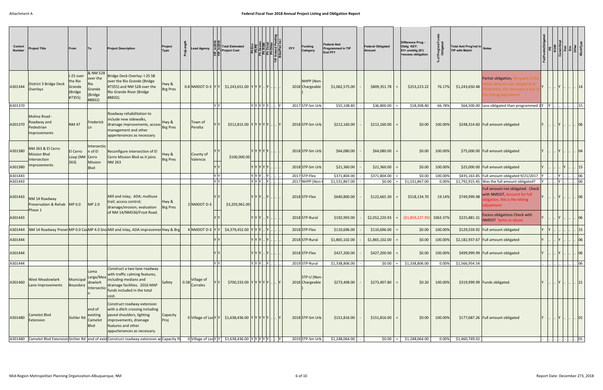| Control<br><b>Number</b> | Project Title                                              | From                                                |                                                            | <b>Project Description</b>                                                                                                                                                 | Project<br><b>Type</b>   |      | ead Agency.                   |                | <b>Total Estimated</b><br><b>Project Cost</b>          |                      | <b>FFY</b> | <b>Funding</b><br>Category     | <b>Federal Amt</b><br>Programmed in TIP<br><b>End FFY</b> | <b>Federal Obligated</b><br><b>Amount</b> | Difference Prog -<br>Oblig KEY:<br>$$1=$ unoblig $($1)$<br>=excess obligation | 눈ㅎ       | Total Amt Prog'md in Notes<br><b>TIP with Match</b> |                                                                                                                          |       |                          |              |
|--------------------------|------------------------------------------------------------|-----------------------------------------------------|------------------------------------------------------------|----------------------------------------------------------------------------------------------------------------------------------------------------------------------------|--------------------------|------|-------------------------------|----------------|--------------------------------------------------------|----------------------|------------|--------------------------------|-----------------------------------------------------------|-------------------------------------------|-------------------------------------------------------------------------------|----------|-----------------------------------------------------|--------------------------------------------------------------------------------------------------------------------------|-------|--------------------------|--------------|
| A301344                  | District 3 Bridge Deck<br>Overlays                         | I-25 over<br>the Rio<br>Grande<br>(Bridge<br> #7355 | & NM 528<br>over the<br>Rio<br>Grande<br>(Bridge<br>#8832) | Bridge Deck Overlay: I-25 SB<br>over the Rio Grande (Bridge<br>#7355) and NM 528 over the<br>Rio Grande River (Bridge<br>#8832).                                           | Hwy &<br><b>Brg Pres</b> |      |                               |                | $0.8$ NMDOT D-3 YY $ Y $ \$1,243,651.00 YYY  Y         |                      |            | NHPP (Non-<br>2018 Chargeable  | \$1,062,575.00                                            | \$809,351.78                              | \$253,223.22                                                                  | 76.17%   | \$1,243,650.48                                      | Partial obligation, My guess is th<br>iount was obligated af<br>oduction, the decrease is due t<br>he letting adjustment |       |                          |              |
| A301370                  |                                                            |                                                     |                                                            |                                                                                                                                                                            |                          |      |                               | YY             |                                                        | $ Y Y Y Y Y  $ $ Y $ |            | 2017 STP-Sm Urb                | \$55,108.80                                               | \$36,800.00                               | \$18,308.80                                                                   | 66.78%   |                                                     | \$64,500.00 Less obligated than programmed $2 Y $  Y                                                                     |       | 15                       |              |
| A301370                  | Molina Road -<br>Roadway and<br>Pedestrian<br>Improvements | <b>NM47</b>                                         | Frederick                                                  | Roadway rehabilitation to<br>include new sidewalks,<br>drainage improvements, access<br>management and other<br>appertenances as necessary.                                | Hwy &<br>Brg Pres        |      | Town of<br>Peralta            |                | $$312,815.00$ YYYYYY.                                  |                      |            | 2018 STP-Sm Urb                | \$212,160.00                                              | \$212,160.00                              | \$0.00                                                                        | 100.00%  |                                                     | \$248,314.60 Full amount obligated                                                                                       |       |                          | $ 06\rangle$ |
| A301380                  | NM 263 & El Cerro<br><b>Mission Blvd</b><br>Intersection   | El Cerro<br>Loop (NM Cerro<br>263)                  | Intersectio<br>$ n \text{ of } E $<br>Mission              | Reconfigure intersection of El<br>Cerro Mission Blvd as it joins<br><b>NM 263</b>                                                                                          | Hwy &<br><b>Brg Pres</b> |      | County of<br>Valencia         |                | \$100,000.00                                           | YYYYYY               |            | 2018 STP-Sm Urb                | \$64,080.00                                               | \$64,080.00                               | \$0.00                                                                        | 100.00%  |                                                     | \$75,000.00 Full amount obligated                                                                                        |       |                          |              |
| A301380                  | Improvements                                               |                                                     | <b>Blvd</b>                                                |                                                                                                                                                                            |                          |      |                               |                |                                                        | Y Y Y Y Y I          |            | 2018 STP-Sm Urb                | \$21,360.00                                               | \$21,360.00                               | \$0.00                                                                        | 100.00%  |                                                     | \$25,000.00 Full amount obligated                                                                                        |       |                          |              |
| A301443                  |                                                            |                                                     |                                                            |                                                                                                                                                                            |                          |      |                               | YY             |                                                        | $ Y Y Y $ $ Y $      |            | 2017 STP-Flex                  | \$371,804.00                                              | \$371,804.00                              | \$0.00                                                                        | 100.00%  |                                                     | \$435,163.85 Full amount obligated 9/21/2017                                                                             | IY I. | $\cdot$ 06               |              |
| A301443                  |                                                            |                                                     |                                                            |                                                                                                                                                                            |                          |      |                               | $\overline{Y}$ |                                                        | $ Y Y Y $ $ Y $      |            | 2017 NHPP (Non-                | \$1,531,867.00                                            | \$0.00                                    | \$1,531,867.00                                                                | 0.00%    |                                                     | \$1,792,915.45 Was the full amount obligated?                                                                            | IY.   | $\therefore$ 06          |              |
| A301443                  | NM 14 Roadway<br>Preservation & Rehab MP 0.0<br>Phase 1    |                                                     | MP 2.0                                                     | Mill and inlay; ADA; multiuse<br>trail; access control;<br>drainage/erosion; evaluation                                                                                    | Hwy &<br><b>Brg Pres</b> |      | $2$ NMDOT D-3                 |                | \$3,203,961.00                                         | Y Y Y  Y .           |            | 2018 STP-Flex                  | \$640,800.00                                              | \$122,665.30                              | \$518,134.70                                                                  | 19.14%   | \$749,999.98                                        | Full amount not obligated. Check<br>with NMDOT, Account for full<br>bigation, this is the letting<br>djustment           |       | $\vert \cdot \vert 06$   |              |
| A301443                  |                                                            |                                                     |                                                            | of NM 14/NM536/Frost Road.                                                                                                                                                 |                          |      |                               |                |                                                        | Y IY IY I IY I       |            | 2018 STP-Rural                 | \$192,993.00                                              | \$2,052,220.93                            | (51,859,227.93)                                                               | 1063.37% | \$225,881.31                                        | <b>Excess obligations Check with</b><br>NMDOT Same as above                                                              |       |                          |              |
| A301444                  |                                                            |                                                     |                                                            | NM 14 Roadway Preser MP 0.0 Cas MP 4.0 Sno Mill and inlay, ADA improvemer Hwy & Brg                                                                                        |                          |      | 4 NMDOT D-3 $ Y Y$            |                | \$4,379,452.00                                         |                      |            | 2018 STP-Flex                  | \$110,696.00                                              | \$110,696.00                              | \$0.00                                                                        | 100.00%  |                                                     | \$129,559.92 Full amount obligated                                                                                       |       |                          |              |
| A301444                  |                                                            |                                                     |                                                            |                                                                                                                                                                            |                          |      |                               |                |                                                        |                      |            | 2018 STP-Rural                 | \$1,865,102.00                                            | \$1,865,102.00                            | \$0.00                                                                        | 100.00%  |                                                     | \$2,182,937.67   Full amount obligated                                                                                   |       |                          | 06           |
| A301444                  |                                                            |                                                     |                                                            |                                                                                                                                                                            |                          |      |                               |                |                                                        | $Y Y Y $ $ Y $       |            | 2018 STP-Flex                  | \$427,200.00                                              | \$427,200.00                              | \$0.00                                                                        | 100.00%  |                                                     | \$499,999.99 Full amount obligated                                                                                       |       |                          | 06           |
| A301444                  |                                                            |                                                     |                                                            |                                                                                                                                                                            |                          |      |                               | YY             |                                                        | Y Y Y  Y   .         |            | 2019 STP-Rural                 | \$1,338,806.00                                            | \$0.00                                    | \$1,338,806.00                                                                |          | 0.00% \$1,566,954.54                                |                                                                                                                          |       | $\log$                   |              |
| A301460                  | West Meadowlark<br>Lane Improvements                       | Municipal<br>Boundary                               | Loma<br>Larga/Mea<br>dowlark<br>Intersectio                | Construct a two-lane roadway<br>with traffic calming features,<br>including medians and<br>drainage facilities. 2016 MAP<br>funds included in the total<br>cost.           | Safety                   | 0.58 | Village of<br><b>Corrales</b> |                | \$700,333.00 Y Y Y Y Y Y                               |                      |            | STP-U (Non-<br>2018 Chargeable | \$273,408.00                                              | \$273,407.80                              | \$0.20                                                                        | 100.00%  |                                                     | \$319,999.99 Funds obligated.                                                                                            |       | $\lfloor \rfloor$ 21     |              |
| A301480                  | Camelot Blvd<br>Extension                                  | Sichler Ro                                          | end of<br>existing<br>Camelot<br><b>Blvd</b>               | Construct roadway extension<br>with a ditch crossing including<br>paved shoulders, lighting<br>improvements, drainage<br>features and other<br>appurtenances as necessary. | Capacity<br>Proj         |      |                               |                | 0 Village of Los Y Y   \$1,638,436.00 Y Y Y Y Y Y  . Y |                      |            | 2018 STP-Sm Urb                | \$151,816.00                                              | \$151,816.00                              | \$0.00                                                                        | 100.00%  |                                                     | \$177,687.26 Full amount obligated                                                                                       |       | $\vert . \vert 01$       |              |
|                          |                                                            |                                                     |                                                            | A301480 Camelot Blvd Extension Sichler Rd end of exist Construct roadway extension w Capacity Pr                                                                           |                          |      |                               |                | 0 Village of Los Y Y   \$1,638,436.00 Y Y Y Y Y Y  . Y |                      |            | 2019 STP-Sm Urb                | \$1,248,064.00                                            | \$0.00                                    | \$1,248,064.00                                                                |          | 0.00% \$1,460,749.02                                |                                                                                                                          |       | <u>             01  </u> |              |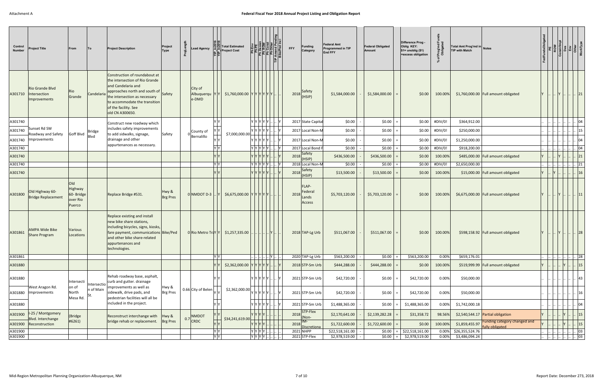| Control<br><b>Number</b> | Project Title                                          | From                                               |             | <b>Project Description</b>                                                                                                                                                                                                                 | Project<br>Type          | ead Agency                           |         | <b>Total Estimated</b><br><b>Project Cost</b> |                         | ے Ph ROW<br>Ph Cons<br>Ph Cons<br>Ph Other<br>Phote Pi | <b>FFY</b> | <b>Funding</b><br>Category             | Federal Amt<br>Programmed in TIP<br><b>End FFY</b> | <b>Federal Obligated</b><br>Amount | Difference Prog -<br>Oblig KEY:<br>$$1=$ unoblig $$1)$<br>=excess obligation | Prog'md<br>Obligated | Total Amt Prog'md in Notes<br><b>TIP with Match</b> |                                                                   |  |               |
|--------------------------|--------------------------------------------------------|----------------------------------------------------|-------------|--------------------------------------------------------------------------------------------------------------------------------------------------------------------------------------------------------------------------------------------|--------------------------|--------------------------------------|---------|-----------------------------------------------|-------------------------|--------------------------------------------------------|------------|----------------------------------------|----------------------------------------------------|------------------------------------|------------------------------------------------------------------------------|----------------------|-----------------------------------------------------|-------------------------------------------------------------------|--|---------------|
| A301710                  | <b>Rio Grande Blvd</b><br>Intersection<br>Improvements | Rio<br>Grande                                      | Candelaria  | Construction of roundabout at<br>the intersection of Rio Grande<br>and Candelaria and<br>approaches north and south of Safety<br>the intersection as necessary<br>to accommodate the transition<br>of the facility. See<br>old CN A300650. |                          | City of<br>Albuquerqu  Y Y <br>e-DMD |         | \$1,760,000.00 YYYYYYY.                       |                         |                                                        |            | 2018 Safety<br>(HSIP)                  | \$1,584,000.00                                     | \$1,584,000.00                     | \$0.00                                                                       | 100.00%              |                                                     | $$1,760,000.00$ Full amount obligated                             |  |               |
| A301740                  |                                                        |                                                    |             | Construct new roadway which                                                                                                                                                                                                                |                          |                                      |         |                                               | Y Y Y Y Y Y I.          |                                                        |            | 2017 State Capital                     | \$0.00                                             | \$0.00                             | \$0.00                                                                       | #DIV/0!              | \$364,912.00                                        |                                                                   |  | 04            |
| A301740                  | Sunset Rd SW<br>Roadway and Safety                     | Goff Blvd                                          | Bridge      | includes safety improvements<br>to add sidwalks, signage,                                                                                                                                                                                  | Safety                   | County of                            |         | \$7,000,000.00                                | Y Y Y Y Y J. I          |                                                        |            | 2017 Local Non-M                       | \$0.00                                             | \$0.00                             | \$0.00                                                                       | #DIV/0!              | \$250,000.00                                        |                                                                   |  | 15            |
| A301740                  | <b>Improvements</b>                                    |                                                    | Blvd        | drainage and other                                                                                                                                                                                                                         |                          | Bernalillo                           |         |                                               | Y Y Y Y Y               |                                                        |            | 2017 Local Non-M                       | \$0.00                                             | \$0.00                             | \$0.00                                                                       | #DIV/0!              | \$1,250,000.00                                      |                                                                   |  | 04            |
| A301740                  |                                                        |                                                    |             | appurtenances as necessary.                                                                                                                                                                                                                |                          |                                      | Y Y I   |                                               | $Y$ $Y$ $Y$ $Y$ $Y$ $.$ |                                                        |            | 2017 Local Bond F                      | \$0.00                                             | \$0.00                             | \$0.00                                                                       | #DIV/0!              | \$918,200.00                                        |                                                                   |  | 04            |
| A301740                  |                                                        |                                                    |             |                                                                                                                                                                                                                                            |                          |                                      |         |                                               | Y Y Y Y Y I             |                                                        |            | $2018$ Safety<br>(HSIP)                | \$436,500.00                                       | \$436,500.00                       | \$0.00                                                                       | 100.00%              |                                                     | \$485,000.00 Full amount obligated                                |  | 21            |
| A301740                  |                                                        |                                                    |             |                                                                                                                                                                                                                                            |                          |                                      | Y Y     |                                               | Y Y Y Y Y .             |                                                        |            | 2018 Local Non-M                       | \$0.00                                             | \$0.00                             | \$0.00                                                                       | #DIV/0!              | \$2,650,000.00                                      |                                                                   |  | 21            |
| A301740                  |                                                        |                                                    |             |                                                                                                                                                                                                                                            |                          |                                      |         |                                               | Y Y Y Y Y               |                                                        |            | $2018$ Safety                          | \$13,500.00                                        | \$13,500.00                        | \$0.00                                                                       | 100.00%              |                                                     | \$15,000.00 Full amount obligated                                 |  | 16            |
| A301800                  | Old Highway 60-<br><b>Bridge Replacement</b>           | Old<br>Highway<br>60- Bridge<br>over Rio<br>Puerco |             | Replace Bridge #531.                                                                                                                                                                                                                       | Hwy &<br><b>Brg Pres</b> | 0 NMDOT D-3                          |         | \$6,675,000.00 YYYYYY.                        |                         |                                                        | 2018       | FLAP-<br>Federal<br>Lands<br>Access    | \$5,703,120.00                                     | \$5,703,120.00                     | \$0.00                                                                       | 100.00%              |                                                     | $$6,675,000.00$ Full amount obligated                             |  |               |
| A301861                  | AMPA Wide Bike<br>Share Program                        | Various<br>Locations                               |             | Replace existing and install<br>new bike share stations,<br>including bicycles, signs, kiosks,<br>fare payment, communications Bike/Ped<br>and other bike share-related<br>appurtenances and<br>technologies.                              |                          |                                      |         | 0 Rio Metro TraY Y   \$1,257,335.00           |                         |                                                        |            | 2018 TAP-Lg Urb                        | \$511,067.00                                       | \$511,067.00                       | \$0.00                                                                       | 100.00%              |                                                     | \$598,158.92 Full amount obligated                                |  | 28            |
| A301861                  |                                                        |                                                    |             |                                                                                                                                                                                                                                            |                          |                                      | YY      |                                               |                         | .      Y                                               |            | 2020 TAP-Lg Urb                        | \$563,200.00                                       | \$0.00                             | \$563,200.00                                                                 | 0.00%                | \$659,176.01                                        |                                                                   |  | 28            |
| A301880                  |                                                        |                                                    |             |                                                                                                                                                                                                                                            |                          |                                      |         | \$2,362,000.00                                | Y Y Y Y Y I             |                                                        |            | 2018 STP-Sm Urb                        | \$444,288.00                                       | \$444,288.00                       | \$0.00                                                                       | 100.00%              |                                                     | \$519,999.99 Full amount obligated                                |  | <sup>15</sup> |
| A301880                  |                                                        | Intersecti                                         | Intersectio | Rehab roadway base, asphalt,<br>curb and gutter. drainage                                                                                                                                                                                  |                          |                                      |         |                                               | Y Y Y Y Y               |                                                        |            | 2021 STP-Sm Urb                        | \$42,720.00                                        | \$0.00                             | \$42,720.00                                                                  | 0.00%                | \$50,000.00                                         |                                                                   |  | 43            |
|                          | West Aragon Rd.<br>A301880   Improvements              | on of<br>North<br>Mesa Rd.                         | n of Main   | improvements as well as<br>sidewalk, drive pads, and<br>pedestrian facilities will all be                                                                                                                                                  | Hwy &<br><b>Brg Pres</b> | 0.66 City of Belen                   |         | \$2,362,000.00                                | Y Y Y Y Y Y  I.         |                                                        |            | 2021 STP-Sm Urb                        | \$42,720.00                                        | \$0.00                             | \$42,720.00                                                                  | 0.00%                | \$50,000.00                                         |                                                                   |  | $ 16\rangle$  |
| A301880                  |                                                        |                                                    |             | included in the project.                                                                                                                                                                                                                   |                          |                                      |         |                                               | Y  Y  Y  Y  Y           |                                                        |            | 2021 STP-Sm Urb                        | \$1,488,365.00                                     | \$0.00                             | \$1,488,365.00                                                               | 0.00%                | \$1,742,000.18                                      |                                                                   |  | 04            |
| A301900<br>A301900       | I-25 / Montgomery<br>Blvd. Interchange                 | (Bridge<br>#6261)                                  |             | Reconstruct interchange with<br>bridge rehab or replacement.                                                                                                                                                                               | Hwy &<br><b>Brg Pres</b> | NMDOT<br>$0.7$ CRDC                  |         | \$34,241,619.00                               | Y  Y  Y  Y              |                                                        | 2018       | $\sqrt{STP$ -Flex<br>2018 (Non-<br>IM- | \$2,170,641.00<br>\$1,722,600.00                   | \$2,139,282.28<br>\$1,722,600.00   | \$31,358.72<br>\$0.00                                                        | 98.56%<br>100.00%    | \$1,859,455.97                                      | \$2,540,544.17 Partial obligation<br>Funding category changed and |  | 15 <br> 15    |
| A301900                  | Reconstruction                                         |                                                    |             |                                                                                                                                                                                                                                            |                          |                                      | Y Y     |                                               | Y Y Y X   <br> Y Y Y Y  |                                                        |            | Discretiona<br>2021 NHPP               | \$22,518,161.00                                    | \$0.00                             | \$22,518,161.00                                                              | 0.00%                | \$26,355,524.76                                     | fully obligated                                                   |  | 03            |
| A301900                  |                                                        |                                                    |             |                                                                                                                                                                                                                                            |                          |                                      | $Y$ $Y$ |                                               | Y Y Y Y   .             |                                                        |            | 2021 STP-Flex                          | \$2,978,519.00                                     | \$0.00                             | \$2,978,519.00                                                               |                      | 0.00% \$3,486,094.24                                |                                                                   |  | $\cdot$ 03    |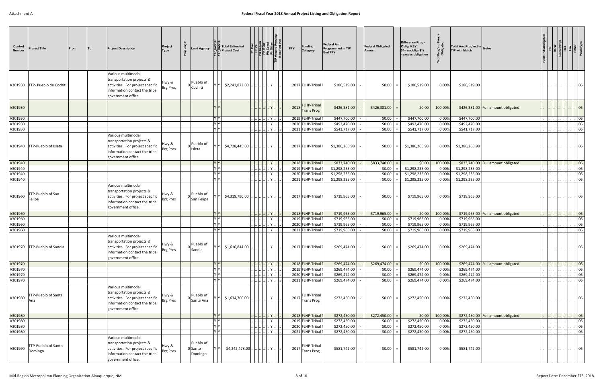| Control<br><b>Number</b> | <b>Project Title</b>                  | From | <b>To</b> | <b>Project Description</b>                                                                                                                  | Project<br>Type          |             | ead Agency              |                                                                                            | <b>Total Estimated</b><br><b>Project Cost</b> |                                                                                                                                                 | <b>Ph ROW</b><br>Ph Const<br>Ph Other<br>Ike/Ped In<br>Ike/Ped In | <b>FFY</b> | <b>Funding</b><br>Category                            | <b>Federal Amt</b><br><b>Programmed in TIP</b><br><b>End FFY</b> | <b>Federal Obligated</b><br>Amount | Difference Prog -<br>Oblig KEY:<br>$$1=$ unoblig $($1)$<br>=excess obligation | Prog'md<br>Obligated | Total Amt Prog'md in Notes<br><b>TIP with Match</b> |                                     |  |               |
|--------------------------|---------------------------------------|------|-----------|---------------------------------------------------------------------------------------------------------------------------------------------|--------------------------|-------------|-------------------------|--------------------------------------------------------------------------------------------|-----------------------------------------------|-------------------------------------------------------------------------------------------------------------------------------------------------|-------------------------------------------------------------------|------------|-------------------------------------------------------|------------------------------------------------------------------|------------------------------------|-------------------------------------------------------------------------------|----------------------|-----------------------------------------------------|-------------------------------------|--|---------------|
|                          | A301930   TTP- Pueblo de Cochiti      |      |           | Various multimodal<br>transportation projects &<br>activities. For project specific<br>information contact the tribal<br>government office. | Hwy &<br><b>Brg Pres</b> |             | Pueblo of<br>Cochiti    |                                                                                            | \$2,243,872.00                                |                                                                                                                                                 |                                                                   |            | 2017 FLHP-Tribal                                      | \$186,519.00                                                     | \$0.00                             | \$186,519.00                                                                  | 0.00%                | \$186,519.00                                        |                                     |  |               |
| A301930                  |                                       |      |           |                                                                                                                                             |                          |             |                         |                                                                                            |                                               |                                                                                                                                                 |                                                                   |            | <b>FLHP-Tribal</b><br>2018 Trans Prog                 | \$426,381.00                                                     | \$426,381.00                       | \$0.00                                                                        | 100.00%              |                                                     | \$426,381.00 Full amount obligated. |  |               |
| A301930                  |                                       |      |           |                                                                                                                                             |                          |             |                         | ly ly                                                                                      |                                               |                                                                                                                                                 | Y                                                                 |            | 2019 FLHP-Tribal                                      | \$447,700.00                                                     | \$0.00                             | \$447,700.00                                                                  | 0.00%                | \$447,700.00                                        |                                     |  | 06            |
| A301930                  |                                       |      |           |                                                                                                                                             |                          |             |                         | Y Y                                                                                        |                                               |                                                                                                                                                 | Y                                                                 |            | 2020 FLHP-Tribal                                      | \$492,470.00                                                     | \$0.00                             | \$492,470.00                                                                  | 0.00%                | \$492,470.00                                        |                                     |  | 06            |
| A301930                  |                                       |      |           |                                                                                                                                             |                          |             |                         | $ \mathsf{Y} \mathsf{Y} $                                                                  |                                               | .        Y                                                                                                                                      |                                                                   |            | 2021 FLHP-Tribal                                      | \$541,717.00                                                     | \$0.00                             | \$541,717.00                                                                  | 0.00%                | \$541,717.00                                        |                                     |  | 06            |
|                          | A301940 TTP-Pueblo of Isleta          |      |           | Various multimodal<br>transportation projects &<br>activities. For project specific<br>information contact the tribal<br>government office. | Hwy &<br><b>Brg Pres</b> |             | Pueblo of<br>Isleta     |                                                                                            | \$4,728,445.00                                |                                                                                                                                                 | .IY I                                                             |            | 2017 FLHP-Tribal                                      | \$1,386,265.98                                                   | \$0.00                             | \$1,386,265.98                                                                | $0.00\%$             | \$1,386,265.98                                      |                                     |  |               |
| A301940                  |                                       |      |           |                                                                                                                                             |                          |             |                         | Y Y                                                                                        |                                               | .          Y                                                                                                                                    |                                                                   |            | 2018 FLHP-Tribal                                      | \$833,740.00                                                     | \$833,740.00                       | \$0.00                                                                        | 100.00%              |                                                     | \$833,740.00 Full amount obligated  |  | 06            |
| A301940                  |                                       |      |           |                                                                                                                                             |                          |             |                         | ly ly l                                                                                    |                                               |                                                                                                                                                 | Y                                                                 |            | 2019 FLHP-Tribal                                      | \$1,298,235.00                                                   | \$0.00                             | \$1,298,235.00                                                                | 0.00%                | \$1,298,235.00                                      |                                     |  | 06            |
| A301940                  |                                       |      |           |                                                                                                                                             |                          |             |                         | Y                                                                                          |                                               | ۲                                                                                                                                               |                                                                   |            | 2020 FLHP-Tribal                                      | \$1,298,235.00                                                   | \$0.00                             | \$1,298,235.00                                                                | 0.00%                | \$1,298,235.00                                      |                                     |  | 06            |
| A301940                  |                                       |      |           |                                                                                                                                             |                          |             |                         | $\overline{Y}$                                                                             |                                               |                                                                                                                                                 |                                                                   |            | 2021 FLHP-Tribal                                      | \$1,298,235.00                                                   | \$0.00                             | \$1,298,235.00                                                                | 0.00%                | \$1,298,235.00                                      |                                     |  | 06            |
| A301960                  | TTP-Pueblo of San<br>Felipe           |      |           | Various multimodal<br>transportation projects &<br>activities. For project specific<br>information contact the tribal<br>government office. | Hwy &<br><b>Brg Pres</b> |             | Pueblo of<br>San Felipe |                                                                                            | \$4,319,790.00                                |                                                                                                                                                 |                                                                   |            | 2017 FLHP-Tribal                                      | \$719,965.00                                                     | \$0.00                             | \$719,965.00                                                                  | 0.00%                | \$719,965.00                                        |                                     |  |               |
| A301960                  |                                       |      |           |                                                                                                                                             |                          |             |                         | YY                                                                                         |                                               | $\left\lbrack \right\rbrack \ldots \left\lbrack \right\rbrack \ldots \left\lbrack \mathsf{Y} \right\rbrack \ldots \left\lbrack . \right\rbrack$ |                                                                   |            | 2018 FLHP-Tribal                                      | \$719,965.00                                                     | \$719,965.00                       | \$0.00                                                                        | 100.00%              |                                                     | \$719,965.00 Full amount obligated  |  | 06            |
| A301960                  |                                       |      |           |                                                                                                                                             |                          |             |                         | ly ly.                                                                                     |                                               |                                                                                                                                                 | $Y$ .                                                             |            | 2019 FLHP-Tribal                                      | \$719,965.00                                                     | \$0.00                             | \$719,965.00                                                                  | 0.00%                | \$719,965.00                                        |                                     |  | 06            |
| A301960                  |                                       |      |           |                                                                                                                                             |                          |             |                         | $\overline{Y}$                                                                             |                                               |                                                                                                                                                 | Y                                                                 |            | 2020 FLHP-Tribal                                      | \$719,965.00                                                     | \$0.00                             | \$719,965.00                                                                  | 0.00%                | \$719,965.00                                        |                                     |  | 06            |
| A301960                  |                                       |      |           |                                                                                                                                             |                          |             |                         | Y Y                                                                                        |                                               | .        Y                                                                                                                                      |                                                                   |            | 2021 FLHP-Tribal                                      | \$719,965.00                                                     | \$0.00                             | \$719,965.00                                                                  | 0.00%                | \$719,965.00                                        |                                     |  | 06            |
|                          | A301970   TTP-Pueblo of Sandia        |      |           | Various multimodal<br>transportation projects &<br>activities. For project specific<br>information contact the tribal<br>government office. | Hwy &<br><b>Brg Pres</b> | $0 $ Sandia | Pueblo of               |                                                                                            | Y \$1,616,844.00                              | $\left\   \right\ $ $\left\   \right\ $ $\left\  \mathsf{Y} \right\ $ $\left\   \right\ $                                                       |                                                                   |            | 2017 FLHP-Tribal                                      | \$269,474.00                                                     | $\vert$ = $\vert$                  |                                                                               |                      | $$269,474.00$ 0.00% $$269,474.00$                   |                                     |  |               |
| A301970                  |                                       |      |           |                                                                                                                                             |                          |             |                         | Y                                                                                          |                                               | Y                                                                                                                                               |                                                                   |            | 2018 FLHP-Tribal                                      | \$269,474.00                                                     | \$269,474.00                       | \$0.00                                                                        | 100.00%              |                                                     | \$269,474.00 Full amount obligated  |  | $\cdot$ 06    |
| A301970                  |                                       |      |           |                                                                                                                                             |                          |             |                         | YY                                                                                         |                                               | .          Y                                                                                                                                    |                                                                   |            | 2019 FLHP-Tribal                                      | \$269,474.00                                                     | \$0.00                             | \$269,474.00                                                                  | 0.00%                | \$269,474.00                                        |                                     |  | 06            |
| A301970                  |                                       |      |           |                                                                                                                                             |                          |             |                         | YY.                                                                                        |                                               | <u>          </u> Y                                                                                                                             |                                                                   |            | 2020 FLHP-Tribal                                      | \$269,474.00                                                     | \$0.00                             | \$269,474.00                                                                  | 0.00%                | \$269,474.00                                        |                                     |  | 06            |
| A301970<br>A301980       | TTP-Pueblo of Santa<br>Ana            |      |           | Various multimodal<br>transportation projects &<br>activities. For project specific<br>information contact the tribal<br>government office. | Hwy &<br><b>Brg Pres</b> |             | Pueblo of<br>Santa Ana  | $Y$ $Y$                                                                                    | \$1,634,700.00                                | <u>           </u>      Y                                                                                                                       |                                                                   |            | 2021 FLHP-Tribal<br>FLHP-Tribal<br>2017<br>Trans Prog | \$269,474.00<br>\$272,450.00                                     | \$0.00<br>\$0.00                   | \$269,474.00<br>\$272,450.00                                                  | 0.00%<br>0.00%       | \$269,474.00<br>\$272,450.00                        |                                     |  | $\log$<br> 06 |
| A301980                  |                                       |      |           |                                                                                                                                             |                          |             |                         | $Y$ $Y$                                                                                    |                                               | <u>.        Y    .</u>                                                                                                                          |                                                                   |            | 2018 FLHP-Tribal                                      | \$272,450.00                                                     | \$272,450.00                       | \$0.00                                                                        | 100.00%              |                                                     | \$272,450.00 Full amount obligated  |  | 06            |
| A301980                  |                                       |      |           |                                                                                                                                             |                          |             |                         |                                                                                            |                                               | $\left \right \left \right \left .\right $ $\left {\sf Y}\right \left $                                                                         |                                                                   |            | 2019 FLHP-Tribal                                      | \$272,450.00                                                     | \$0.00                             | \$272,450.00                                                                  | 0.00%                | \$272,450.00                                        |                                     |  | 06            |
| A301980                  |                                       |      |           |                                                                                                                                             |                          |             |                         | $\begin{array}{c c} \mathsf{Y} & \mathsf{Y} \\ \hline \mathsf{Y} & \mathsf{Y} \end{array}$ |                                               | $     $ . $ Y  $ .                                                                                                                              |                                                                   |            | 2020 FLHP-Tribal                                      | \$272,450.00                                                     | \$0.00                             | \$272,450.00                                                                  | 0.00%                | \$272,450.00                                        |                                     |  | . 06          |
| A301980                  |                                       |      |           |                                                                                                                                             |                          |             |                         | $\overline{Y}$                                                                             |                                               | .           <b>Y</b>                                                                                                                            |                                                                   |            | 2021 FLHP-Tribal                                      | \$272,450.00                                                     | \$0.00                             | \$272,450.00                                                                  | 0.00%                | \$272,450.00                                        |                                     |  | $\cdot$ 06    |
| A301990                  | <b>TTP-Pueblo of Santo</b><br>Domingo |      |           | Various multimodal<br>transportation projects &<br>activities. For project specific<br>information contact the tribal<br>government office. | Hwy &<br><b>Brg Pres</b> | 0 Santo     | Pueblo of<br>Domingo    |                                                                                            | \$4,242,478.00.                               |                                                                                                                                                 |                                                                   |            | FLHP-Tribal<br>$2017$ Trans Prog                      | \$581,742.00                                                     | \$0.00                             | \$581,742.00                                                                  | 0.00%                | \$581,742.00                                        |                                     |  | 06            |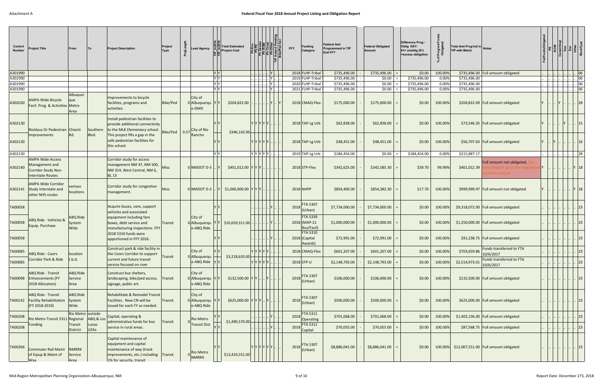| Control<br><b>Number</b> | Project Title                                                                                | From                               |                                   | <b>Project Description</b>                                                                                                                        | Project<br>Type | ead Agency                            |     | <b>Total Estimated</b><br><b>Project Cost</b> |                         |                | <b>FFY</b>   | <b>Funding</b><br>Category                    | Federal Amt<br><b>Programmed in TIP</b><br><b>End FFY</b> | <b>Federal Obligated</b><br>Amount | Difference Prog -<br>Oblig KEY:<br>$$1=$ unoblig $($1)$<br>=excess obligation | Prog'md<br>Obligated<br>్ | Total Amt Prog'md in Notes<br><b>TIP with Match</b> |                                                                               |  |  |              |
|--------------------------|----------------------------------------------------------------------------------------------|------------------------------------|-----------------------------------|---------------------------------------------------------------------------------------------------------------------------------------------------|-----------------|---------------------------------------|-----|-----------------------------------------------|-------------------------|----------------|--------------|-----------------------------------------------|-----------------------------------------------------------|------------------------------------|-------------------------------------------------------------------------------|---------------------------|-----------------------------------------------------|-------------------------------------------------------------------------------|--|--|--------------|
| A301990                  |                                                                                              |                                    |                                   |                                                                                                                                                   |                 |                                       | Y Y |                                               |                         | .            Y |              | 2018 FLHP-Tribal                              | \$735,496.00                                              | \$735,496.00                       | \$0.00                                                                        | 100.00%                   |                                                     | \$735,496.00 Full amount obligated                                            |  |  | 06           |
| A301990                  |                                                                                              |                                    |                                   |                                                                                                                                                   |                 |                                       | YY  |                                               |                         | Y              |              | 2019 FLHP-Tribal                              | \$735,496.00                                              | \$0.00                             | \$735,496.00                                                                  | 0.00%                     | \$735,496.00                                        |                                                                               |  |  | 06           |
| A301990                  |                                                                                              |                                    |                                   |                                                                                                                                                   |                 |                                       | V V |                                               |                         | Y              |              | 2020 FLHP-Tribal                              | \$735,496.00                                              | \$0.00                             | \$735,496.00                                                                  | 0.00%                     | \$735,496.00                                        |                                                                               |  |  | 06           |
| A301990                  |                                                                                              | Albuquer                           |                                   |                                                                                                                                                   |                 |                                       | YY  |                                               |                         | Y              |              | 2021 FLHP-Tribal                              | \$735,496.00                                              | \$0.00                             | \$735,496.00                                                                  | 0.00%                     | \$735,496.00                                        |                                                                               |  |  | 06           |
| A302030                  | <b>AMPA Wide Bicycle</b><br>Facil. Prog. & Activities Metro                                  | que<br>Area                        |                                   | Improvements to bicycle<br>facilities, programs and<br>activities.                                                                                | Bike/Ped        | City of<br>0 Albuquerqu<br>e-DMD      |     | \$204,822.00                                  |                         |                |              | 2018 CMAQ-Flex                                | \$175,000.00                                              | \$175,000.00                       | \$0.00                                                                        | 100.00%                   |                                                     | \$204,822.09   Full amount obligated                                          |  |  | 28           |
| A302130                  | Nicklaus Dr Pedestrian Chianti                                                               |                                    | Southern                          | Install pedestrian facilities to<br>provide additional connectivity<br>to the MLK Elementary school.                                              |                 | Bike/Ped 0.57 City of Rio             |     | \$346,142.00                                  | Y Y Y Y Y Y             |                |              | 2018 TAP-Lg Urb                               | \$62,838.00                                               | \$62,838.00                        | \$0.00                                                                        | 100.00%                   |                                                     | \$73,546.35 Full amount obligated                                             |  |  | 15           |
| A302130                  | Improvements                                                                                 |                                    | Blvd.                             | This project fills a gap in the<br>safe pedestrian facilities for<br>this school.                                                                 |                 | Rancho                                |     |                                               | Y Y Y Y Y I.            |                |              | 2018 TAP-Lg Urb                               | \$48,451.00                                               | \$48,451.00                        | \$0.00                                                                        | 100.00%                   |                                                     | \$56,707.63   Full amount obligated                                           |  |  | 16           |
| A302130                  |                                                                                              |                                    |                                   |                                                                                                                                                   |                 |                                       | YY  |                                               | Y Y Y Y Y .             |                |              | 2019 TAP-Lg Urb                               | \$184,454.00                                              | \$0.00                             | \$184,454.00                                                                  | 0.00%                     | \$215,887.17                                        |                                                                               |  |  | 28           |
| A302140                  | <b>AMPA Wide Access</b><br>Management and<br>Corridor Study Non-<br><b>Interstate Routes</b> |                                    |                                   | Corridor study for access<br>management NM 47, NM 500,<br>NM 314, West Central, NM 6,<br><b>BL13</b>                                              | <b>Misc</b>     | 0 NMDOT D-3                           |     | \$401,012.00 YYY                              |                         |                |              | 2018 STP-Flex                                 | \$342,625.00                                              | \$342,585.30                       | \$39.70                                                                       | 99.99%                    | \$401,012.39                                        | Full amount not obligated,<br>ly obligate up to the negotia<br>ontract amount |  |  |              |
| A302141                  | <b>AMPA Wide Corridor</b><br>Study Interstate and<br>other NHS routes                        | various<br>locations               |                                   | Corridor study for congestion<br>management.                                                                                                      | Misc            | $0 \mid NMDOT D-3 \mid$               |     | $$1,000,000.00$ $Y$ $Y$ $Y$                   |                         |                | 2018 NHPP    |                                               | \$854,400.00                                              | \$854,382.30                       | \$17.70                                                                       | 100.00%                   |                                                     | \$999,999.97   Full amount not obligated                                      |  |  | Y 18         |
| TA00058                  |                                                                                              |                                    |                                   | Acquire buses, vans, support<br>vehicles and associated                                                                                           |                 |                                       |     |                                               |                         |                |              | 2018 FTA 5307                                 | \$7,734,000.00                                            | \$7,734,000.00                     | \$0.00                                                                        | 100.00%                   |                                                     | \$9,318,072.00 Full amount obligated                                          |  |  | 23           |
| TA00058                  | <b>ABQ Ride - Vehicles 8</b><br>Equip. Purchase                                              | ABQ Ride<br>System<br>Wide         |                                   | equipment including fare<br>boxes, debt service and<br>manufacturing inspections. FFY                                                             | Transit         | City of<br>0 Albuquerqu<br>e-ABQ Ride |     | $$10,659,311.00$ .                            |                         |                |              | <b>FTA 5339</b><br>2018 (MAP-21<br>Bus/Facil) | \$1,000,000.00                                            | \$1,000,000.00                     | \$0.00                                                                        | 100.00%                   |                                                     | \$1,250,000.00 Full amount obligated                                          |  |  | 23           |
| TA00058                  |                                                                                              |                                    |                                   | 2018 5310 funds were<br>apportioned in FFY 2016.                                                                                                  |                 |                                       |     |                                               |                         |                |              | <b>FTA 5310</b><br>2018 (Capital<br>Awards)   | \$72,991.00                                               | \$72,991.00                        | \$0.00                                                                        | 100.00%                   |                                                     | \$91,238.75   Full amount obligated                                           |  |  | 23           |
| TA00085                  | <b>ABQ Ride - Coors</b>                                                                      | location                           |                                   | Construct park & ride facility in<br>the Coors Corridor to support                                                                                |                 | City of                               |     |                                               | Y Y Y Y Y               |                |              | 2018 CMAQ-Flex                                | \$601,207.00                                              | \$601,207.00                       | \$0.00                                                                        | 100.00%                   | \$703,659.86                                        | Funds transferred to FTA<br>10/6/2017                                         |  |  | 23           |
| TA00085                  | Corridor Park & Ride                                                                         | t.b.d.                             |                                   | current and future transit<br>service focused on river                                                                                            | <b>Transit</b>  | 0 Albuquerqu<br>e-ABQ Ride            |     | \$3,218,633.00                                | Y  Y  Y  Y  Y           |                | $2018$ STP-U |                                               | \$2,148,793.00                                            | \$2,148,793.00                     | \$0.00                                                                        | 100.00%                   | \$2,514,973.01                                      | Funds transferred to FTA<br>10/6/2017                                         |  |  | $ 23\rangle$ |
| TA00098                  | ABQ Ride - Transit<br><b>Enhancements (FY</b><br>2018 Allocation)                            | <b>ABQ Ride</b><br>Service<br>Area |                                   | Construct bus shelters,<br>landscaping, bike/ped access,<br>signage, public art.                                                                  | Transit         | City of<br>0 Albuquerqu<br>e-ABQ Ride |     | $$132,500.00$ $Y$ $Y$ $$ $Y$ $$               |                         |                |              | 2018 FTA 5307<br>(Urban)                      | \$106,000.00                                              | \$106,000.00                       | \$0.00                                                                        | 100.00%                   |                                                     | \$132,500.00 Full amount obligated                                            |  |  | 23           |
| TA00142                  | <b>ABQ Ride - Transit</b><br><b>Facility Rehabilitation</b><br>(FY 2018-2019)                | <b>ABQ Ride</b><br>System<br>Wide  |                                   | Rehabilitate & Remodel Transit<br>Facilities. New CN will be<br>issued for each FY as needed.                                                     | <b>Transit</b>  | City of<br>0 Albuquerqu<br>e-ABQ Ride |     | $$625,000.00$ $Y$ $Y$ $Y$ $.1Y$ .             |                         |                |              | 2018 FTA 5307<br>$ $ (Urban)                  | \$500,000.00                                              | \$500,000.00                       | \$0.00                                                                        | 100.00%                   |                                                     | \$625,000.00 Full amount obligated                                            |  |  | 23           |
| TA00208                  |                                                                                              | Rio Metro outside                  |                                   | Capital, operating &                                                                                                                              |                 |                                       |     |                                               |                         |                | 2018         | FTA 5311                                      | \$701,068.00                                              | \$701,068.00                       | \$0.00                                                                        | 100.00%                   |                                                     | $$1,402,136.00$ Full amount obligated                                         |  |  | $ 23\rangle$ |
| TA00208                  | Rio Metro Transit 5311<br>Funding                                                            | Regional<br>Transit<br>District    | ABQ & Los<br>Lunas<br><b>UZAs</b> | administrative funds for bus<br>service in rural areas.                                                                                           | Transit         | Rio Metro<br><b>Transit Dist</b>      |     | \$1,490,570.00                                |                         |                |              | Operating<br><b>FTA 5311</b><br>2018 Capital  | \$70,055.00                                               | \$70,055.00                        | \$0.00                                                                        | 100.00%                   |                                                     | \$87,568.75 Full amount obligated                                             |  |  | 23           |
| TA00266                  | Commuter Rail Maint<br>of Eqiup & Maint of<br>Way.                                           | <b>NMRRX</b><br>Service<br>Area    |                                   | Capital maintenance of<br>equipment and capital<br>maintenance of way (track<br>improvements, etc.) including Transit<br>1% for security, transit |                 | Rio Metro<br><b>NMRRX</b>             |     | \$13,410,551.00                               | $Y$ $Y$ $Y$ $Y$ $Y$ $Y$ |                |              | 2018 FTA 5307                                 | \$8,886,041.00                                            | \$8,886,041.00                     | \$0.00                                                                        |                           |                                                     | 100.00% \$12,007,551.00 Full amount obligated                                 |  |  | 23           |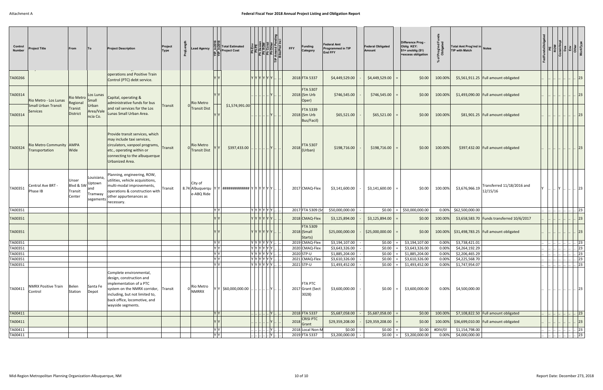| Control<br><b>Number</b> | <b>Project Title</b>                         | From                                    | To                                                  | <b>Project Description</b>                                                                                                                                                                                    | Project<br><b>Type</b> | ead Agency                               |                                                                                            | Total Estimated<br><b>Project Cost</b> |                                                                                                                                                                    | <b>Funding</b><br><b>FFY</b><br>Category        | <b>Federal Amt</b><br>Programmed in TIP<br>End FFY | <b>Federal Obligated</b><br>Amount | Difference Prog -<br>Oblig KEY:<br>$$1=$ unoblig $($1)$<br>=excess obligation | Prog'md Fi<br>Obligated<br>వి | Total Amt Prog'md in Notes<br><b>TIP with Match</b>      |                   |                          |                                 |
|--------------------------|----------------------------------------------|-----------------------------------------|-----------------------------------------------------|---------------------------------------------------------------------------------------------------------------------------------------------------------------------------------------------------------------|------------------------|------------------------------------------|--------------------------------------------------------------------------------------------|----------------------------------------|--------------------------------------------------------------------------------------------------------------------------------------------------------------------|-------------------------------------------------|----------------------------------------------------|------------------------------------|-------------------------------------------------------------------------------|-------------------------------|----------------------------------------------------------|-------------------|--------------------------|---------------------------------|
| TA00266                  |                                              |                                         |                                                     | operations and Positive Train<br>Control (PTC) debt service.                                                                                                                                                  |                        |                                          |                                                                                            | YYYYYYY                                |                                                                                                                                                                    | 2018 FTA 5337                                   | \$4,449,529.00                                     | \$4,449,529.00                     | \$0.00                                                                        | 100.00%                       | \$5,561,911.25   Full amount obligated                   |                   |                          | $ 23\rangle$                    |
| TA00314                  | Rio Metro - Los Lunas                        | Rio Metro<br>Regional                   | Los Lunas<br>Small                                  | Capital, operating &<br>administrative funds for bus                                                                                                                                                          |                        | <b>Rio Metro</b>                         |                                                                                            |                                        |                                                                                                                                                                    | <b>FTA 5307</b><br>$2018$ (Sm Urb<br>Oper)      | \$746,545.00                                       | \$746,545.00                       | \$0.00                                                                        | 100.00%                       | $$1,493,090.00$ Full amount obligated                    |                   |                          | 23                              |
| TA00314                  | <b>Small Urban Transit</b><br>Services       | Tranist<br>District                     | Urban<br>Area/Vale<br>ncia Co.                      | and rail services for the Los<br>Lunas Small Urban Area.                                                                                                                                                      | Transit                | <b>Transit Dist</b>                      |                                                                                            | \$1,574,991.00                         |                                                                                                                                                                    | <b>FTA 5339</b><br>$2018$ (Sm Urb<br>Bus/Facil) | \$65,521.00                                        | \$65,521.00                        | \$0.00                                                                        | 100.00%                       | \$81,901.25 Full amount obligated                        |                   |                          |                                 |
| TA00324                  | Rio Metro Community   AMPA<br>Transportation | Wide                                    |                                                     | Provide transit services, which<br>may include taxi services,<br>circulators, vanpool programs,<br>etc., operating within or<br>connecting to the albuquerque<br>Urbanized Area.                              | Transit                | Rio Metro<br><b>Transit Dist</b>         |                                                                                            | \$397,433.00                           | Y                                                                                                                                                                  | <b>FTA 5307</b><br>2018<br>(Urban)              | \$198,716.00                                       | \$198,716.00                       | \$0.00                                                                        | 100.00%                       | \$397,432.00 Full amount obligated                       |                   |                          |                                 |
| TA00351                  | Central Ave BRT -<br>Phase IB                | Unser<br>Blvd & SW<br>Transit<br>Center | Louisiana,<br>Uptown<br>and<br>Tramway<br>segements | Planning, engineering, ROW,<br>utilities, vehicle acquisitions,<br>multi-modal improvements,<br>operations & construction with<br>other appurtenances as<br>necessary.                                        | Transit                | City of<br>8.74 Albuquerqu<br>e-ABQ Ride |                                                                                            | $ Y $ ############# $ Y Y Y Y Y$       |                                                                                                                                                                    | 2017 CMAQ-Flex                                  | \$3,141,600.00                                     | \$3,141,600.00                     | \$0.00                                                                        | 100.00%                       | Transferred 11/18/2016 and<br>\$3,676,966.19<br>12/15/16 |                   |                          |                                 |
| TA00351                  |                                              |                                         |                                                     |                                                                                                                                                                                                               |                        |                                          | IY IY                                                                                      | YYYYYYY                                |                                                                                                                                                                    | 2017 FTA 5309 (S                                | \$50,000,000.00                                    | \$0.00                             | \$50,000,000.00                                                               |                               | 0.00% \$62,500,000.00                                    |                   |                          | 23                              |
| TA00351                  |                                              |                                         |                                                     |                                                                                                                                                                                                               |                        |                                          |                                                                                            | YYYYYYY                                |                                                                                                                                                                    | 2018 CMAQ-Flex                                  | \$3,125,894.00                                     | \$3,125,894.00                     | \$0.00                                                                        | 100.00%                       | \$3,658,583.70   Funds transferred 10/6/2017             |                   |                          | $ 23\rangle$                    |
| TA00351                  |                                              |                                         |                                                     |                                                                                                                                                                                                               |                        |                                          |                                                                                            | YYYYYYY                                |                                                                                                                                                                    | <b>FTA 5309</b><br>$2018$ (Small<br>Starts)     | \$25,000,000.00                                    | \$25,000,000.00                    | \$0.00                                                                        | 100.00%                       | $$31,498,783.25$ Full amount obligated                   |                   |                          | $ 23\rangle$                    |
| TA00351                  |                                              |                                         |                                                     |                                                                                                                                                                                                               |                        |                                          |                                                                                            | Y Y Y Y Y Y                            |                                                                                                                                                                    | 2019 CMAQ-Flex                                  | \$3,194,107.00                                     | \$0.00                             | \$3,194,107.00                                                                | 0.00%                         | \$3,738,421.01                                           |                   |                          | $\vert \vert$ 23                |
| TA00351                  |                                              |                                         |                                                     |                                                                                                                                                                                                               |                        |                                          | Y Y<br>Y                                                                                   | $Y Y Y Y Y Y $                         |                                                                                                                                                                    | 2020 CMAQ-Flex                                  | \$3,643,326.00                                     | \$0.00                             | \$3,643,326.00                                                                | 0.00%                         | \$4,264,192.29                                           |                   | . 23                     |                                 |
| TA00351<br>TA00351       |                                              |                                         |                                                     |                                                                                                                                                                                                               |                        |                                          |                                                                                            | YYYYYY.<br> Y Y Y Y Y Y                |                                                                                                                                                                    | 2020 STP-U<br>2021 CMAQ-Flex                    | \$1,885,204.00<br>\$3,610,326.00                   | \$0.00<br>\$0.00                   | \$1,885,204.00<br>\$3,610,326.00                                              | 0.00%<br>0.00%                | \$2,206,465.29<br>\$4,225,568.70                         |                   |                          | $\vert$ . 23<br>$\therefore$ 23 |
| TA00351                  |                                              |                                         |                                                     |                                                                                                                                                                                                               |                        |                                          | $\begin{array}{c c} \mathsf{Y} & \mathsf{Y} \\ \hline \mathsf{Y} & \mathsf{Y} \end{array}$ | Y Y Y Y Y Y                            |                                                                                                                                                                    | 2021 STP-U                                      | \$1,493,452.00                                     | \$0.00                             | \$1,493,452.00                                                                | 0.00%                         | \$1,747,954.07                                           |                   |                          | $\therefore$ 23                 |
| TA00411                  | <b>NMRX Positive Train</b><br>Control        | Belen<br>Station                        | Santa Fe<br>Depot                                   | Complete environmental,<br>design, construction and<br>implementation of a PTC<br>system on the NMRX corridor, Transit<br>including, but not limited to,<br>back office, locomotive, and<br>wayside segments. |                        | Rio Metro<br>NMRRX                       |                                                                                            | Y \$60,000,000.00                      |                                                                                                                                                                    | <b>FTA PTC</b><br>2017 Grant (Sect<br>3028)     | \$3,600,000.00                                     | \$0.00                             | \$3,600,000.00                                                                | 0.00%                         | \$4,500,000.00                                           |                   |                          | <b>23</b>                       |
| TA00411                  |                                              |                                         |                                                     |                                                                                                                                                                                                               |                        |                                          | Y Y                                                                                        |                                        | Y                                                                                                                                                                  | 2018 FTA 5337                                   | \$5,687,058.00                                     | \$5,687,058.00                     | \$0.00                                                                        | 100.00%                       | \$7,108,822.50 Full amount obligated                     |                   |                          | $\vert \vert$ 23                |
| TA00411                  |                                              |                                         |                                                     |                                                                                                                                                                                                               |                        |                                          |                                                                                            |                                        | Y                                                                                                                                                                  | CRISI PTC<br>2018 Grant                         | \$29,359,208.00                                    | \$29,359,208.00                    | \$0.00                                                                        | 100.00%                       | $$36,699,010.00$ Full amount obligated                   |                   |                          | 23                              |
| TA00411                  |                                              |                                         |                                                     |                                                                                                                                                                                                               |                        |                                          | $\begin{array}{c c} \mathsf{Y} & \mathsf{Y} \\ \hline \mathsf{Y} & \mathsf{Y} \end{array}$ |                                        | Y                                                                                                                                                                  | 2018 Local Non-M                                | \$0.00                                             | \$0.00                             |                                                                               | \$0.00 #DIV/0!                | \$1,154,798.00                                           | $\left   \right $ | $\  \  \  \  \, 23\ $    |                                 |
| TA00411                  |                                              |                                         |                                                     |                                                                                                                                                                                                               |                        |                                          |                                                                                            |                                        | $[\,\underline{\ldots}]\,\underline{\ldots}]\,\underline{\ldots}[\,\underline{\ldots}\,]\,\underline{\ldots}\,[\mathbf{Y}]\,\underline{\ldots}\,\overline{\ldots}$ | 2019 FTA 5337                                   | \$3,200,000.00                                     | \$0.00                             | $=$ \$3,200,000.00                                                            | 0.00%                         | \$4,000,000.00                                           |                   | $\  . \  . \  . \  .$ 23 |                                 |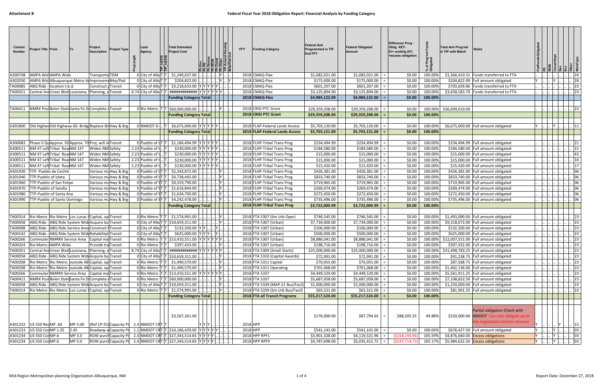| Control<br><b>Number</b> | <b>Project Title From</b>                                            | To      | Project<br><b>Description</b>                                                                               | Project Type                                 | Lead<br>Agency   |                                           | <b>Total Estimated</b><br><b>Project Cost</b>                                                                             |         | FFY        | <b>Funding Category</b>                                    | <b>Federal Amt</b><br>Programmed in TIP<br><b>End FFY</b> | Federal Obligated<br>Amount      | Difference Prog -<br>Oblig KEY:<br>$$1=$ unoblig $($1)$<br>=excess obligation | `চ ≣               | <b>Total Amt Prog'md</b><br>in TIP with Match | <b>Notes</b>                                                                                                  |  |                                          |
|--------------------------|----------------------------------------------------------------------|---------|-------------------------------------------------------------------------------------------------------------|----------------------------------------------|------------------|-------------------------------------------|---------------------------------------------------------------------------------------------------------------------------|---------|------------|------------------------------------------------------------|-----------------------------------------------------------|----------------------------------|-------------------------------------------------------------------------------|--------------------|-----------------------------------------------|---------------------------------------------------------------------------------------------------------------|--|------------------------------------------|
| A300748                  | AMPA Wid AMPA Wide                                                   |         | Transporta TDM                                                                                              |                                              |                  | 0 City of AlbuT                           | \$1,240,637.00                                                                                                            |         |            | 2018 CMAQ-Flex                                             | \$1,082,021.00                                            | \$1,082,021.00                   | \$0.00                                                                        | 100.009            |                                               | \$1,266,410.31 Funds transferred to FTA                                                                       |  | 24                                       |
| A302030                  |                                                                      |         | AMPA Wid Albuquerque Metro ArlmprovemeBike/Ped                                                              |                                              |                  | 0 City of AlbuT                           | \$204,822.00                                                                                                              |         |            | 2018 CMAQ-Flex                                             | \$175,000.00                                              | \$175,000.00                     | \$0.00                                                                        | 100.00%            |                                               | \$204,822.09 Full amount obligated                                                                            |  | 28                                       |
| TA00085                  | ABQ Ride - location t.b.d.                                           |         | Construct <sub>F</sub> Transit<br>Central AveUnser Blvd Louisiana, Planning, eTransit                       |                                              |                  | 0 City of AlbuT T<br>8.74 City of AlbuT T | \$3,218,633.00 YYYYYY<br>  #############  Y  Y  Y  Y  Y  Y                                                                |         |            | 2018 CMAQ-Flex<br>2018 CMAQ-Flex                           | \$601,207.00<br>\$3,125,894.00                            | \$601,207.00<br>\$3,125,894.00   | \$0.00<br>\$0.00                                                              | 100.00%<br>100.00% |                                               | \$703,659.86 Funds transferred to FTA<br>\$3,658,583.70 Funds transferred to FTA                              |  | 23<br>23                                 |
| TA00351                  |                                                                      |         |                                                                                                             |                                              |                  |                                           | <b>Funding Category Total</b>                                                                                             |         |            | 2018 CMAQ-Flex                                             | \$4,984,122.00                                            | \$4,984,122.00                   | \$0.00                                                                        | 100.00%            |                                               |                                                                                                               |  |                                          |
|                          |                                                                      |         |                                                                                                             |                                              |                  |                                           |                                                                                                                           |         |            |                                                            |                                                           |                                  |                                                                               |                    |                                               |                                                                                                               |  |                                          |
| TA00411                  |                                                                      |         | NMRX Posi Belen Stati Santa Fe D Complete (Transit                                                          |                                              |                  | 0 Rio Metro T                             | \$60,000,000.00                                                                                                           |         |            | 2018 CRISI PTC Grant                                       | \$29,359,208.00                                           | \$29,359,208.00                  | \$0.00                                                                        | 100.00%            | \$36,699,010.00                               |                                                                                                               |  | 23                                       |
|                          |                                                                      |         |                                                                                                             |                                              |                  |                                           | <b>Funding Category Total</b>                                                                                             |         |            | 2018 CRISI PTC Grant                                       | \$29,359,208.00                                           | \$29,359,208.00                  | \$0.00                                                                        | 100.00%            |                                               |                                                                                                               |  |                                          |
|                          |                                                                      |         |                                                                                                             |                                              |                  |                                           |                                                                                                                           |         |            |                                                            |                                                           |                                  |                                                                               |                    |                                               |                                                                                                               |  |                                          |
|                          |                                                                      |         | A301800 Old HighwaOld Highway 60- Bridg Replace Bri Hwy & Brg                                               |                                              |                  | 0 NMDOT D-                                | \$6,675,000.00 YYYYY                                                                                                      |         |            | 2018 FLAP-Federal Lands Access                             | \$5,703,120.00                                            | \$5,703,120.00                   | \$0.00                                                                        | 100.00%            |                                               | \$6,675,000.00 Full amount obligated                                                                          |  | 11                                       |
|                          |                                                                      |         |                                                                                                             |                                              |                  |                                           | <b>Funding Category Total</b>                                                                                             |         |            | 2018 FLAP-Federal Lands Access                             | \$5,703,121.00                                            | \$5,703,121.00                   | \$0.00                                                                        | 100.00%            |                                               |                                                                                                               |  |                                          |
| A300083                  |                                                                      |         | Phase II Qu Approx. 50 Approx. 70 Proj. will in Transit                                                     |                                              |                  | 0 Pueblo of IT                            | $$1,184,494.99$ YYYYYY                                                                                                    |         |            | 2018 FLHP-Tribal Trans Prog                                | \$234,494.99                                              | \$234,494.99                     | \$0.00                                                                        | 100.00%            |                                               | \$234,494.99 Full amount obligated                                                                            |  | 21                                       |
| A300511                  | NM 47 Left Tribal Roa NM 147                                         |         | Widen NM Safety                                                                                             |                                              | 2.23 Pueblo of I |                                           | \$230,000.00 Y                                                                                                            | YYYY    |            | 2018 FLHP-Tribal Trans Prog                                | \$184,580.00                                              | \$184,580.00                     | \$0.00                                                                        | 100.00%            |                                               | \$184,580.00 Full amount obligated                                                                            |  | 15                                       |
| A300511                  | NM 47 Left Tribal Roa NM 147                                         |         | Widen NM Safety                                                                                             |                                              | 2.23 Pueblo of I |                                           | \$230,000.00 YYYYYY                                                                                                       |         |            | 2018 FLHP-Tribal Trans Prog                                | \$15,000.00                                               | \$15,000.00                      | \$0.00                                                                        | 100.00%            |                                               | \$15,000.00 Full amount obligated                                                                             |  | 43                                       |
| A300511                  | NM 47 Left Tribal Roa NM 147                                         |         | Widen NM Safety                                                                                             |                                              | 2.23 Pueblo of I |                                           | \$230,000.00 YYYYYY                                                                                                       |         |            | 2018 FLHP-Tribal Trans Prog                                | \$15,000.00                                               | \$15,000.00                      | \$0.00                                                                        | 100.00%            |                                               | \$15,000.00 Full amount obligated                                                                             |  | 16                                       |
| A300511                  | NM 47 Left Tribal Roa NM 147                                         |         | Widen NM Safety                                                                                             |                                              | 2.23 Pueblo of I |                                           | \$230,000.00 Y                                                                                                            | Y Y Y Y |            | 2018 FLHP-Tribal Trans Prog                                | \$15,420.00                                               | \$15,420.00                      | \$0.00                                                                        | 100.00%            |                                               | \$15,420.00 Full amount obligated                                                                             |  | 17                                       |
|                          | A301930   TTP- Pueblo de Cochiti                                     |         |                                                                                                             | Various mu Hwy & Brg                         |                  | 0 Pueblo of $(T T)$                       | \$2,243,872.00                                                                                                            |         |            | 2018 FLHP-Tribal Trans Prog                                | \$426,381.00                                              | \$426,381.00                     | \$0.00                                                                        | 100.00%            |                                               | \$426,381.00 Full amount obligated                                                                            |  | 06                                       |
|                          | A301940   TTP-Pueblo of Isleta<br>A301960   TTP-Pueblo of San Felipe |         |                                                                                                             | Various mu Hwy & Brg<br>Various mu Hwy & Brg |                  | 0 Pueblo of IT<br>0 Pueblo of ST          | \$4,728,445.00<br>\$4,319,790.00                                                                                          |         |            | 2018 FLHP-Tribal Trans Prog<br>2018 FLHP-Tribal Trans Prog | \$833,740.00<br>\$719,965.00                              | \$833,740.00<br>\$719,965.00     | \$0.00<br>\$0.00                                                              | 100.00%<br>100.00% |                                               | \$833,740.00 Full amount obligated<br>\$719,965.00 Full amount obligated                                      |  | 06<br>06                                 |
|                          | A301970   TTP-Pueblo of Sandia                                       |         |                                                                                                             | Various mu Hwy & Brg                         |                  | 0 Pueblo of ST                            | \$1,616,844.00                                                                                                            |         |            | 2018 FLHP-Tribal Trans Prog                                | \$269,474.00                                              | \$269,474.00                     | \$0.00                                                                        | 100.00%            |                                               | \$269,474.00 Full amount obligated                                                                            |  | 06                                       |
| A301980                  | <b>TTP-Pueblo of Santa Ana</b>                                       |         |                                                                                                             | Various mu Hwy & Brg                         |                  | 0 Pueblo of ST T                          | \$1,634,700.00                                                                                                            |         |            | 2018 FLHP-Tribal Trans Prog                                | \$272,450.00                                              | \$272,450.00                     | \$0.00                                                                        | 100.00%            |                                               | \$272,450.00 Full amount obligated                                                                            |  | 06                                       |
|                          | A301990   TTP-Pueblo of Santo Domingo                                |         |                                                                                                             | Various mu Hwy & Brg                         |                  |                                           | 0 Pueblo of $ST T $ \$4,242,478.00                                                                                        |         |            | 2018 FLHP-Tribal Trans Prog                                | \$735,496.00                                              | \$735,496.00                     | \$0.00                                                                        | 100.00%            |                                               | \$735,496.00 Full amount obligated                                                                            |  | 06                                       |
|                          |                                                                      |         |                                                                                                             |                                              |                  |                                           | <b>Funding Category Total</b>                                                                                             |         |            | 2018 FLHP-Tribal Trans Prog                                | \$3,722,000.99                                            | \$3,722,000.99                   | \$0.00                                                                        | 100.00%            |                                               |                                                                                                               |  |                                          |
|                          |                                                                      |         |                                                                                                             |                                              |                  |                                           |                                                                                                                           |         |            |                                                            |                                                           |                                  |                                                                               |                    |                                               |                                                                                                               |  |                                          |
| TA00314                  |                                                                      |         | Rio Metro Rio Metro Los Lunas SCapital, op Transit                                                          |                                              |                  | 0 Rio Metro 1T                            | \$1,574,991.00                                                                                                            |         |            | 2018 FTA 5307 (Sm Urb Oper)                                | \$746,545.00                                              | \$746,545.00                     | \$0.00                                                                        | 100.00%            |                                               | \$1,493,090.00 Full amount obligated                                                                          |  | 23                                       |
| TA00058                  |                                                                      |         | ABQ Ride - ABQ Ride System Wide Acquire bu Transit                                                          |                                              |                  |                                           | 0 City of AlbuT $T$ \$10,659,311.00                                                                                       |         |            | 2018 FTA 5307 (Urban)                                      | \$7,734,000.00                                            | \$7,734,000.00                   | \$0.00                                                                        | 100.00%            |                                               | \$9,318,072.00 Full amount obligated                                                                          |  | 23                                       |
| TA00098                  |                                                                      |         | ABQ Ride - ABQ Ride Service Area Construct I Transit<br>ABQ Ride - ABQ Ride System Wide Rehabilitat Transit |                                              |                  | 0 City of AlbuT T<br>0 City of AlbuT T    | \$132,500.00<br>\$625,000.00                                                                                              |         |            | 2018 FTA 5307 (Urban)                                      | \$106,000.00<br>\$500,000.00                              | \$106,000.00<br>\$500,000.00     | \$0.00                                                                        | 100.00%<br>100.00% |                                               | \$132,500.00 Full amount obligated<br>\$625,000.00 Full amount obligated                                      |  | 23                                       |
| TA00142<br>TA00266       | Commuter NMRRX Service Area                                          |         | Capital mai Transit                                                                                         |                                              |                  |                                           | 0 Rio Metro   T   T   \$13,410,551.00   Y   Y   Y   Y   Y   Y                                                             |         |            | 2018 FTA 5307 (Urban)<br>2018 FTA 5307 (Urban)             | \$8,886,041.00                                            | \$8,886,041.00                   | \$0.00<br>\$0.00                                                              | 100.00%            |                                               | \$12,007,551.00 Full amount obligated                                                                         |  | 23<br>23                                 |
|                          | TA00324 Rio Metro AMPA Wide                                          |         | Provide tra Transit                                                                                         |                                              |                  | 0 Rio Metro   T   T                       | \$397,433.00                                                                                                              |         |            | 2018 FTA 5307 (Urban)                                      | \$198,716.00                                              | \$198,716.00                     | \$0.00                                                                        | 100.00%            |                                               | \$397,432.00 Full amount obligated                                                                            |  | 23                                       |
| TA00351                  |                                                                      |         | Central AveUnser Blvd Louisiana, Planning, e Transit                                                        |                                              |                  |                                           | 8.74 City of Alb $ T T $ ############ Y Y Y Y Y Y Y                                                                       |         |            | 2018 FTA 5309 (Small Starts)                               | \$25,000,000.00                                           | \$25,000,000.00                  | \$0.00                                                                        | 100.00%            |                                               | \$31,498,783.25 Full amount obligated                                                                         |  | 23                                       |
| TA00058                  |                                                                      |         | ABQ Ride - ABQ Ride System Wide Acquire bu Transit                                                          |                                              |                  |                                           | 0 City of Alb $ T $ \$10,659,311.00                                                                                       |         |            | 2018 FTA 5310 (Capital Awards)                             | \$72,991.00                                               | \$72,991.00                      | \$0.00                                                                        | 100.00%            |                                               | \$91,238.75 Full amount obligated                                                                             |  | $\therefore$ 23                          |
| TA00208                  |                                                                      |         | Rio Metro Rio Metro outside AB Capital, op Transit                                                          |                                              |                  |                                           | 0 Rio Metro $ T $ \$1,490,570.00                                                                                          |         |            | 2018 FTA 5311 Capital                                      | \$70,055.00                                               | \$70,055.00                      | \$0.00                                                                        | 100.00%            |                                               | \$87,568.75 Full amount obligated                                                                             |  | 23                                       |
| TA00208                  |                                                                      |         | Rio Metro Rio Metro outside AB Capital, op Transit                                                          |                                              |                  |                                           | 0 Rio Metro $ T $ \$1,490,570.00                                                                                          |         |            | 2018 FTA 5311 Operating                                    | \$701,068.00                                              | \$701,068.00                     | \$0.00                                                                        | 100.00%            |                                               | \$1,402,136.00 Full amount obligated                                                                          |  | $\therefore$ 23                          |
| TA00266                  |                                                                      |         | Commuter NMRRX Service Area Capital ma Transit                                                              |                                              |                  |                                           | 0 Rio Metro $ T T $ \$13,410,551.00 $ Y Y Y Y Y $ .                                                                       |         |            | 2018 FTA 5337                                              | \$4,449,529.00                                            | \$4,449,529.00                   | \$0.00                                                                        | 100.00%            |                                               | \$5,561,911.25 Full amount obligated                                                                          |  | 23                                       |
| TA00411<br>TA00058       |                                                                      |         | NMRX Posi Belen Stati Santa Fe D Complete (Transit<br>ABQ Ride - ABQ Ride System Wide Acquire bu Transit    |                                              |                  |                                           | 0 Rio Metro   T   T   \$60,000,000.00<br>0 City of Alb $ T $ \$10,659,311.00                                              |         |            | 2018 FTA 5337<br>2018 FTA 5339 (MAP-21 Bus/Facil)          | \$5,687,058.00<br>\$1,000,000.00                          | \$5,687,058.00<br>\$1,000,000.00 | \$0.00                                                                        | 100.00%            |                                               | \$7,108,822.50 Full amount obligated<br>\$1,250,000.00 Full amount obligated                                  |  | . 23<br> 23                              |
| TA00314                  |                                                                      |         | Rio Metro Rio Metro Los Lunas (Capital, op Transit                                                          |                                              |                  | 0 Rio Metro 1                             | \$1,574,991.00                                                                                                            | $ Y $   |            | 2018 FTA 5339 (Sm Urb Bus/Facil)                           | \$65,521.00                                               | \$65,521.00                      | \$0.00<br>\$0.00                                                              | 100.00%<br>100.00% |                                               | \$81,901.25 Full amount obligated                                                                             |  | 23                                       |
|                          |                                                                      |         |                                                                                                             |                                              |                  |                                           | <b>Funding Category Total</b>                                                                                             |         |            | 2018 FTA all Transit Programs                              | \$55,217,524.00                                           | \$55,217,524.00                  | \$0.00                                                                        | 100.00%            |                                               |                                                                                                               |  |                                          |
|                          |                                                                      |         |                                                                                                             |                                              |                  |                                           |                                                                                                                           |         |            |                                                            |                                                           |                                  |                                                                               |                    |                                               |                                                                                                               |  |                                          |
|                          | A301232   US 550 RedMP .60                                           | MP 3.00 |                                                                                                             | (Ref CP-91) Capacity Pr 2.4 NMDOT CRT T      |                  |                                           | \$3,567,261.00                                                                                                            | Y  Y  Y | 2018 HPP   |                                                            | \$176,000.00                                              | \$87,794.65                      | \$88,205.35                                                                   | 49.88%             |                                               | Partial obligation Check with<br>\$220,000.00 NMDOT Can only obligate up to<br>the negotiated contract amount |  | <sup>15</sup>                            |
|                          | A301233 US 550 Cor MP 1.35                                           | 2.45    |                                                                                                             |                                              |                  |                                           | Roadway w Capacity Pr 1.1 NMDOT CRT T \$16,186,429.00 Y Y Y Y Y Y                                                         |         | $2018$ HPP |                                                            | \$541,142.00                                              | \$541,142.00                     | \$0.00                                                                        | 100.00%            |                                               | \$676,427.50 Full amount obligated                                                                            |  | $\therefore$ 03                          |
|                          | A301234   US 550 Cor MP.6                                            | MP 3.0  |                                                                                                             |                                              |                  |                                           | $ {\sf{ROW\,\, purely Capacity\,\, Pr}} $ 2.4 NMDOT CRT $ {\sf T}\, $ \$27,343,514.83 $ {\sf Y}\, {\sf Y}\, {\sf Y}\, $ . |         |            | 2018 HPP RPF1                                              | \$3,901,328.00                                            | \$4,119,521.96                   | (\$218,193.96                                                                 | 105.59%            |                                               | \$4,876,660.00 Excess obligations                                                                             |  | $\ldots \ldots \ldots$ 03                |
|                          | A301234 US 550 Cor MP.6                                              | MP 3.0  |                                                                                                             |                                              |                  |                                           | ROW purch Capacity Pr 2.4 NMDOT CRT T \$27,343,514.83 Y Y Y Y                                                             |         |            | 2018 HPP RPF9                                              | \$4,787,698.00                                            | \$5,035,412.72                   | ( \$247, 714.72)                                                              | 105.17%            |                                               | \$5,984,622.50 Excess obligations                                                                             |  | $\begin{bmatrix}  &  & 03 \end{bmatrix}$ |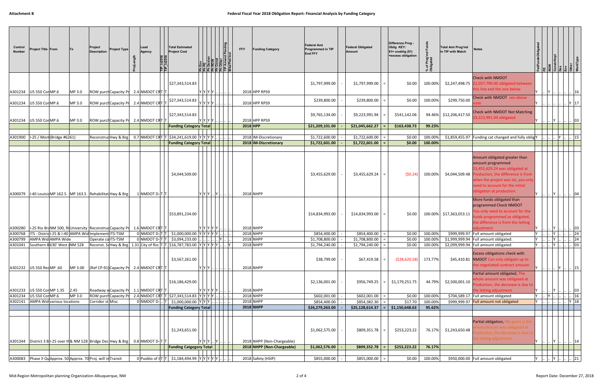| Control<br><b>Number</b> | Project Title From                 | To      | Project<br><b>Description</b>                                  | <b>Project Type</b> | Lead<br>Agency<br>TIP_In201<br>TIP_In201                                                   | <b>Total Estimated</b><br><b>Project Cost</b>                                                                                                                                |             | 힘 릨 굽 눕 눕 붙 붙 붙                             | <b>FFY</b> | <b>Funding Category</b>                                  | <b>Federal Amt</b><br>Programmed in TIP<br><b>End FFY</b> | <b>Federal Obligated</b><br>Amount          | Difference Prog -<br>Oblig KEY:<br>$$1=$ unoblig $$1)$<br>=excess obligation | of Prog'<br>bligated | <b>Total Amt Prog'md</b><br>in TIP with Match | <b>Notes</b>                                                                                                                                                                                                                     | <b>ROM</b>   |                |        |                 |
|--------------------------|------------------------------------|---------|----------------------------------------------------------------|---------------------|--------------------------------------------------------------------------------------------|------------------------------------------------------------------------------------------------------------------------------------------------------------------------------|-------------|---------------------------------------------|------------|----------------------------------------------------------|-----------------------------------------------------------|---------------------------------------------|------------------------------------------------------------------------------|----------------------|-----------------------------------------------|----------------------------------------------------------------------------------------------------------------------------------------------------------------------------------------------------------------------------------|--------------|----------------|--------|-----------------|
|                          | A301234   US 550 Cor MP.6          | MP 3.0  |                                                                |                     | ROW purch Capacity Pr 2.4 NMDOT CRT T                                                      | \$27,343,514.83                                                                                                                                                              | Y Y Y Y     |                                             |            | 2018 HPP RPS9                                            | \$1,797,999.00                                            | \$1,797,999.00                              | \$0.00                                                                       | 100.00%              |                                               | <b>Check with NMDOT</b><br>\$2,247,498.75 \$2,037,799.00 obligated between<br>this line and the one below                                                                                                                        | <b>IY</b>    |                |        | 16              |
| A301234                  | <b>US 550 Cor MP.6</b>             | MP 3.0  |                                                                |                     | ROW purch Capacity Pr 2.4 NMDOT CRT                                                        | \$27,343,514.83                                                                                                                                                              | Y Y Y Y     |                                             |            | 2018 HPP RPS9                                            | \$239,800.00                                              | \$239,800.00                                | \$0.00                                                                       | 100.00%              | \$299,750.00                                  | Check with NMDOT see above                                                                                                                                                                                                       |              |                | $Y$ 17 |                 |
| A301234                  | <b>US 550 Cor MP.6</b>             | MP 3.0  |                                                                |                     | ROW purch Capacity Pr 2.4 NMDOT CRT                                                        | \$27,343,514.83                                                                                                                                                              | Y Y Y Y     |                                             |            | 2018 HPP RPS9                                            | \$9,765,134.00                                            | \$9,223,991.94                              | \$541,142.06                                                                 |                      | 94.46% \$12,206,417.50                        | Check with NMDOT Not Matching<br>\$9,223,991.94 obligated                                                                                                                                                                        |              |                |        | $ 03\rangle$    |
|                          |                                    |         |                                                                |                     |                                                                                            | <b>Funding Category Total</b>                                                                                                                                                |             |                                             | $2018$ HPP |                                                          | \$21,209,101.00                                           | \$21,045,662.27                             | \$163,438.73                                                                 | 99.23%               |                                               |                                                                                                                                                                                                                                  |              |                |        |                 |
| A301900                  | I-25 / Mon (Bridge #6261)          |         |                                                                |                     |                                                                                            | Reconstructive & Brg 0.7 NMDOT CRT T \$34,241,619.00 Y Y Y Y                                                                                                                 |             |                                             |            | 2018 IM-Discretionary                                    | \$1,722,600.00                                            | \$1,722,600.00                              | \$0.00                                                                       | 100.00%              |                                               | \$1,859,455.97 Funding cat changed and fully oblig Y                                                                                                                                                                             |              |                |        | $\therefore$ 15 |
|                          |                                    |         |                                                                |                     |                                                                                            | <b>Funding Category Total</b>                                                                                                                                                |             |                                             |            | 2018 IM-Discretionary                                    | \$1,722,601.00                                            | \$1,722,601.00                              | \$0.00                                                                       | 100.00%              |                                               |                                                                                                                                                                                                                                  |              |                |        |                 |
| A300079                  |                                    |         | I-40 Louisia MP 162.5   MP 163.5   Rehabilitat Hwy & Brg       |                     | 1 NMDOT D-T                                                                                | \$4,044,509.00                                                                                                                                                               | Y[Y Y  Y  ] |                                             |            | 2018 NHPP                                                | \$3,455,629.00                                            | \$3,455,629.24                              | (50.24)                                                                      | 100.00%              | \$4,044,509.48                                | Amount obligated greater than<br>amount programmed<br>\$3,455,629.24 was obligated at<br>Production, the difference is from<br>when the project was let, you only<br>eed to account for the initial<br>obligation at production. |              |                |        | 04              |
| A300280                  |                                    |         |                                                                |                     | 1-25 Rio BraNM 500, RiUniversity Reconstrud Capacity Pr 1.6 NMDOT CRT T                    | \$53,891,234.00                                                                                                                                                              | Y Y Y Y Y . |                                             |            | 2018 NHPP                                                | \$14,834,993.00                                           | \$14,834,993.00                             | \$0.00                                                                       |                      | 100.00% \$17,363,053.11                       | More funds obligated than<br>programmed Check NMDOT<br>You only need to account for the<br>unds programmed as obligated,<br>the difference is from the letting<br>diustment.                                                     |              |                |        | 03              |
| A300768                  |                                    |         | ITS - Districl-25 & I-40 AMPA Wid Implement ITS-TSM            |                     | 0 NMDOT D-T                                                                                | \$1,000,000.00 YYYYYY                                                                                                                                                        |             |                                             |            | 2018 NHPP                                                | \$854,400.00                                              | \$854,400.00                                | \$0.00                                                                       | 100.00%              | \$999,999.97                                  | Full amount obligated                                                                                                                                                                                                            |              | l۷             |        | $ 24\rangle$    |
| A300799                  | AMPA Wid AMPA Wide                 |         | Operate colTS-TSM                                              |                     | 0 NMDOT D-T                                                                                | \$3,094,233.00                                                                                                                                                               |             |                                             |            | 2018 NHPP                                                | \$1,708,800.00                                            | \$1,708,800.00                              | \$0.00                                                                       | 100.00%              |                                               | $$1,999,999.94$ Full amount obligated.                                                                                                                                                                                           | Y l          |                |        | 24              |
|                          | A301232   US 550 Red MP .60        | MP 3.00 |                                                                |                     | $ $ (Ref CP-91) Capacity Pr 2.4 NMDOT CRT T                                                | \$3,567,261.00                                                                                                                                                               |             | $ {\sf Y}\, {\sf Y}\, {\sf Y}\, \, \, \, .$ |            | 2018 NHPP<br>2018 NHPP                                   | \$1,794,240.00<br>\$38,799.00                             | \$1,794,240.00<br>\$67,419.58               | \$0.00<br>( \$28,620.58)                                                     | 100.00%<br>173.77%   |                                               | \$2,099,999.94 Full amount obligated<br>Excess obligations check with<br>\$45,410.81 NMDOT Can only obligate up to<br>the negotiated contract amount                                                                             | $Y \cup$     | IY.<br>Y  . 15 |        | $ 03\rangle$    |
| A301233                  | US 550 Cor MP 1.35 2.45            |         |                                                                |                     | Roadway w Capacity Pr 1.1 NMDOT CRT T                                                      | \$16,186,429.00                                                                                                                                                              |             | Y  Y  Y  Y  Y                               |            | 2018 NHPP                                                | \$2,136,001.00                                            | \$956,749.25<br>$=$                         | \$1,179,251.75                                                               | 44.79%               | \$2,500,001.10                                | Partial amount obligated, The<br>whole amount was obligated at<br>Production, the decrease is due to<br>the letting adjustment                                                                                                   |              |                |        | $ 03\rangle$    |
| A301234                  | US 550 CorMP.6                     | MP 3.0  |                                                                |                     |                                                                                            | ROW purch Capacity Pr 2.4 NMDOT CRT T \$27,343,514.83 Y Y Y Y Y                                                                                                              |             |                                             |            | 2018 NHPP                                                | \$602,001.00                                              | \$602,001.00                                | \$0.00                                                                       | 100.00%              |                                               | \$704,589.17 Full amount obligated                                                                                                                                                                                               | $Y \cup Y$ . |                |        | 16              |
|                          | A302141 AMPA Wid various locations |         | Corridor st Misc                                               |                     | 0 NMDOT D-                                                                                 | \$1,000,000.00 YYY.<br><b>Funding Category Total</b>                                                                                                                         |             |                                             |            | 2018 NHPP<br>2018 NHPP                                   | \$854,400.00<br>\$26,279,263.00                           | \$854,382.30<br>\$25,128,614.37<br>$\equiv$ | \$17.70<br>\$1,150,648.63                                                    | 100.00%<br>95.62%    |                                               | \$999,999.97 Full amount not obligated                                                                                                                                                                                           | Y            |                | Y 18   |                 |
|                          |                                    |         |                                                                |                     | A301344   District 3 B I-25 over th& NM 528   Bridge Dec Hwy & Brg   0.8   NMDOT D-  T   T | \$1,243,651.00<br><b>Funding Catgegory Total</b>                                                                                                                             |             | Y Y Y  Y   .                                |            | 2018 NHPP (Non-Chargeable)<br>2018 NHPP (Non-Chargeable) | \$1,062,575.00<br>\$1,062,576.00                          | \$809,351.78<br>$=$<br>\$809,352.78         | \$253,223.22<br>\$253,223.22                                                 | 76.17%<br>76.17%     | \$1,243,650.48                                | Partial obligation, My guess is the<br>hole amount was obligated at<br>roduction, the decrease is due to<br>he letting adjustment                                                                                                |              |                |        | $\therefore$ 14 |
|                          |                                    |         |                                                                |                     |                                                                                            |                                                                                                                                                                              |             |                                             |            |                                                          |                                                           |                                             |                                                                              |                      |                                               |                                                                                                                                                                                                                                  |              |                |        |                 |
|                          |                                    |         | A300083 Phase II QuApprox. 50 Approx. 70 Proj. will in Transit |                     |                                                                                            | 0 Pueblo of $\left \mathsf{T}\right \left \mathsf{T}\right $ \$1,184,494.99 $\left \mathsf{Y}\right \left \mathsf{Y}\right \left \mathsf{Y}\right \left \mathsf{Y}\right $ . |             |                                             |            | 2018 Safety (HSIP)                                       | \$855,000.00                                              | \$855,000.00                                | \$0.00                                                                       | 100.00%              |                                               | \$950,000.00 Full amount obligated                                                                                                                                                                                               | $Y$ .        |                |        | 21              |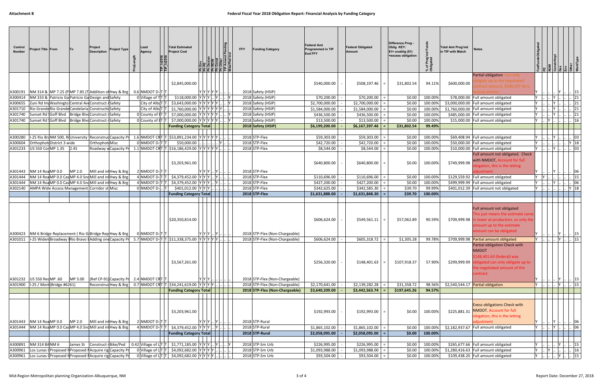| Control<br><b>Number</b> | Project Title From                                                                                         | To      | Project<br><b>Description</b> | <b>Project Type</b>                                                                                                                | Lead<br>Agency                                  | TIP_In201<br>TIP_In201 | <b>Total Estimated</b><br><b>Project Cost</b>                                                                                                                                                                                                                                                                        |           | nd Pending<br>Incl | <b>FFY</b> | <b>Funding Category</b>                  | <b>Federal Amt</b><br><b>Programmed in TIP</b><br>End FFY | <b>Federal Obligated</b><br>Amount | Difference Prog -<br>Oblig KEY:<br>$$1=$ unoblig $$1)$<br>=excess obligation | % of Prog'<br>Obligated | <b>Total Amt Prog'md</b><br>in TIP with Match | <b>Notes</b>                                                                                                                                                  |                 |                    |                                                   |                 |
|--------------------------|------------------------------------------------------------------------------------------------------------|---------|-------------------------------|------------------------------------------------------------------------------------------------------------------------------------|-------------------------------------------------|------------------------|----------------------------------------------------------------------------------------------------------------------------------------------------------------------------------------------------------------------------------------------------------------------------------------------------------------------|-----------|--------------------|------------|------------------------------------------|-----------------------------------------------------------|------------------------------------|------------------------------------------------------------------------------|-------------------------|-----------------------------------------------|---------------------------------------------------------------------------------------------------------------------------------------------------------------|-----------------|--------------------|---------------------------------------------------|-----------------|
|                          |                                                                                                            |         |                               |                                                                                                                                    |                                                 |                        |                                                                                                                                                                                                                                                                                                                      |           |                    |            |                                          |                                                           |                                    |                                                                              |                         |                                               | Partial obligation Can only                                                                                                                                   |                 |                    |                                                   |                 |
|                          |                                                                                                            |         |                               |                                                                                                                                    |                                                 |                        | \$2,845,000.00                                                                                                                                                                                                                                                                                                       |           |                    |            |                                          | \$540,000.00                                              | \$508,197.46                       | \$31,802.54                                                                  | 94.11%                  | \$600,000.00                                  | gate up to the negotiated<br>ntract amount, \$508,197.46 is                                                                                                   |                 |                    |                                                   |                 |
|                          |                                                                                                            |         |                               | A300191   NM 314 &   MP 7.25 (P  MP 7.85 (T   Addition of Hwy & Brg                                                                | 0.6 NMDOT D-IT T                                |                        |                                                                                                                                                                                                                                                                                                                      |           | Y Y Y Y Y   .      |            | 2018 Safety (HSIP)                       |                                                           |                                    |                                                                              |                         |                                               |                                                                                                                                                               |                 |                    |                                                   | 15              |
| A300414                  | NM 333 & Patricio Ga Patricio Ga Design and Safety                                                         |         |                               |                                                                                                                                    | 0 Village of TT                                 |                        | $$118,000.00$ $Y$ $Y$ $Y$ $$ $Y$ $$ $$ $Y$                                                                                                                                                                                                                                                                           |           |                    |            | 2018 Safety (HSIP)                       | \$70,200.00                                               | \$70,200.00                        | \$0.00                                                                       | 100.00%                 |                                               | \$78,000.00 Full amount obligated                                                                                                                             |                 |                    |                                                   | 21              |
| A300655                  | Zuni Rd Im Washingto Central Ave Construct A Safety                                                        |         |                               |                                                                                                                                    | City of AlbuT                                   |                        | \$3,643,000.00 YYYYYYY                                                                                                                                                                                                                                                                                               |           |                    |            | 2018 Safety (HSIP)                       | \$2,700,000.00                                            | \$2,700,000.00                     | \$0.00                                                                       | 100.00%                 |                                               | \$3,000,000.00 Full amount obligated                                                                                                                          |                 |                    |                                                   | 21              |
| A301710<br>A301740       | Rio Grande Rio Grande Candelaria Constructic Safety<br>Sunset Rd Goff Blvd   Bridge Blvd Construct rSafety |         |                               |                                                                                                                                    | City of AlbuT<br>0 County of IT                 |                        | \$1,760,000.00<br>\$7,000,000.00                                                                                                                                                                                                                                                                                     | Y Y Y Y Y | Y Y Y Y Y Y        |            | 2018 Safety (HSIP)<br>2018 Safety (HSIP) | \$1,584,000.00<br>\$436,500.00                            | \$1,584,000.00<br>\$436,500.00     | \$0.00<br>\$0.00                                                             | 100.00%<br>100.00%      |                                               | \$1,760,000.00 Full amount obligated<br>\$485,000.00 Full amount obligated                                                                                    |                 |                    |                                                   | 21<br> 21       |
|                          | A301740 Sunset Rd Goff Blvd Bridge Blvd Construct rSafety                                                  |         |                               |                                                                                                                                    | 0 County of IT                                  |                        | \$7,000,000.00 YYYYYY                                                                                                                                                                                                                                                                                                |           |                    |            | 2018 Safety (HSIP)                       | \$13,500.00                                               | \$13,500.00                        | \$0.00                                                                       | 100.00%                 |                                               | \$15,000.00 Full amount obligated                                                                                                                             |                 |                    |                                                   | 16              |
|                          |                                                                                                            |         |                               |                                                                                                                                    |                                                 |                        | <b>Funding Category Total</b>                                                                                                                                                                                                                                                                                        |           |                    |            | 2018 Safety (HSIP)                       | \$6,199,200.00                                            | \$6,167,397.46                     | \$31,802.54                                                                  | 99.49%                  |                                               |                                                                                                                                                               |                 |                    |                                                   |                 |
|                          |                                                                                                            |         |                               |                                                                                                                                    |                                                 |                        |                                                                                                                                                                                                                                                                                                                      |           |                    |            |                                          |                                                           |                                    |                                                                              |                         |                                               |                                                                                                                                                               |                 |                    |                                                   |                 |
| A300280                  |                                                                                                            |         |                               |                                                                                                                                    |                                                 |                        | 1-25 Rio BraNM 500, RIUniversity Reconstruc Capacity Pr 1.6 NMDOT CRT T 553,891,234.00 Y Y Y Y Y                                                                                                                                                                                                                     |           |                    |            | 2018 STP-Flex                            | \$59,303.00                                               | \$59,303.00                        | \$0.00                                                                       | 100.00%                 |                                               | \$69,408.94 Full amount obligated                                                                                                                             |                 |                    |                                                   | 03              |
| A300604                  | Orthophot District 3 wide                                                                                  |         | Orthophot Misc                |                                                                                                                                    | 0 NMDOT D-T                                     |                        | \$50,000.00                                                                                                                                                                                                                                                                                                          |           |                    |            | 2018 STP-Flex                            | \$42,720.00                                               | \$42,720.00                        | \$0.00                                                                       | 100.00%                 |                                               | \$50,000.00 Full amount obligated                                                                                                                             |                 | 1Y                 |                                                   | Y 18            |
| A301233                  | US 550 Cor MP 1.35 2.45                                                                                    |         |                               |                                                                                                                                    |                                                 |                        | Roadway w Capacity Pr 1.1 NMDOT CRT T \$16,186,429.00 Y Y Y Y Y Y                                                                                                                                                                                                                                                    |           |                    |            | 2018 STP-Flex                            | \$8,544.00                                                | \$8,544.00                         | \$0.00                                                                       | 100.00%                 |                                               | \$10,000.00 Full amount obligated<br>Full amount not obligated. Check                                                                                         | $1\mathsf{Y}$ . |                    |                                                   | 03              |
|                          |                                                                                                            |         |                               |                                                                                                                                    |                                                 |                        |                                                                                                                                                                                                                                                                                                                      |           |                    |            |                                          |                                                           |                                    |                                                                              |                         |                                               | with NMDOT, Account for full                                                                                                                                  |                 |                    |                                                   |                 |
|                          |                                                                                                            |         |                               |                                                                                                                                    |                                                 |                        | \$3,203,961.00                                                                                                                                                                                                                                                                                                       |           |                    |            |                                          | \$640,800.00                                              | \$640,800.00                       | \$0.00                                                                       | 100.00%                 | \$749,999.98                                  | bigation, this is the letting                                                                                                                                 |                 |                    |                                                   |                 |
| A301443                  | NM 14 Roa MP 0.0                                                                                           | MP 2.0  |                               | Mill and in Hwy & Brg                                                                                                              | 2 NMDOT D-T                                     |                        |                                                                                                                                                                                                                                                                                                                      |           | $ Y Y Y $ $ Y $    |            | 2018 STP-Flex                            |                                                           |                                    |                                                                              |                         |                                               | diustment                                                                                                                                                     |                 |                    |                                                   | 06              |
| A301444                  |                                                                                                            |         |                               | NM 14 RoaMP 0.0 Cas MP 4.0 Snd Mill and in Hwy & Brg                                                                               | 4 NMDOT D-T                                     |                        | $\frac{1}{2}$ \$4,379,452.00 $\frac{1}{2}$ $\frac{1}{2}$ $\frac{1}{2}$ $\frac{1}{2}$ $\frac{1}{2}$ $\frac{1}{2}$ $\frac{1}{2}$ $\frac{1}{2}$ $\frac{1}{2}$ $\frac{1}{2}$ $\frac{1}{2}$ $\frac{1}{2}$ $\frac{1}{2}$ $\frac{1}{2}$ $\frac{1}{2}$ $\frac{1}{2}$ $\frac{1}{2}$ $\frac{1}{2}$ $\frac{1}{2}$ $\frac{1}{2}$ |           |                    |            | 2018 STP-Flex                            | \$110,696.00                                              | \$110,696.00                       | \$0.00                                                                       | 100.00%                 |                                               | \$129,559.92 Full amount obligated                                                                                                                            |                 |                    |                                                   | 15              |
| A301444                  |                                                                                                            |         |                               | NM 14 RoaMP 0.0 Cas MP 4.0 Snd Mill and in Hwy & Brg                                                                               | 4 NMDOT D-T                                     |                        | \$4,379,452.00                                                                                                                                                                                                                                                                                                       |           |                    |            | 2018 STP-Flex                            | \$427,200.00                                              | \$427,200.00                       | \$0.00                                                                       | 100.00%                 |                                               | \$499,999.99 Full amount obligated                                                                                                                            |                 |                    |                                                   | 06              |
|                          | A302140   AMPA Wide Access Management Corridor st Misc                                                     |         |                               |                                                                                                                                    | 0 NMDOT D-                                      |                        | \$401,012.00 YYY<br><b>Funding Category Total</b>                                                                                                                                                                                                                                                                    |           |                    |            | 2018 STP-Flex<br>$2018$ STP-Flex         | \$342,625.00<br>\$1,631,888.00                            | \$342,585.30<br>\$1,631,848.30     | \$39.70<br>\$39.70                                                           | 99.99%<br>100.00%       |                                               | \$401,012.39 Full amount not obligated                                                                                                                        |                 |                    | Y 18                                              |                 |
|                          |                                                                                                            |         |                               |                                                                                                                                    |                                                 |                        |                                                                                                                                                                                                                                                                                                                      |           |                    |            |                                          |                                                           |                                    |                                                                              |                         |                                               |                                                                                                                                                               |                 |                    |                                                   |                 |
|                          |                                                                                                            |         |                               | A300423 NM 6 Bridge Replacement (Rio G Bridge Rep Hwy & Brg                                                                        | 0 NMDOT D- T T                                  |                        | \$20,350,814.00                                                                                                                                                                                                                                                                                                      |           | Y Y Y  Y   .       |            | 2018 STP-Flex (Non-Chargeable)           | \$606,624.00                                              | \$549,561.11                       | \$57,062.89                                                                  | 90.59%                  | \$709,999.98                                  | Full amount not obligated<br>This just means the estimate came<br>in lower at production, so only the<br>imount up to the estimate<br>amount can be obligated |                 |                    |                                                   | 15              |
|                          |                                                                                                            |         |                               |                                                                                                                                    |                                                 |                        | A301011  I-25 Widen Broadway (Rio Bravo EAdding one Capacity Pr 5.7 NMDOT D-T T \$11,338,375.00 Y Y Y Y Y Y I.                                                                                                                                                                                                       |           |                    |            | 2018 STP-Flex (Non-Chargeable)           | \$606,624.00                                              | \$605,318.72                       | \$1,305.28                                                                   | 99.78%                  |                                               | \$709,999.98 Partial amount obligated                                                                                                                         |                 |                    |                                                   | 15              |
|                          | A301232 US 550 RedMP .60                                                                                   | MP 3.00 |                               |                                                                                                                                    | $\vert$ (Ref CP-91) Capacity Pr 2.4 NMDOT CRT T |                        | \$3,567,261.00                                                                                                                                                                                                                                                                                                       |           | Y Y Y     .        |            | 2018 STP-Flex (Non-Chargeable)           | \$256,320.00                                              | \$148,401.63                       | \$107,918.37                                                                 | 57.90%                  | \$299,999.99                                  | Partial obligation Check with<br><b>NMDOT</b><br>\$148,401.63 (federal) was<br>obligated can only obligate up to<br>the negotiated amount of the<br>contract. |                 |                    |                                                   | $\therefore$ 15 |
|                          | A301900   I-25 / Mont (Bridge #6261)                                                                       |         |                               |                                                                                                                                    |                                                 |                        | $ {\sf Reconstrud}$ Hwy & Brg $  0.7  {\sf NMDOT}$ CRT $ T $ \$34,241,619.00 $ Y Y Y N    $                                                                                                                                                                                                                          |           |                    |            | 2018 STP-Flex (Non-Chargeable)           | \$2,170,641.00                                            | \$2,139,282.28                     | \$31,358.72                                                                  | 98.56%                  |                                               | \$2,540,544.17 Partial obligation                                                                                                                             |                 | Y        Y      15 |                                                   |                 |
|                          |                                                                                                            |         |                               |                                                                                                                                    |                                                 |                        | <b>Funding Category Total</b>                                                                                                                                                                                                                                                                                        |           |                    |            | 2018 STP-Flex (Non-Chargeable)           | \$3,640,209.00                                            | \$3,442,563.74                     | \$197,645.26                                                                 | 94.57%                  |                                               |                                                                                                                                                               |                 |                    |                                                   |                 |
|                          | A301443 NM 14 Roa MP 0.0                                                                                   | MP 2.0  |                               | Mill and in Hwy & Brg                                                                                                              | 2 NMDOT D-T                                     |                        | \$3,203,961.00                                                                                                                                                                                                                                                                                                       |           |                    |            | 2018 STP-Rural                           | \$192,993.00                                              | \$192,993.00                       | \$0.00                                                                       | 100.00%                 | \$225,881.31                                  | <b>Exess obligations Check with</b><br><b>NMDOT. Account for full</b><br>obigation, this is the letting<br>adjustment                                         |                 |                    |                                                   | 06              |
|                          |                                                                                                            |         |                               | A301444 NM 14 RoaMP 0.0 Cas MP 4.0 Snd Mill and in Hwy & Brg                                                                       | 4 NMDOT D-T                                     |                        | $\sqrt{54,379}$ ,452.00 $ \mathsf{Y} \mathsf{Y} \mathsf{Y} $ $ \mathsf{Y} $                                                                                                                                                                                                                                          |           |                    |            | 2018 STP-Rural                           | \$1,865,102.00                                            | \$1,865,102.00                     | \$0.00                                                                       | 100.00%                 |                                               | \$2,182,937.67 Full amount obligated                                                                                                                          |                 | ΙY                 |                                                   | 06              |
|                          |                                                                                                            |         |                               |                                                                                                                                    |                                                 |                        | <b>Funding Category Total</b>                                                                                                                                                                                                                                                                                        |           |                    |            | 2018 STP-Rural                           | \$2,058,095.00                                            | \$2,058,095.00                     | \$0.00                                                                       | 100.00%                 |                                               |                                                                                                                                                               |                 |                    |                                                   |                 |
| A300891                  | NM 314 Bil NM 6                                                                                            |         |                               |                                                                                                                                    |                                                 |                        | James St Construct Bike/Ped 0.42 Village of $\lfloor \frac{1}{T} \rfloor$ \$1,771,185.00 $\lfloor Y \rfloor Y \rfloor$  Y   Y                                                                                                                                                                                        |           |                    |            | 2018 STP-Sm Urb                          | \$226,995.00                                              | \$226,995.00                       | \$0.00                                                                       | 100.00%                 |                                               | \$265,677.66 Full amount obligated                                                                                                                            |                 |                    |                                                   | $\  . \  15 \ $ |
|                          |                                                                                                            |         |                               | A300961 Los Lunas (Proposed NProposed NAcquire rig Capacity Pr<br>A300961 Los Lunas (Proposed N Proposed N Acquire rig Capacity Pr |                                                 |                        | 0 Village of $L[T T $ \$4,092,682.00 $ Y Y Y    $<br>0 Village of $L[T T $ \$4,092,682.00 $ Y Y Y    $                                                                                                                                                                                                               |           |                    |            | 2018 STP-Sm Urb<br>2018 STP-Sm Urb       | \$1,093,988.00<br>\$93,504.00                             | \$1,093,988.00<br>\$93,504.00      | \$0.00<br>\$0.00                                                             | 100.00%<br>100.00%      |                                               | $$1,280,416.63$ Full amount obligated<br>\$109,438.20 Full amount obligated                                                                                   | $Y \cup Y$ .    |                    | $\begin{bmatrix} \dots \\ \dots \end{bmatrix}$ 16 |                 |
|                          |                                                                                                            |         |                               |                                                                                                                                    |                                                 |                        |                                                                                                                                                                                                                                                                                                                      |           |                    |            |                                          |                                                           |                                    |                                                                              |                         |                                               |                                                                                                                                                               |                 |                    |                                                   |                 |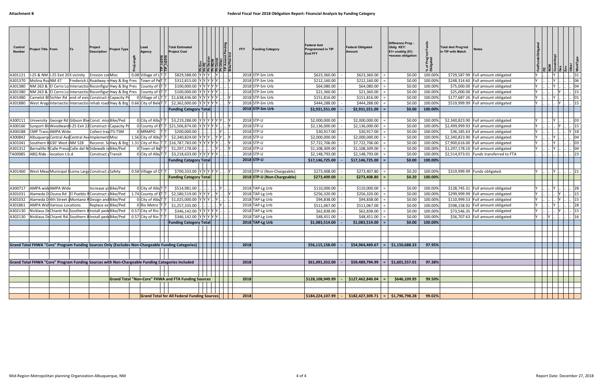| Control<br><b>Number</b> | Project Title From                | To | Project<br><b>Description</b>                                              | <b>Project Type</b>                                        | Lead<br>Agency                                                            | <b>Total Estimated</b><br><b>Project Cost</b>                                                     |     |                 | Pendi | <b>FFY</b> | <b>Funding Category</b>            | <b>Federal Amt</b><br><b>Programmed in TIP</b><br>End FFY | <b>Federal Obligated</b><br>Amount | Difference Prog -<br>Oblig KEY:<br>$$1=$ unoblig $($1)$<br>=excess obligation | Prog'l<br>vated<br>`চ ≣ | <b>Total Amt Prog'md</b><br>in TIP with Match | <b>Notes</b>                                                             |  |                        |
|--------------------------|-----------------------------------|----|----------------------------------------------------------------------------|------------------------------------------------------------|---------------------------------------------------------------------------|---------------------------------------------------------------------------------------------------|-----|-----------------|-------|------------|------------------------------------|-----------------------------------------------------------|------------------------------------|-------------------------------------------------------------------------------|-------------------------|-----------------------------------------------|--------------------------------------------------------------------------|--|------------------------|
| A301121                  | 1-25 & NM 1-25 Exit 203 vicinity  |    | <b>Erosion con Misc</b>                                                    |                                                            | $0.08$ Village of L T T                                                   | \$829,588.00                                                                                      |     |                 |       |            | 2018 STP-Sm Urb                    | \$623,360.00                                              | \$623,360.00                       | \$0.00                                                                        | 100.00%                 |                                               | \$729,587.99 Full amount obligated                                       |  | 31                     |
| A301370                  | Molina Roa NM 47                  |    |                                                                            | Frederick L Roadway r Hwy & Brg Pres                       | Town of PeT T                                                             | \$312,815.00                                                                                      |     | Y Y Y Y         |       |            | 2018 STP-Sm Urb                    | \$212,160.00                                              | \$212,160.00                       | \$0.00                                                                        | 100.00%                 |                                               | \$248,314.60 Full amount obligated                                       |  | 06                     |
| A301380                  |                                   |    |                                                                            | NM 263 & El Cerro Lo Intersectio Reconfigur Hwy & Brg Pres | County of \T  T                                                           | \$100,000.00                                                                                      |     | $Y$ $Y$ $Y$ $Y$ |       |            | 2018 STP-Sm Urb                    | \$64,080.00                                               | \$64,080.00                        | \$0.00                                                                        | 100.00%                 |                                               | \$75,000.00 Full amount obligated                                        |  | 04                     |
| A301380                  |                                   |    |                                                                            | NM 263 & El Cerro Lo Intersectio Reconfigur Hwy & Brg Pres | County of \T  T                                                           | \$100,000.00 Y                                                                                    |     | Y Y Y Y         |       |            | 2018 STP-Sm Urb                    | \$21,360.00                                               | \$21,360.00                        | \$0.00                                                                        | 100.00%                 |                                               | \$25,000.00 Full amount obligated                                        |  | 15                     |
| A301480                  |                                   |    |                                                                            | Camelot BISichler Rd end of exis Construct   Capacity Pr   | 0 Village of $LTT$ T                                                      | \$1,638,436.00 YYYYY                                                                              |     |                 |       |            | 2018 STP-Sm Urb                    | \$151,816.00                                              | \$151,816.00                       | \$0.00                                                                        | 100.00%                 |                                               | \$177,687.26 Full amount obligated                                       |  | 01                     |
| A301880                  |                                   |    |                                                                            |                                                            | West ArageIntersectio Intersectio rehab road Hwy & Brg 0.66 City of BeleT | \$2,362,000.00 YYYYYY                                                                             |     |                 |       |            | 2018 STP-Sm Urb                    | \$444,288.00                                              | \$444,288.00                       | \$0.00                                                                        | 100.00%                 |                                               | \$519,999.99 Full amount obligated                                       |  | 15                     |
|                          |                                   |    |                                                                            |                                                            |                                                                           | <b>Funding Category Total</b>                                                                     |     |                 |       |            | 2018 STP-Sm Urb                    | \$2,931,551.00                                            | \$2,931,551.00                     | \$0.00                                                                        | 100.00%                 |                                               |                                                                          |  |                        |
|                          |                                   |    |                                                                            |                                                            |                                                                           |                                                                                                   |     |                 |       |            |                                    |                                                           |                                    |                                                                               |                         |                                               |                                                                          |  |                        |
| A300111                  |                                   |    | University George Rd Gibson Blv Const. miss Bike/Ped                       |                                                            |                                                                           | 0 City of Alb $ T $ \$3,219,288.00 $ Y Y Y Y Y$                                                   |     |                 |       |            | 2018 STP-U                         | \$2,000,000.00                                            | \$2,000,000.00                     | \$0.00                                                                        | 100.00%                 |                                               | \$2,340,823.90 Full amount obligated                                     |  | 03                     |
| A300160                  |                                   |    |                                                                            | Sunport Bly Woodward I-25 Exit 22 Construct rCapacity Pr   |                                                                           | 0 County of $[T T $ \$21,506,874.00                                                               |     | $Y$ $Y$ $Y$ $Y$ |       |            | 2018 STP-U                         | \$2,136,000.00                                            | \$2,136,000.00                     | \$0.00                                                                        | 100.00%                 |                                               | \$2,499,999.93 Full amount obligated                                     |  | 15                     |
| A300188                  | <b>CMP Trans AMPA Wide</b>        |    | Collect travITS-TSM                                                        |                                                            | 0 MRMPO                                                                   | \$200,000.00                                                                                      |     |                 |       |            | 2018 STP-U                         | \$30,917.00                                               | \$30,917.00                        | \$0.00                                                                        | 100.00%                 |                                               | \$36,185.63 Full amount obligated                                        |  | $Y$ 18                 |
| A300842                  |                                   |    | Albuquerq Central AveCentral AveImplement Misc                             |                                                            |                                                                           | 1.56 City of AlbuT $ T $ \$2,340,824.00 Y                                                         |     |                 |       |            | 2018 STP-U                         | \$2,000,000.00                                            | \$2,000,000.00                     | \$0.00                                                                        | 100.00%                 |                                               | \$2,340,823.90 Full amount obligated                                     |  | 04                     |
| A301041                  | Southern B630' West (NM 528       |    |                                                                            |                                                            |                                                                           | Reconst. S(Hwy & Brg 1.31 City of Rio $ T $ \$16,787,783.00 Y                                     |     | Y Y Y Y         |       |            | 2018 STP-U                         | \$7,722,706.00                                            | \$7,722,706.00                     | \$0.00                                                                        | 100.00%                 |                                               | \$7,900,616.00 Full amount obligated                                     |  | 03                     |
| A301312                  |                                   |    | Bernalillo NCalle PresidCalle del NSidewalk re Bike/Ped                    |                                                            | 0 Town of BeT                                                             | \$1,297,178.00                                                                                    |     |                 |       |            | 2018 STP-U                         | \$1,108,309.00                                            | \$1,108,309.00                     | \$0.00                                                                        | 100.00%                 |                                               | \$1,297,178.10 Full amount obligated                                     |  | 04                     |
| TA00085                  | ABQ Ride - location t.b.d.        |    | Construct <sub>F</sub> Transit                                             |                                                            | 0 City of AlbuT T                                                         | \$3,218,633.00 YYYYYY                                                                             |     |                 |       |            | 2018 STP-U                         | \$2,148,793.00                                            | \$2,148,793.00                     | \$0.00                                                                        | 100.00%                 |                                               | \$2,514,973.01 Funds transferred to FTA                                  |  | 23                     |
|                          |                                   |    |                                                                            |                                                            |                                                                           | <b>Funding Category Total</b>                                                                     |     |                 |       |            | $2018$ STP-U                       | \$17,146,725.00                                           | \$17,146,725.00                    | \$0.00                                                                        | 100.00%                 |                                               |                                                                          |  |                        |
|                          |                                   |    |                                                                            |                                                            |                                                                           |                                                                                                   |     |                 |       |            |                                    |                                                           |                                    |                                                                               |                         |                                               |                                                                          |  |                        |
|                          |                                   |    | A301460   West Mead Municipal   Loma Larga Construct a Safety              |                                                            | 0.58 Village of $\frac{dT}{T}$                                            | \$700,333.00 YYYYYY.                                                                              |     |                 |       |            | 2018 STP-U (Non-Chargeable)        | \$273,408.00                                              | \$273,407.80                       | \$0.20                                                                        | 100.00%                 |                                               | \$319,999.99 Funds obligated.                                            |  | $\lfloor . \rfloor$ 21 |
|                          |                                   |    |                                                                            |                                                            |                                                                           | <b>Funding Category Total</b>                                                                     |     |                 |       |            | 2018 STP-U (Non-Chargeable)        | \$273,409.00                                              | \$273,408.80                       | \$0.20                                                                        | 100.00%                 |                                               |                                                                          |  |                        |
|                          |                                   |    |                                                                            |                                                            |                                                                           |                                                                                                   |     |                 |       |            |                                    |                                                           |                                    |                                                                               |                         |                                               |                                                                          |  |                        |
| A300717                  | AMPA wideAMPA Wide                |    | Increase yd Bike/Ped<br>Alameda DOsuna Rd El Pueblo R Construct a Bike/Ped |                                                            | 0 City of AlbuT                                                           | \$514,981.00                                                                                      | YY. |                 |       |            | 2018 TAP-Lg Urb                    | \$110,000.00                                              | \$110,000.00                       | \$0.00                                                                        | 100.00%                 |                                               | \$128,745.31 Full amount obligated                                       |  | 28                     |
| A301031                  |                                   |    |                                                                            |                                                            | 1.74 County of IT                                                         | \$2,580,519.00                                                                                    | YY  |                 |       |            | 2018 TAP-Lg Urb                    | \$256,320.00                                              | \$256,320.00                       | \$0.00                                                                        | 100.00%                 |                                               | \$299,999.99 Full amount obligated                                       |  | 15                     |
| A301032<br>A301861       | <b>AMPA Wid Various Locations</b> |    | Alameda D 4th Street Montano R Design and Bike/Ped<br>Replace ex Bike/Ped  |                                                            | 0 City of AlbuT<br>0 Rio Metro T                                          | \$1,025,000.00<br>\$1,257,335.00                                                                  |     |                 |       |            | 2018 TAP-Lg Urb<br>2018 TAP-Lg Urb | \$94,838.00                                               | \$94,838.00                        | \$0.00                                                                        | 100.00%                 |                                               | \$110,999.53 Full amount obligated<br>\$598,158.92 Full amount obligated |  | 15<br>28               |
|                          |                                   |    | Nicklaus Dr Chianti Rd. Southern B Install pedeBike/Ped                    |                                                            |                                                                           |                                                                                                   |     |                 |       |            |                                    | \$511,067.00                                              | \$511,067.00                       | \$0.00                                                                        | 100.00%                 |                                               | \$73,546.35 Full amount obligated                                        |  |                        |
| A302130                  |                                   |    | A302130 Nicklaus Dr Chianti Rd. Southern B Install pedeBike/Ped            |                                                            | $0.57$ City of Rio T<br>$0.57$ City of Rio $ T $ T                        | \$346,142.00 Y<br>\$346,142.00 YYYYYY                                                             |     | YYYY            |       |            | 2018 TAP-Lg Urb<br>2018 TAP-Lg Urb | \$62,838.00<br>\$48,451.00                                | \$62,838.00<br>\$48,451.00         | \$0.00<br>\$0.00                                                              | 100.00%<br>100.00%      |                                               | \$56,707.63 Full amount obligated                                        |  | 15<br>16               |
|                          |                                   |    |                                                                            |                                                            |                                                                           |                                                                                                   |     |                 |       |            | 2018 TAP-Lg Urb                    | \$1,083,514.00                                            | \$1,083,514.00                     | \$0.00                                                                        | 100.00%                 |                                               |                                                                          |  |                        |
|                          |                                   |    |                                                                            |                                                            |                                                                           | <b>Funding Category Total</b>                                                                     |     |                 |       |            |                                    |                                                           |                                    |                                                                               |                         |                                               |                                                                          |  |                        |
|                          |                                   |    |                                                                            |                                                            |                                                                           |                                                                                                   |     |                 |       |            |                                    |                                                           |                                    |                                                                               |                         |                                               |                                                                          |  |                        |
|                          |                                   |    |                                                                            |                                                            |                                                                           |                                                                                                   |     |                 |       |            |                                    |                                                           |                                    |                                                                               |                         |                                               |                                                                          |  |                        |
|                          |                                   |    |                                                                            |                                                            |                                                                           | Grand Total FHWA "Core" Program Funding Sources Only (Excludes Non-Chargeable Funding Categories) |     |                 |       | 2018       |                                    | \$56,115,158.00                                           | \$54,964,469.67<br>i mi            | \$1,150,688.33                                                                | 97.95%                  |                                               |                                                                          |  |                        |
|                          |                                   |    |                                                                            |                                                            |                                                                           |                                                                                                   |     |                 |       |            |                                    |                                                           |                                    |                                                                               |                         |                                               |                                                                          |  |                        |
|                          |                                   |    |                                                                            |                                                            |                                                                           |                                                                                                   |     |                 |       |            |                                    |                                                           |                                    |                                                                               |                         |                                               |                                                                          |  |                        |
|                          |                                   |    |                                                                            |                                                            |                                                                           | Grand Total FHWA "Core" Program Funding Sources with Non-Chargeable Funding Categories Included   |     |                 |       | 2018       |                                    | \$61,091,352.00                                           | \$59,489,794.99<br>$=$             | \$1,601,557.01                                                                | 97.38%                  |                                               |                                                                          |  |                        |
|                          |                                   |    |                                                                            |                                                            |                                                                           |                                                                                                   |     |                 |       |            |                                    |                                                           |                                    |                                                                               |                         |                                               |                                                                          |  |                        |
|                          |                                   |    |                                                                            |                                                            |                                                                           |                                                                                                   |     |                 |       |            |                                    |                                                           |                                    |                                                                               |                         |                                               |                                                                          |  |                        |
|                          |                                   |    |                                                                            |                                                            |                                                                           | <b>Grand Total "Non-Core" FHWA and FTA Funding Sources</b>                                        |     |                 |       | 2018       |                                    | \$128,108,949.99                                          | \$127,462,840.04                   | \$646,109.95                                                                  | 99.50%                  |                                               |                                                                          |  |                        |
|                          |                                   |    |                                                                            |                                                            |                                                                           |                                                                                                   |     |                 |       |            |                                    |                                                           |                                    |                                                                               |                         |                                               |                                                                          |  |                        |
|                          |                                   |    |                                                                            |                                                            |                                                                           |                                                                                                   |     |                 |       |            |                                    |                                                           |                                    |                                                                               |                         |                                               |                                                                          |  |                        |
|                          |                                   |    |                                                                            |                                                            |                                                                           | Grand Total for All Federal Funding Sources                                                       |     |                 |       | 2018       |                                    | \$184,224,107.99                                          | $$182,427,309.71$ = \$1,796,798.28 |                                                                               | 99.02%                  |                                               |                                                                          |  |                        |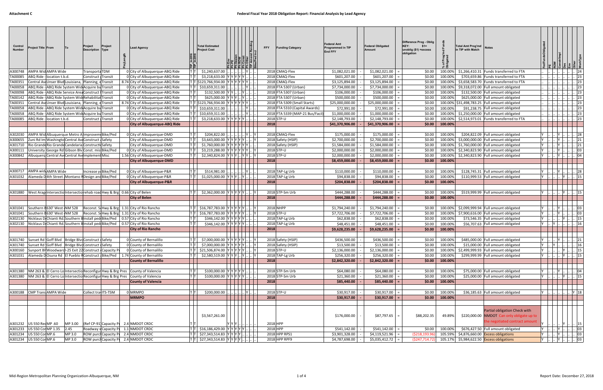| Control<br><b>Number</b> | Project Title From                                                       | Project<br> To                                                 | Description Type          | Project             | <b>Lead Agency</b>                                                                                | 1P_In201<br>102n1_q1 | <b>Total Estimated</b><br><b>Project Cost</b>          | <b>FFY</b> | <b>Funding Category</b>          | <b>Federal Amt</b><br><b>Programmed in TIP</b><br><b>End FFY</b> | <b>Federal Obligated</b><br>Amount | Difference Prog - Oblig<br>KEY:<br>$$1=$<br>unoblig (\$1) =excess<br>obligation | ৳                  | <b>Total Amt Prog'md</b><br><b>Notes</b><br>in TIP with Match                                                |   |                                                 |                 |  |
|--------------------------|--------------------------------------------------------------------------|----------------------------------------------------------------|---------------------------|---------------------|---------------------------------------------------------------------------------------------------|----------------------|--------------------------------------------------------|------------|----------------------------------|------------------------------------------------------------------|------------------------------------|---------------------------------------------------------------------------------|--------------------|--------------------------------------------------------------------------------------------------------------|---|-------------------------------------------------|-----------------|--|
| A300748                  | AMPA Wid AMPA Wide                                                       |                                                                | Transporta <sub>TDM</sub> |                     | 0 City of Albuquerque-ABQ Ride                                                                    |                      | \$1,240,637.00                                         |            | 2018 CMAQ-Flex                   | \$1,082,021.00                                                   | \$1,082,021.00                     | \$0.00                                                                          | 100.00%            | \$1,266,410.31 Funds transferred to FTA                                                                      |   |                                                 |                 |  |
| FA00085                  | ABQ Ride - location t.b.d.                                               |                                                                | Construct Transit         |                     | 0 City of Albuquerque-ABQ Ride                                                                    |                      | \$3,218,633.00                                         |            | 2018 CMAQ-Flex                   | \$601,207.00                                                     | \$601,207.00                       | \$0.00                                                                          | 100.00%            | \$703,659.86 Funds transferred to FTA                                                                        |   |                                                 | 23              |  |
| A00351                   |                                                                          | Central AveUnser Blvd Louisiana, Planning, eTransit            |                           |                     | 8.74 City of Albuguergue-ABQ Ride                                                                 |                      | $[T T $ \$123,766,934.00<br>IY IY IY IY IY IY          |            | 2018 CMAQ-Flex                   | \$3,125,894.00                                                   | \$3,125,894.00                     | \$0.00                                                                          | 100.00%            | \$3,658,583.70 Funds transferred to FTA                                                                      |   |                                                 | 23              |  |
| FA00058                  |                                                                          | ABQ Ride - ABQ Ride System Wid Acquire bu Transit              |                           |                     | 0 City of Albuquerque-ABQ Ride                                                                    |                      | \$10,659,311.00                                        |            | 2018 FTA 5307 (Urban)            | \$7,734,000.00                                                   | \$7,734,000.00                     | \$0.00                                                                          | 100.00%            | \$9,318,072.00 Full amount obligated                                                                         |   |                                                 | 23              |  |
| A00098                   |                                                                          | ABQ Ride - ABQ Ride Service Area Construct   Transit           |                           |                     | 0 City of Albuquerque-ABQ Ride                                                                    |                      | \$132,500.00 YY                                        |            | 2018 FTA 5307 (Urban)            | \$106,000.00                                                     | \$106,000.00                       | \$0.00                                                                          | 100.00%            | \$132,500.00 Full amount obligated                                                                           |   |                                                 | 23              |  |
| FA00142                  | ABQ Ride                                                                 | -ABQ Ride System Wid Rehabilitat Transit                       |                           |                     | 0 City of Albuquerque-ABQ Ride                                                                    |                      | \$625,000.00 Y                                         |            | 2018 FTA 5307 (Urban)            | \$500,000.00                                                     | \$500,000.00                       | \$0.00                                                                          | 100.00%            | \$625,000.00 Full amount obligated                                                                           |   |                                                 | 23              |  |
| A00351                   |                                                                          | Central AveUnser Blvd Louisiana, Planning, eTransit            |                           |                     | 8.74 City of Albuquerque-ABQ Ride                                                                 |                      | T T \$123,766,934.00<br>YYYY                           |            | 2018 FTA 5309 (Small Starts)     | \$25,000,000.00                                                  | \$25,000,000.00                    | \$0.00                                                                          |                    | 100.00% \$31,498,783.25 Full amount obligated                                                                |   |                                                 | 23              |  |
| A00058                   | ABQ Ride                                                                 | - ABQ Ride System Wid Acquire bu Transit                       |                           |                     | 0 City of Albuquerque-ABQ Ride                                                                    |                      | \$10,659,311.00                                        |            | 2018 FTA 5310 (Capital Awards)   | \$72,991.00                                                      | \$72,991.00                        | \$0.00                                                                          | 100.00%            | \$91,238.75 Full amount obligated                                                                            |   |                                                 | 23              |  |
| A00058                   | ABQ Ride                                                                 | -ABQ Ride System Wid Acquire bu Transit                        |                           |                     | 0 City of Albuquerque-ABQ Ride                                                                    |                      | \$10,659,311.00                                        |            | 2018 FTA 5339 (MAP-21 Bus/Facil) | \$1,000,000.00                                                   | \$1,000,000.00                     | \$0.00                                                                          | 100.00%            | \$1,250,000.00 Full amount obligated                                                                         |   |                                                 | 23              |  |
|                          | FA00085 ABQ Ride - location t.b.d.                                       |                                                                | Construct   Transit       |                     | 0 City of Albuquerque-ABQ Ride                                                                    |                      | \$3,218,633.00 YYYYYY                                  |            | 2018 STP-U                       | \$2,148,793.00                                                   | \$2,148,793.00                     | \$0.00                                                                          | 100.00%            | \$2,514,973.01 Funds transferred to FTA                                                                      |   |                                                 | 23              |  |
|                          |                                                                          |                                                                |                           |                     | <b>City of Albuquerque-ABQ Ride</b>                                                               |                      |                                                        | 2018       |                                  | \$41,370,906.00                                                  | \$41,370,906.00                    | \$0.00                                                                          | 100.00%            |                                                                                                              |   |                                                 |                 |  |
|                          |                                                                          |                                                                |                           |                     |                                                                                                   |                      |                                                        |            |                                  |                                                                  |                                    |                                                                                 |                    |                                                                                                              |   |                                                 |                 |  |
| 4302030                  |                                                                          | AMPA Wid Albuquerque Metro A Improvem Bike/Ped                 |                           |                     | 0 City of Albuguergue-DMD                                                                         |                      | \$204,822.00                                           |            | 2018 CMAQ-Flex                   | \$175,000.00                                                     | \$175,000.00                       | \$0.00                                                                          | 100.00%            | \$204,822.09 Full amount obligated                                                                           |   | Y                                               | 28              |  |
|                          |                                                                          | A300655 Zuni Rd Im Washingto Central AviConstruct Safety       |                           |                     | City of Albuquerque-DMD                                                                           |                      | \$3,643,000.00 YYYYYY                                  |            | 2018 Safety (HSIP)               | \$2,700,000.00                                                   | \$2,700,000.00                     | \$0.00                                                                          | 100.00%            | \$3,000,000.00 Full amount obligated                                                                         |   |                                                 | 21              |  |
| A301710                  |                                                                          | Rio Grande Rio Grande Candelaria Constructio Safety            |                           |                     | City of Albuquerque-DMD                                                                           | T                    | \$1,760,000.00 YYYYYYY                                 |            | 2018 Safety (HSIP)               | \$1,584,000.00                                                   | \$1,584,000.00                     | \$0.00                                                                          |                    | 100.00% \$1,760,000.00 Full amount obligated                                                                 |   |                                                 | 21              |  |
|                          |                                                                          | A300111 University George Rd Gibson Blv Const. mis Bike/Ped    |                           |                     | 0 City of Albuquerque-DMD                                                                         | T 1                  | \$3,219,288.00 YYYYYYY                                 |            | 2018 STP-U                       | \$2,000,000.00                                                   | \$2,000,000.00                     | \$0.00                                                                          | 100.00%            | \$2,340,823.90 Full amount obligated                                                                         |   |                                                 | 03              |  |
|                          |                                                                          | A300842 Albuquerg Central Avi Central Avilmplement Misc        |                           |                     | 1.56 City of Albuquerque-DMD                                                                      |                      | \$2,340,824.00 YYYY YY                                 |            | 2018 STP-U                       | \$2,000,000.00                                                   | \$2,000,000.00                     | \$0.00                                                                          | 100.00%            | \$2,340,823.90 Full amount obligated                                                                         |   |                                                 | 04              |  |
|                          |                                                                          |                                                                |                           |                     | <b>City of Albuquerque-DMD</b>                                                                    |                      |                                                        | 2018       |                                  | \$8,459,000.00                                                   | \$8,459,000.00                     |                                                                                 | $$0.00$ 100.00%    |                                                                                                              |   |                                                 |                 |  |
|                          |                                                                          |                                                                |                           |                     |                                                                                                   |                      |                                                        |            |                                  |                                                                  |                                    |                                                                                 |                    |                                                                                                              |   |                                                 |                 |  |
|                          | A300717 AMPA widtAMPA Wide                                               |                                                                |                           | Increase yoBike/Ped | 0 City of Albuquerque-P&R                                                                         |                      | \$514,981.00                                           |            | 2018 TAP-Lg Urb                  | \$110,000.00                                                     | \$110,000.00                       | \$0.00                                                                          | 100.00%            | \$128,745.31 Full amount obligated                                                                           |   | Y                                               | 28              |  |
|                          |                                                                          | A301032 Alameda D4th Street Montano FDesign and Bike/Ped       |                           |                     | 0 City of Albuquerque-P&R                                                                         |                      | $$1,025,000.00$ Y Y Y .                                |            | 2018 TAP-Lg Urb                  | \$94,838.00                                                      | \$94,838.00                        | \$0.00                                                                          | 100.00%            | \$110,999.53 Full amount obligated                                                                           |   |                                                 | 15              |  |
|                          |                                                                          |                                                                |                           |                     | <b>City of Albuquerque-P&amp;R</b>                                                                |                      |                                                        | 2018       |                                  | \$204,838.00                                                     | \$204,838.00                       | \$0.00                                                                          | 100.00%            |                                                                                                              |   |                                                 |                 |  |
| A301880                  |                                                                          |                                                                |                           |                     | West Arag Intersectio Intersectio rehab road Hwy & Brg 0.66 City of Belen<br><b>City of Belen</b> |                      | \$2,362,000.00 YYYYY                                   | 2018       | 2018 STP-Sm Urb                  | \$444,288.00<br>\$444,288.00                                     | \$444,288.00<br>\$444,288.00       | \$0.00<br>\$0.00                                                                | 100.00%<br>100.00% | \$519,999.99 Full amount obligated                                                                           |   |                                                 |                 |  |
|                          | A301041 Southern E630' West NM 528<br>A301041 Southern B630' West NM 528 |                                                                |                           |                     | Reconst. S(Hwy & Brg 1.31 City of Rio Rancho<br>Reconst. SI Hwy & Brg 1.31 City of Rio Rancho     |                      | \$16,787,783.00<br> Y Y Y Y Y<br>\$16,787,783.00 YYYYY |            | 2018 NHPP<br>2018 STP-U          | \$1,794,240.00<br>\$7,722,706.00                                 | \$1,794,240.00<br>\$7,722,706.00   | \$0.00<br>\$0.00                                                                | 100.00%<br>100.00% | \$2,099,999.94 Full amount obligated<br>\$7,900,616.00 Full amount obligated                                 |   | IY                                              | 03<br>03        |  |
| A302130                  |                                                                          |                                                                |                           |                     | Nicklaus DiChianti Rd Southern Einstall ped Bike/Ped   0.57 City of Rio Rancho                    |                      | \$346,142.00 YYYYY                                     |            | 2018 TAP-Lg Urb                  | \$62,838.00                                                      | \$62,838.00                        | \$0.00                                                                          | 100.00%            | \$73,546.35 Full amount obligated                                                                            |   |                                                 | 15              |  |
| 4302130                  |                                                                          |                                                                |                           |                     | Nicklaus DiChianti Rd. Southern Elnstall ped Bike/Ped   0.57 City of Rio Rancho                   |                      | \$346,142.00 YYYYYY                                    |            | 2018 TAP-Lg Urb                  | \$48,451.00                                                      | \$48,451.00                        | \$0.00                                                                          | 100.00%            | \$56,707.63 Full amount obligated                                                                            |   | IY I.                                           | 16              |  |
|                          |                                                                          |                                                                |                           |                     | <b>City of Rio Rancho</b>                                                                         |                      |                                                        | 2018       |                                  | \$9,628,235.00                                                   | \$9,628,235.00                     | \$0.00                                                                          | 100.00%            |                                                                                                              |   |                                                 |                 |  |
|                          |                                                                          |                                                                |                           |                     |                                                                                                   |                      |                                                        |            |                                  |                                                                  |                                    |                                                                                 |                    |                                                                                                              |   |                                                 |                 |  |
|                          |                                                                          | A301740 Sunset Rd Goff Blvd   Bridge Blvd Construct   Safety   |                           |                     | 0 County of Bernalillo                                                                            |                      | \$7,000,000.00 YYYYYY                                  |            | 2018 Safety (HSIP)               | \$436,500.00                                                     | \$436,500.00                       | \$0.00                                                                          | 100.00%            | \$485,000.00 Full amount obligated                                                                           |   |                                                 | 21              |  |
|                          |                                                                          | A301740 Sunset Rd Goff Blvd Bridge Blvd Construct Safety       |                           |                     | 0 County of Bernalillo                                                                            | דו דו                | \$7,000,000.00 YYYYYY                                  |            | 2018 Safety (HSIP)               | \$13,500.00                                                      | \$13,500.00                        | \$0.00                                                                          | 100.00%            | \$15,000.00 Full amount obligated                                                                            |   | $Y$ .                                           |                 |  |
|                          |                                                                          | A300160 Sunport BI Woodward I-25 Exit 22 Construct Capacity PI |                           |                     | 0 County of Bernalillo                                                                            |                      | $ T T $ \$21,506,874.00 YYYYYY Y                       |            | 2018 STP-U                       | \$2,136,000.00                                                   | \$2,136,000.00                     | \$0.00                                                                          |                    | 100.00% \$2,499,999.93 Full amount obligated                                                                 |   | Y        Y      15                              |                 |  |
|                          |                                                                          |                                                                |                           |                     | A301031 Alameda DOsuna Rd El Pueblo FConstruct   Bike/Ped   1.74 County of Bernalillo             |                      | \$2,580,519.00 Y Y Y  Y  Y  Y                          |            | 2018 TAP-Lg Urb                  | \$256,320.00                                                     | \$256,320.00                       | \$0.00                                                                          | 100.00%            | \$299.999.99 Full amount obligated                                                                           |   | .      Y      15                                |                 |  |
|                          |                                                                          |                                                                |                           |                     | <b>County of Bernalillo</b>                                                                       |                      |                                                        | 2018       |                                  | \$2,842,320.00                                                   | \$2,842,320.00                     |                                                                                 | $$0.00$ 100.00%    |                                                                                                              |   |                                                 |                 |  |
|                          |                                                                          |                                                                |                           |                     |                                                                                                   |                      |                                                        |            |                                  |                                                                  |                                    |                                                                                 |                    |                                                                                                              |   |                                                 |                 |  |
|                          |                                                                          |                                                                |                           |                     | A301380   NM 263 & El Cerro Lo Intersectio Reconfigur Hwy & Brg Pres   County of Valencia         |                      | \$100,000.00 YYYYY                                     |            | 2018 STP-Sm Urb                  | \$64,080.00                                                      | \$64,080.00                        | \$0.00                                                                          | 100.00%            | \$75,000.00 Full amount obligated                                                                            |   | $\left  \cdot \right $ Y $\left  \cdot \right $ | $\cdot$ 04      |  |
|                          |                                                                          |                                                                |                           |                     | A301380 NM 263 & El Cerro Lo Intersectio Reconfigur Hwy & Brg Pres County of Valencia             | T   1                | $$100,000.00$ YYYYYY                                   |            | 2018 STP-Sm Urb                  | \$21,360.00                                                      | \$21,360.00                        | \$0.00                                                                          | 100.00%            | \$25,000.00 Full amount obligated                                                                            |   | $\  \ $ $\ $ Y $\ $                             | $\therefore$ 15 |  |
|                          |                                                                          |                                                                |                           |                     | <b>County of Valencia</b>                                                                         |                      |                                                        | 2018       |                                  | \$85,440.00                                                      | \$85,440.00                        |                                                                                 | $$0.00$ 100.00%    |                                                                                                              |   |                                                 |                 |  |
|                          |                                                                          |                                                                |                           |                     |                                                                                                   |                      |                                                        |            |                                  |                                                                  |                                    |                                                                                 |                    |                                                                                                              |   |                                                 |                 |  |
|                          | A300188 CMP Trans AMPA Wide                                              |                                                                | Collect travITS-TSM       |                     | 0 MRMPO                                                                                           | ITIT                 | \$200,000.00                                           |            | 2018 STP-U                       | \$30,917.00                                                      | \$30,917.00                        | \$0.00                                                                          | 100.00%            | \$36,185.63 Full amount obligated                                                                            | Y | Y  18                                           |                 |  |
|                          |                                                                          |                                                                |                           |                     | <b>MRMPO</b>                                                                                      |                      |                                                        | 2018       |                                  | \$30,917.00                                                      | \$30,917.00                        |                                                                                 | $$0.00$ 100.00%    |                                                                                                              |   |                                                 |                 |  |
|                          |                                                                          |                                                                |                           |                     |                                                                                                   |                      |                                                        |            |                                  |                                                                  |                                    |                                                                                 |                    |                                                                                                              |   |                                                 |                 |  |
|                          | A301232   US 550 RedMP .60                                               | MP 3.00                                                        |                           |                     | $ $ (Ref CP-91 $ $ Capacity P $ $ 2.4 $ $ NMDOT CRDC                                              |                      | \$3,567,261.00<br>Y Y Y                                |            | 2018 HPP                         | \$176,000.00                                                     | \$87,797.65                        | \$88,202.35                                                                     | 49.89%             | Partial obligation Check with<br>\$220,000.00 NMDOT Can only obligate up to<br>he negotiated contract amount |   |                                                 | Y      15       |  |
|                          | A301233 US 550 Cor MP 1.35 2.45                                          |                                                                |                           |                     | Roadway v Capacity Pi 1.1 NMDOT CRDC                                                              |                      | \$16,186,429.00 YYYYYY                                 |            | 2018 HPP                         | \$541,142.00                                                     | \$541,142.00                       |                                                                                 | \$0.00 100.00%     | \$676,427.50 Full amount obligated                                                                           | Y | $\mathbf{y}$ $\mathbf{y}$                       | $\therefore$ 03 |  |
|                          | A301234 US 550 Cor MP.6                                                  | MP 3.0                                                         |                           |                     | ROW purci Capacity Pi 2.4 NMDOT CRDC                                                              |                      | $\frac{1}{2}$ \$27,343,514.83 $ Y Y Y X$               |            | 2018 HPP RPS1                    | \$3,901,328.00                                                   | \$4,119,521.96                     | ( \$218, 193.96)                                                                |                    | 105.59% \$4,876,660.00 Excess obligations                                                                    |   | $\  . \  Y \   \  $                             | $\therefore$ 03 |  |
|                          | A301234 US 550 Cor MP.6                                                  | MP 3.0                                                         |                           |                     | ROW purcl Capacity Pi 2.4 NMDOT CRDC                                                              |                      | \$27,343,514.83 YYYYY                                  |            | 2018 HPP RPF9                    | \$4,787,698.00                                                   | $$5,035,412.72$ =                  | (5247, 714.72)                                                                  |                    | 105.17% \$5,984,622.50 Excess obligations                                                                    |   | Y      Y                                        | $\  . \ $ 03    |  |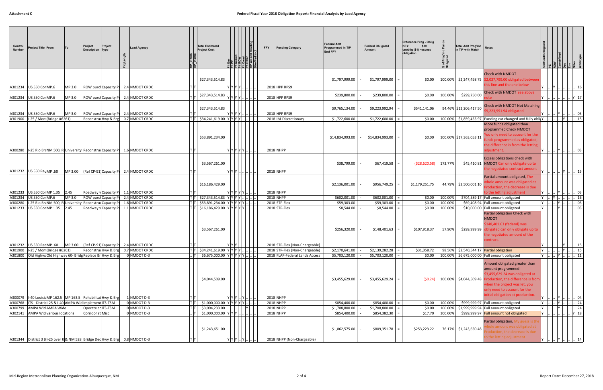| Control<br><b>Number</b> | <b>Project Title From</b>                                                                                                           |        | Project<br><b>Description Type</b> | Project                      | <b>Lead Agency</b>                                                               | TIP_In201<br>TIP_In201 | <b>Total Estimated</b><br><b>Project Cost</b> |                                                                             | <b>FFY</b> | <b>Funding Category</b>                                                                            | <b>Federal Amt</b><br>Programmed in TIP<br><b>End FFY</b> | <b>Federal Obligated</b><br>Amount | Difference Prog - Oblig<br>KEY:<br>$$1=$<br>unoblig (\$1) = excess<br>obligation | of Prog<br>ಿ ರ    | <b>Total Amt Prog'md</b><br>in TIP with Match | <b>Notes</b>                                                                                                                                                                                                                                            |  |       |                                 |                           |
|--------------------------|-------------------------------------------------------------------------------------------------------------------------------------|--------|------------------------------------|------------------------------|----------------------------------------------------------------------------------|------------------------|-----------------------------------------------|-----------------------------------------------------------------------------|------------|----------------------------------------------------------------------------------------------------|-----------------------------------------------------------|------------------------------------|----------------------------------------------------------------------------------|-------------------|-----------------------------------------------|---------------------------------------------------------------------------------------------------------------------------------------------------------------------------------------------------------------------------------------------------------|--|-------|---------------------------------|---------------------------|
|                          | A301234 US 550 Cor MP.6                                                                                                             | MP 3.0 |                                    |                              | ROW purcl Capacity Pl 2.4 NMDOT CRDC                                             |                        | \$27,343,514.83                               | Y Y Y Y                                                                     |            | 2018 HPP RPS9                                                                                      | \$1,797,999.00                                            | \$1,797,999.00                     | \$0.00                                                                           |                   |                                               | <b>Check with NMDOT</b><br>100.00% \$2,247,498.75 \$2,037,799.00 obligated between<br>his line and the one below                                                                                                                                        |  |       |                                 | 16                        |
|                          | A301234   US 550 Cor MP.6                                                                                                           | MP 3.0 |                                    |                              | ROW purcl Capacity Pl 2.4 NMDOT CRDC                                             |                        | \$27,343,514.83                               | YY[Y Y]                                                                     |            | 2018 HPP RPS9                                                                                      | \$239,800.00                                              | \$239,800.00                       | \$0.00                                                                           | 100.00%           | \$299,750.00                                  | Check with NMDOT see above                                                                                                                                                                                                                              |  |       |                                 | Y 17                      |
|                          | A301234 US 550 Cor MP.6                                                                                                             | MP 3.0 |                                    |                              | ROW purcl Capacity Pl 2.4 NMDOT CRDC                                             |                        | \$27,343,514.83                               | $ Y Y Y Y $                                                                 |            | 2018 HPP RPS9                                                                                      | \$9,765,134.00                                            | \$9,223,992.94                     | \$541,141.06                                                                     |                   | 94.46% \$12,206,417.50                        | <b>Check with NMDOT Not Matching</b><br>9,223,991.94 obligated                                                                                                                                                                                          |  |       |                                 | 03                        |
|                          | A301900   I-25 / Mon (Bridge #6261)                                                                                                 |        |                                    | ReconstructHwy & Brg         | 0.7 NMDOT CRDC                                                                   |                        | $\frac{1}{2}$ \$34,241,619.00 Y Y Y Y .       |                                                                             |            | 2018 IM-Discretionary                                                                              | \$1,722,600.00                                            | \$1,722,600.00                     | \$0.00                                                                           |                   |                                               | 100.00% \$1,859,455.97 Funding cat changed and fully oblity                                                                                                                                                                                             |  | Y     |                                 | $\  . \  15$              |
| A300280                  |                                                                                                                                     |        |                                    |                              | 1-25 Rio Br NM 500, RIUniversity Reconstrud Capacity PL 1.6 NMDOT CRDC           |                        | \$53,891,234.00                               | Y  Y  Y  Y  .                                                               |            | 2018 NHPP                                                                                          | \$14,834,993.00                                           | \$14,834,993.00                    | \$0.00                                                                           |                   | 100.00% \$17,363,053.11                       | More funds obligated than<br>programmed Check NMDOT<br>ou only need to account for the<br>inds programmed as obligated<br>he difference is from the letting<br>liustment                                                                                |  |       |                                 | 03                        |
|                          | A301232   US 550 RedMP .60                                                                                                          |        |                                    |                              | MP 3.00 (Ref CP-91 Capacity Pi 2.4 NMDOT CRDC                                    |                        | \$3,567,261.00                                | Y Y Y    .                                                                  |            | 2018 NHPP                                                                                          | \$38,799.00                                               | \$67,419.58                        | ( \$28,620.58)                                                                   | 173.77%           |                                               | Excess obligations check with<br>\$45,410.81 NMDOT Can only obligate up to<br>the negotiated contract amount<br>Partial amount obligated, The<br>hole amount was obligated at                                                                           |  | IY.   | $\ln \ln 15$                    |                           |
|                          | A301233   US 550 Cor MP 1.35   2.45                                                                                                 |        |                                    |                              | Roadway v Capacity Pi 1.1 NMDOT CRDC                                             |                        | \$16,186,429.00                               | Y Y Y Y Y                                                                   |            | <b>2018 NHPP</b>                                                                                   | \$2,136,001.00                                            | \$956,749.25                       | \$1,179,251.75                                                                   |                   | 44.79% \$2,500,001.10                         | roduction, the decrease is due<br>o the letting adjustment                                                                                                                                                                                              |  |       |                                 | 03                        |
| A301234                  | US 550 Cor MP.6                                                                                                                     | MP 3.0 |                                    | <b>ROW purcl Capacity Pr</b> | 2.4 NMDOT CRDC                                                                   |                        | \$27,343,514.83                               | Y Y Y Y                                                                     |            | 2018 NHPP                                                                                          | \$602,001.00                                              | \$602,001.00                       | \$0.00                                                                           | 100.00%           |                                               | \$704,589.17 Full amount obligated                                                                                                                                                                                                                      |  |       |                                 | 16                        |
| A300280                  | 1-25 Rio BraNM 500, Ri University Reconstrud Capacity Pr                                                                            |        |                                    |                              | 1.6 NMDOT CRDC                                                                   |                        |                                               | \$53,891,234.00 YYYYYY                                                      |            | 2018 STP-Flex                                                                                      | \$59,303.00                                               | \$59,303.00                        | \$0.00                                                                           | 100.00%           |                                               | \$69,408.94 Full amount obligated                                                                                                                                                                                                                       |  |       |                                 | 03                        |
|                          | A301233 US 550 Cor MP 1.35 2.45                                                                                                     |        |                                    |                              | Roadway v Capacity P 1.1 NMDOT CRDC                                              |                        | \$3,567,261.00                                | $\frac{1}{2}$ \$16,186,429.00 YYYYYY.                                       |            | 2018 STP-Flex                                                                                      | \$8,544.00<br>\$256,320.00                                | \$8,544.00<br>\$148,401.63         | \$0.00<br>\$107,918.37                                                           | 100.00%<br>57.90% |                                               | \$10,000.00 Full amount obligated<br>Partial obligation Check with<br><b>NMDOT</b><br>\$148,401.63 (federal) was<br>\$299,999.99 obligated can only obligate up to<br>the negotiated amount of the<br>contract.                                         |  |       |                                 | $ 03\rangle$              |
|                          | A301232   US 550 RedMP .60<br>A301900   I-25 / Mon (Bridge #6261)<br>A301800   Old Highw Old Highway 60- Bridg Replace Br Hwy & Brg |        |                                    | Reconstructiwy & Brg         | $MP 3.00$ (Ref CP-91 Capacity Pi 2.4 NMDOT CRDC<br>0.7 NMDOT CRDC<br>0 NMDOT D-3 |                        |                                               | Y Y Y     <br>$ T T $ \$34,241,619.00 $ Y Y Y   $<br>\$6,675,000.00 YYYYYY. |            | 2018 STP-Flex (Non-Chargeable)<br>2018 STP-Flex (Non-Chargeable)<br>2018 FLAP-Federal Lands Access | \$2,170,641.00<br>\$5,703,120.00                          | \$2,139,282.28<br>\$5,703,120.00   | \$31,358.72<br>\$0.00                                                            |                   |                                               | 98.56% \$2,540,544.17 Partial obligation<br>100.00% \$6,675,000.00 Full amount obligated                                                                                                                                                                |  |       | Y        Y      15  <br>Y    11 | 15                        |
|                          | A300079   I-40 Louisia MP 162.5   MP 163.5   Rehabilitat Hwy & Brg                                                                  |        |                                    |                              | 1 NMDOT D-3                                                                      |                        | \$4,044,509.00                                | $Y$ $Y$ $Y$ $\ldots$ $Y$ $\ldots$                                           |            | 2018 NHPP                                                                                          | \$3,455,629.00                                            | $$3,455,629.24$ =                  | (50.24)                                                                          |                   |                                               | Amount obligated greater than<br>amount programmed<br>\$3,455,629.24 was obligated at<br>100.00% \$4,044,509.48 Production, the difference is fron<br>vhen the project was let, you<br>only need to account for the<br>nitial obligation at production. |  |       |                                 | 04                        |
|                          | A300768   ITS - District-25 & I-40 AMPA Wid Implement ITS-TSM                                                                       |        |                                    |                              | 0 NMDOT D-3                                                                      |                        |                                               | \$1,000,000.00 YYYYYY.                                                      |            | 2018 NHPP                                                                                          | \$854,400.00                                              | \$854,400.00                       | \$0.00                                                                           | 100.00%           |                                               | \$999,999.97 Full amount obligated                                                                                                                                                                                                                      |  | Y     |                                 | $\left  \dots \right $ 24 |
|                          | A300799 AMPA Wid AMPA Wide                                                                                                          |        |                                    | Operate cclTS-TSM            | 0 NMDOT D-3                                                                      |                        | \$3,094,233.00                                |                                                                             |            | 2018 NHPP                                                                                          | \$1,708,800.00                                            | \$1,708,800.00                     | \$0.00                                                                           | 100.00%           |                                               | \$1,999,999.94 Full amount obligated.                                                                                                                                                                                                                   |  | . Y . |                                 | $\therefore$ 24           |
|                          | A302141 AMPA Wid various locations<br>A301344 District 3 BI-25 over t & NM 528 Bridge Dec Hwy & Brg 0.8 NMDOT D-3                   |        | Corridor st Misc                   |                              | 0 NMDOT D-3                                                                      |                        | \$1,243,651.00                                | \$1,000,000.00 YYYY   .<br>Y Y Y  Y                                         |            | 2018 NHPP<br>2018 NHPP (Non-Chargeable)                                                            | \$854,400.00<br>\$1,062,575.00                            | \$854,382.30<br>\$809,351.78       | \$17.70<br>\$253,223.22                                                          | 100.00%           | 76.17% \$1,243,650.48                         | \$999,999.97 Full amount not obligated<br>Partial obligation, My guess is the<br>hole amount was obligated at<br>oduction, the decrease is due<br>o the letting adjustment                                                                              |  |       |                                 | $\mathbf{r}$   Y   18     |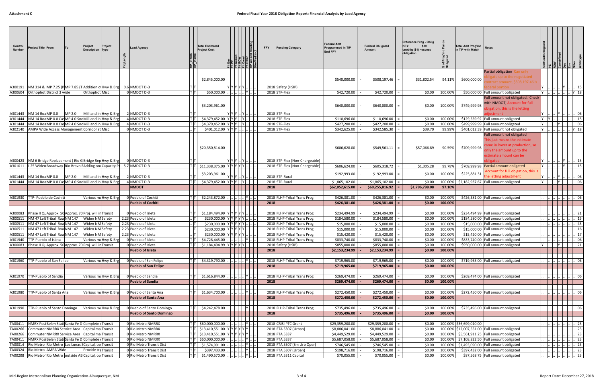| Control<br><b>Number</b> | Project Title ∣From                                                                                            | Project<br>Project<br><b>Description Type</b>                                                                                               | <b>Lead Agency</b>                                    | TIP_In20'<br>TIP_In20' | <b>Total Estimated</b><br><b>Project Cost</b>                               |           |            | <b>FFY</b><br><b>Funding Category</b>                            | <b>Federal Amt</b><br><b>Programmed in TIP</b><br><b>End FFY</b> | <b>Federal Obligated</b><br><b>Amount</b> | Difference Prog - Oblig<br>KEY:<br>$$1=$<br>unoblig (\$1) = excess<br>obligation | of Prog<br>৯ ত     | <b>Total Amt Prog'md</b><br>in TIP with Match | <b>Notes</b>                                                                                                                                     |          |              | $ \tilde{z} \tilde{s} $ $ \tilde{z} \tilde{z} $ |
|--------------------------|----------------------------------------------------------------------------------------------------------------|---------------------------------------------------------------------------------------------------------------------------------------------|-------------------------------------------------------|------------------------|-----------------------------------------------------------------------------|-----------|------------|------------------------------------------------------------------|------------------------------------------------------------------|-------------------------------------------|----------------------------------------------------------------------------------|--------------------|-----------------------------------------------|--------------------------------------------------------------------------------------------------------------------------------------------------|----------|--------------|-------------------------------------------------|
|                          |                                                                                                                | A300191  NM 314 &  MP 7.25 (P MP 7.85 (T Addition o Hwy & Brg   0.6 NMDOT D-3                                                               |                                                       |                        | \$2,845,000.00                                                              | Y Y Y Y Y |            | 2018 Safety (HSIP)                                               | \$540,000.00                                                     | \$508,197.46                              | \$31,802.54                                                                      | 94.11%             | \$600,000.00                                  | Partial obligation Can only<br>ligate up to the negotiated<br>ntract amount, \$508,197.46 i<br>deral portion                                     |          | IY I         | 15                                              |
|                          | A300604   Orthophot District 3 wide                                                                            | Orthophot Misc                                                                                                                              | 0 NMDOT D-3                                           | T T                    | \$50,000.00                                                                 |           | . Y        | 2018 STP-Flex                                                    | \$42,720.00                                                      | \$42,720.00                               | \$0.00                                                                           | 100.00%            |                                               | \$50,000.00 Full amount obligated                                                                                                                |          |              | . Y 18                                          |
|                          | A301443 NM 14 RoaMP 0.0 MP 2.0                                                                                 | Mill and in Hwy & Brg                                                                                                                       | 2 NMDOT D-3                                           |                        | \$3,203,961.00                                                              | YYY       | Y          | 2018 STP-Flex                                                    | \$640,800.00                                                     | \$640,800.00                              | \$0.00                                                                           | 100.00%            | \$749,999.98                                  | Full amount not obligated. Check<br>with NMDOT, Account for full<br>bigation, this is the letting                                                |          |              | 06                                              |
|                          |                                                                                                                | A301444 NM 14 RoaMP 0.0 Cas MP 4.0 Snd Mill and in Hwy & Brg                                                                                | 4 NMDOT D-3                                           | T T                    | \$4,379,452.00 YYY                                                          |           | $ Y $      | 2018 STP-Flex                                                    | \$110,696.00                                                     | \$110,696.00                              | \$0.00                                                                           | 100.00%            |                                               | \$129,559.92 Full amount obligated                                                                                                               |          |              | 15                                              |
|                          |                                                                                                                | A301444 NM 14 RoaMP 0.0 Cas MP 4.0 Snd Mill and in Hwy & Brg                                                                                | 4 NMDOT D-3                                           |                        | \$4,379,452.00 YYY                                                          |           |            | 2018 STP-Flex                                                    | \$427,200.00                                                     | \$427,200.00                              | \$0.00                                                                           | 100.00%            |                                               | \$499,999.99 Full amount obligated                                                                                                               |          |              | 06                                              |
|                          | A302140   AMPA Wide Access Management Corridor st Misc                                                         |                                                                                                                                             | 0 NMDOT D-3                                           | . IT I                 | \$401,012.00 YYY                                                            |           |            | 2018 STP-Flex                                                    | \$342,625.00                                                     | \$342,585.30                              | \$39.70                                                                          | 99.99%             |                                               | \$401,012.39 Full amount not obligated                                                                                                           |          |              | $\  . \  . \ $ Y  18                            |
|                          |                                                                                                                |                                                                                                                                             |                                                       |                        | \$20,350,814.00                                                             |           |            |                                                                  | \$606,628.00                                                     | \$549,561.11                              | \$57,066.89                                                                      | 90.59%             | \$709,999.98                                  | Full amount not obligated<br>This just means the estimate<br>ime in lower at production, so<br>nly the amount up to the<br>stimate amount can be |          |              |                                                 |
|                          |                                                                                                                | A300423 NM 6 Bridge Replacement (Rio G Bridge Rep Hwy & Brg<br>A301011   I-25 Widen Broadway Rio Bravo [Adding on Capacity P  5.7 NMDOT D-3 | 0 NMDOT D-3                                           |                        | $ T T $ \$11,338,375.00 $ Y Y Y Y Y $                                       | YYYY.     | .  Y       | 2018 STP-Flex (Non-Chargeable)<br>2018 STP-Flex (Non-Chargeable) | \$606,624.00                                                     | \$605,318.72                              | \$1,305.28                                                                       | 99.78%             |                                               | <b>pligated</b><br>\$709,999.98 Partial amount obligated                                                                                         |          | IY.<br>-ly-l | 15 <br>15                                       |
|                          | A301443   NM 14 RoaMP 0.0   MP 2.0                                                                             | Mill and in Hwy & Brg                                                                                                                       | 2 NMDOT D-3                                           |                        | \$3,203,961.00                                                              | YYY       |            | 2018 STP-Rural                                                   | \$192,993.00                                                     | \$192,993.00                              | \$0.00                                                                           | 100.00%            | \$225,881.31                                  | Account for full obigation, this is<br>the letting adjustment                                                                                    |          |              | 06                                              |
|                          |                                                                                                                | A301444   NM 14 Roa MP 0.0 Cas MP 4.0 Snd Mill and in Hwy & Brg                                                                             | 4 NMDOT D-3                                           |                        | $ T T $ \$4,379,452.00 $ Y Y Y $                                            |           | $ Y $ $  $ | 2018 STP-Rural                                                   | \$1,865,102.00                                                   | \$1,865,102.00                            | \$0.00                                                                           | 100.00%            |                                               | \$2,182,937.67 Full amount obligated                                                                                                             |          | <b>Y</b>     | 06                                              |
|                          |                                                                                                                |                                                                                                                                             | <b>NMDOT</b>                                          |                        |                                                                             |           |            | 2018                                                             | \$62,052,615.00                                                  | \$60,255,816.92                           | \$1,796,798.08                                                                   | 97.10%             |                                               |                                                                                                                                                  |          |              |                                                 |
|                          | A301930   TTP- Pueblo de Cochiti                                                                               | Various muHwy & Brg                                                                                                                         | 0 Pueblo of Cochiti                                   |                        | \$2,243,872.00                                                              |           |            | 2018 FLHP-Tribal Trans Prog                                      | \$426,381.00                                                     | \$426,381.00                              | \$0.00                                                                           | 100.00%            |                                               | \$426,381.00 Full amount obligated                                                                                                               |          |              | 06                                              |
|                          |                                                                                                                |                                                                                                                                             | <b>Pueblo of Cochiti</b>                              |                        |                                                                             |           |            | 2018                                                             | \$426,381.00                                                     | \$426,381.00                              | \$0.00                                                                           | 100.00%            |                                               |                                                                                                                                                  |          |              |                                                 |
|                          |                                                                                                                |                                                                                                                                             |                                                       |                        |                                                                             |           |            |                                                                  |                                                                  |                                           |                                                                                  |                    |                                               |                                                                                                                                                  |          |              |                                                 |
|                          | A300083 Phase II Quapprox. 50 Approx. 70 Proj. will in Transit                                                 |                                                                                                                                             | 0 Pueblo of Isleta                                    |                        | $ T T $ \$1,184,494.99 $ Y Y Y Y  $                                         |           |            | 2018 FLHP-Tribal Trans Prog                                      | \$234,494.99                                                     | \$234,494.99                              | \$0.00                                                                           | 100.00%            |                                               | \$234,494.99 Full amount obligated                                                                                                               |          |              | 21                                              |
|                          | A300511   NM 47 Left Tribal Roa NM 147                                                                         | Widen NM Safety                                                                                                                             | 2.23 Pueblo of Isleta                                 |                        | \$230,000.00 YYYYYY                                                         |           |            | 2018 FLHP-Tribal Trans Prog                                      | \$184,580.00                                                     | \$184,580.00                              | \$0.00                                                                           | 100.00%            |                                               | \$184,580.00 Full amount obligated                                                                                                               |          |              | 15                                              |
|                          | A300511   NM 47 Left Tribal Roa NM 147                                                                         | Widen NM Safety                                                                                                                             | 2.23 Pueblo of Isleta                                 |                        | \$230,000.00 YYYYYYY                                                        |           |            | 2018 FLHP-Tribal Trans Prog                                      | \$15,000.00                                                      | \$15,000.00                               | \$0.00                                                                           | 100.00%            |                                               | \$15,000.00 Full amount obligated                                                                                                                |          |              | 43                                              |
|                          | A300511 NM 47 Left Tribal Roa NM 147<br>A300511   NM 47 Left Tribal Roa NM 147                                 | Widen NM Safety<br>Widen NM Safety                                                                                                          | 2.23 Pueblo of Isleta<br>2.23 Pueblo of Isleta        |                        | \$230,000.00 YYYYYY<br>$$230.000.00$ YYYYYYY                                |           |            | 2018 FLHP-Tribal Trans Prog<br>2018 FLHP-Tribal Trans Prog       | \$15,000.00<br>\$15,420.00                                       | \$15,000.00<br>\$15,420.00                | \$0.00<br>\$0.00                                                                 | 100.00%<br>100.00% |                                               | \$15,000.00 Full amount obligated<br>\$15,420.00 Full amount obligated                                                                           |          |              | 16<br> 17                                       |
|                          | A301940 TTP-Pueblo of Isleta                                                                                   | Various mu Hwy & Brg                                                                                                                        | 0 Pueblo of Isleta                                    |                        | \$4,728,445.00                                                              |           | . Y        | 2018 FLHP-Tribal Trans Prog                                      | \$833,740.00                                                     | \$833,740.00                              | \$0.00                                                                           | 100.00%            |                                               | \$833,740.00 Full amount obligated                                                                                                               |          |              | 06                                              |
|                          | A300083   Phase II Qu Approx. 50 Approx. 70 Proj. will in Transit                                              |                                                                                                                                             | 0 Pueblo of Isleta                                    | T T                    | \$1,184,494.99 YYYYYY                                                       |           |            | 2018 Safety (HSIP)                                               | \$855,000.00                                                     | \$855,000.00                              | \$0.00                                                                           | 100.00%            |                                               | \$950,000.00 Full amount obligated                                                                                                               | <b>Y</b> |              | 21                                              |
|                          |                                                                                                                |                                                                                                                                             | <b>Pueblo of Isleta</b>                               |                        |                                                                             |           |            | 2018                                                             | \$2,153,234.99                                                   | $$2,153,234.99$ =                         | \$0.00                                                                           | 100.00%            |                                               |                                                                                                                                                  |          |              |                                                 |
|                          |                                                                                                                |                                                                                                                                             |                                                       |                        |                                                                             |           |            |                                                                  |                                                                  |                                           |                                                                                  |                    |                                               |                                                                                                                                                  |          |              |                                                 |
|                          | 4301960 TTP-Pueblo of San Felipe                                                                               | Various mu Hwy & Brg                                                                                                                        | O Pueblo of San Felipe<br><b>Pueblo of San Felipe</b> |                        | $ T $ \$4,319,790.00                                                        |           |            | 2018 FLHP-Tribal Trans Prog<br>2018                              | \$719,965.00<br>\$719,965.00                                     | \$719,965.00<br>\$719,965.00              | \$0.00<br>\$0.00                                                                 | 100.00%<br>100.00% |                                               | \$719,965.00 Full amount obligated                                                                                                               |          |              | 06                                              |
|                          |                                                                                                                |                                                                                                                                             |                                                       |                        |                                                                             |           |            |                                                                  |                                                                  |                                           |                                                                                  |                    |                                               |                                                                                                                                                  |          |              |                                                 |
|                          | A301970   TTP-Pueblo of Sandia                                                                                 | Various mu Hwy & Brg                                                                                                                        | 0 Pueblo of Sandia                                    |                        | $ T $ \$1,616,844.00                                                        |           | . IY I     | 2018 FLHP-Tribal Trans Prog                                      | \$269,474.00                                                     | \$269,474.00                              | \$0.00                                                                           | 100.00%            |                                               | \$269,474.00 Full amount obligated                                                                                                               |          |              | 06                                              |
|                          |                                                                                                                |                                                                                                                                             | <b>Pueblo of Sandia</b>                               |                        |                                                                             |           |            | 2018                                                             | \$269,474.00                                                     | \$269,474.00                              | \$0.00                                                                           | 100.00%            |                                               |                                                                                                                                                  |          |              |                                                 |
|                          |                                                                                                                |                                                                                                                                             |                                                       |                        |                                                                             |           |            |                                                                  |                                                                  |                                           |                                                                                  |                    |                                               |                                                                                                                                                  |          |              |                                                 |
|                          | A301980   TTP-Pueblo of Santa Ana                                                                              | Various mu Hwy & Brg                                                                                                                        | 0 Pueblo of Santa Ana                                 |                        | $ T $ \$1,634,700.00                                                        |           |            | 2018 FLHP-Tribal Trans Prog                                      | \$272,450.00                                                     | \$272,450.00                              | \$0.00                                                                           | 100.00%            |                                               | \$272,450.00 Full amount obligated                                                                                                               |          |              | 06                                              |
|                          |                                                                                                                |                                                                                                                                             | <b>Pueblo of Santa Ana</b>                            |                        |                                                                             |           |            | 2018                                                             | \$272,450.00                                                     | \$272,450.00                              | \$0.00                                                                           | 100.00%            |                                               |                                                                                                                                                  |          |              |                                                 |
|                          | 4301990 TTP-Pueblo of Santo Domingo                                                                            | Various mu Hwy & Brg                                                                                                                        | 0 Pueblo of Santo Domingo                             |                        | $ T $ \$4,242,478.00                                                        |           |            | 2018 FLHP-Tribal Trans Prog                                      | \$735,496.00                                                     | \$735,496.00                              | \$0.00                                                                           | 100.00%            |                                               | \$735,496.00 Full amount obligated                                                                                                               |          |              | 06                                              |
|                          |                                                                                                                |                                                                                                                                             | <b>Pueblo of Santo Domingo</b>                        |                        |                                                                             |           |            | 2018                                                             | \$735,496.00                                                     | \$735,496.00                              | \$0.00                                                                           | 100.00%            |                                               |                                                                                                                                                  |          |              |                                                 |
|                          |                                                                                                                |                                                                                                                                             |                                                       |                        |                                                                             |           |            |                                                                  |                                                                  |                                           |                                                                                  |                    |                                               |                                                                                                                                                  |          |              |                                                 |
|                          | TA00411 NMRX Posi Belen Stati Santa Fe D Complete (Transit                                                     |                                                                                                                                             | 0 Rio Metro NMRRX                                     |                        | $ T $ \$60,000,000.00                                                       |           | Y.         | 2018 CRISI PTC Grant                                             | \$29,359,208.00                                                  | \$29,359,208.00<br>\$8,886,041.00         | \$0.00                                                                           |                    | 100.00% \$36,699,010.00                       |                                                                                                                                                  |          |              | 23                                              |
|                          | TA00266 Commuter NMRRX Service Area Capital maTransit<br>TA00266 Commuter NMRRX Service Area Capital maTransit |                                                                                                                                             | 0 Rio Metro NMRRX<br>0 Rio Metro NMRRX                |                        | $ T T $ \$13,410,551.00 YYYYYYY.<br>$ T T $ \$13,410,551.00 $ Y Y Y Y Y Y $ |           |            | 2018 FTA 5307 (Urban)<br>2018 FTA 5337                           | \$8,886,041.00<br>\$4,449,529.00                                 | \$4,449,529.00                            | \$0.00<br>\$0.00                                                                 |                    |                                               | 100.00% \$12,007,551.00 Full amount obligated<br>100.00% \$5,561,911.25 Full amount obligated                                                    |          |              | 23<br>23                                        |
|                          | TA00411   NMRX Posi Belen Stati Santa Fe D Complete (Transit                                                   |                                                                                                                                             | 0 Rio Metro NMRRX                                     |                        | $ T $ \$60,000,000.00                                                       |           |            | 2018 FTA 5337                                                    | \$5,687,058.00                                                   | \$5,687,058.00                            | \$0.00                                                                           | 100.00%            |                                               | \$7,108,822.50 Full amount obligated                                                                                                             |          |              | 23                                              |
|                          | TA00314   Rio Metro   Rio Metro   Los Lunas (Capital, op Transit                                               |                                                                                                                                             | 0 Rio Metro Transit Dist                              |                        | $ T $ \$1,574,991.00                                                        |           | Y          | 2018 FTA 5307 (Sm Urb Oper)                                      | \$746,545.00                                                     | \$746,545.00                              | \$0.00                                                                           | 100.00%            |                                               | \$1,493,090.00 Full amount obligated                                                                                                             |          |              | . 23                                            |
|                          | TA00324 Rio Metro AMPA Wide                                                                                    | Provide tra Transit                                                                                                                         | 0 Rio Metro Transit Dist                              | T T                    | \$397,433.00                                                                |           | Y  I       | 2018 FTA 5307 (Urban)                                            | \$198,716.00                                                     | \$198,716.00                              | \$0.00                                                                           | 100.00%            |                                               | \$397,432.00 Full amount obligated                                                                                                               |          |              | 23                                              |
|                          | TA00208 Rio Metro Rio Metro outside AB Capital, op Transit                                                     |                                                                                                                                             | 0 Rio Metro Transit Dist                              |                        |                                                                             |           |            | 2018 FTA 5311 Capital                                            | \$70,055.00                                                      | \$70,055.00                               | \$0.00                                                                           | 100.00%            |                                               | \$87,568.75 Full amount obligated                                                                                                                |          |              | 23                                              |